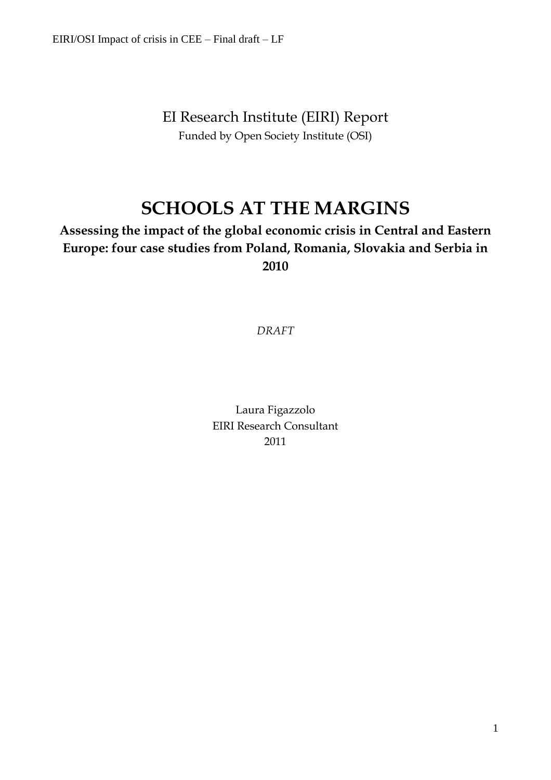EI Research Institute (EIRI) Report Funded by Open Society Institute (OSI)

# **SCHOOLS AT THE MARGINS**

# **Assessing the impact of the global economic crisis in Central and Eastern Europe: four case studies from Poland, Romania, Slovakia and Serbia in 2010**

*DRAFT*

Laura Figazzolo EIRI Research Consultant 2011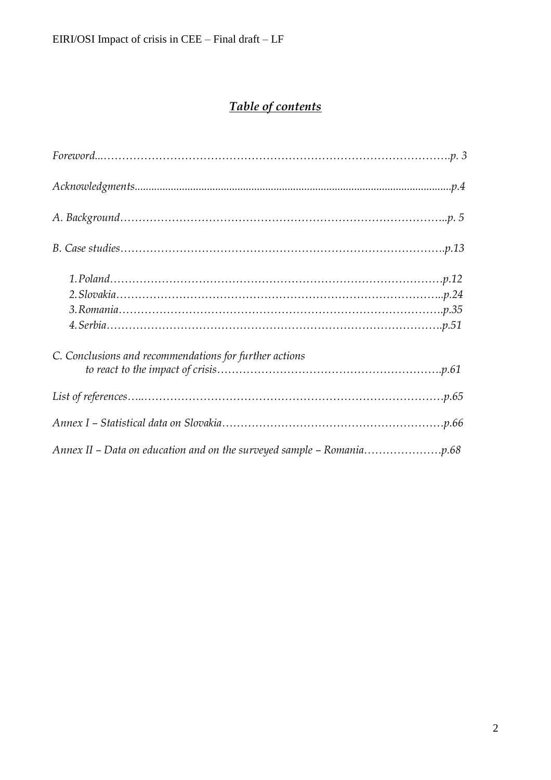# *Table of contents*

| C. Conclusions and recommendations for further actions |
|--------------------------------------------------------|
|                                                        |
|                                                        |
|                                                        |
|                                                        |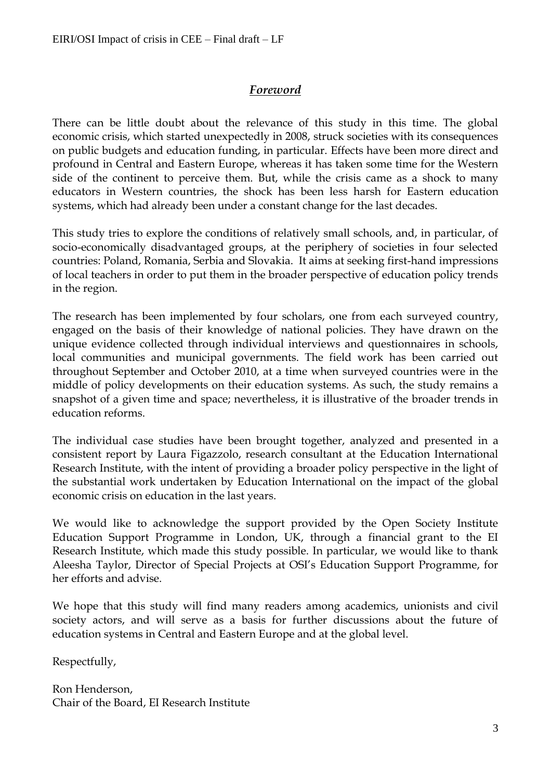# *Foreword*

There can be little doubt about the relevance of this study in this time. The global economic crisis, which started unexpectedly in 2008, struck societies with its consequences on public budgets and education funding, in particular. Effects have been more direct and profound in Central and Eastern Europe, whereas it has taken some time for the Western side of the continent to perceive them. But, while the crisis came as a shock to many educators in Western countries, the shock has been less harsh for Eastern education systems, which had already been under a constant change for the last decades.

This study tries to explore the conditions of relatively small schools, and, in particular, of socio-economically disadvantaged groups, at the periphery of societies in four selected countries: Poland, Romania, Serbia and Slovakia. It aims at seeking first-hand impressions of local teachers in order to put them in the broader perspective of education policy trends in the region.

The research has been implemented by four scholars, one from each surveyed country, engaged on the basis of their knowledge of national policies. They have drawn on the unique evidence collected through individual interviews and questionnaires in schools, local communities and municipal governments. The field work has been carried out throughout September and October 2010, at a time when surveyed countries were in the middle of policy developments on their education systems. As such, the study remains a snapshot of a given time and space; nevertheless, it is illustrative of the broader trends in education reforms.

The individual case studies have been brought together, analyzed and presented in a consistent report by Laura Figazzolo, research consultant at the Education International Research Institute, with the intent of providing a broader policy perspective in the light of the substantial work undertaken by Education International on the impact of the global economic crisis on education in the last years.

We would like to acknowledge the support provided by the Open Society Institute Education Support Programme in London, UK, through a financial grant to the EI Research Institute, which made this study possible. In particular, we would like to thank Aleesha Taylor, Director of Special Projects at OSI's Education Support Programme, for her efforts and advise.

We hope that this study will find many readers among academics, unionists and civil society actors, and will serve as a basis for further discussions about the future of education systems in Central and Eastern Europe and at the global level.

Respectfully,

Ron Henderson, Chair of the Board, EI Research Institute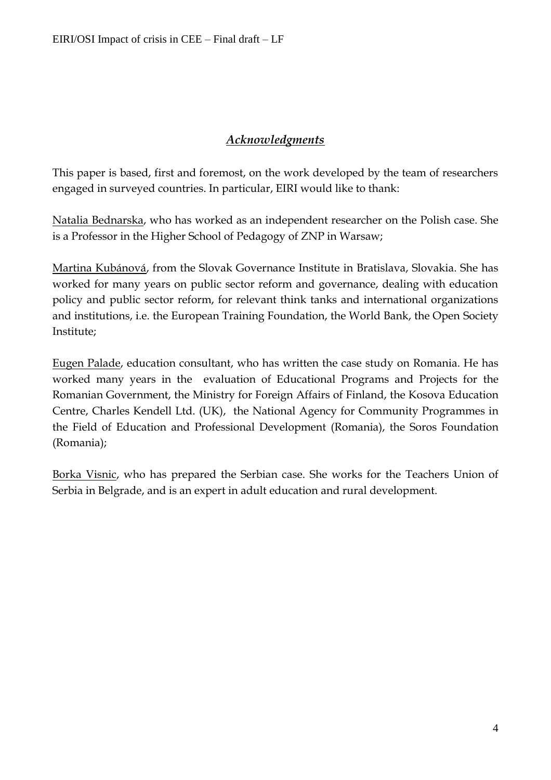# *Acknowledgments*

This paper is based, first and foremost, on the work developed by the team of researchers engaged in surveyed countries. In particular, EIRI would like to thank:

Natalia Bednarska, who has worked as an independent researcher on the Polish case. She is a Professor in the Higher School of Pedagogy of ZNP in Warsaw;

Martina Kubánová, from the Slovak Governance Institute in Bratislava, Slovakia. She has worked for many years on public sector reform and governance, dealing with education policy and public sector reform, for relevant think tanks and international organizations and institutions, i.e. the European Training Foundation, the World Bank, the Open Society Institute;

Eugen Palade, education consultant, who has written the case study on Romania. He has worked many years in the evaluation of Educational Programs and Projects for the Romanian Government, the Ministry for Foreign Affairs of Finland, the Kosova Education Centre, Charles Kendell Ltd. (UK), the National Agency for Community Programmes in the Field of Education and Professional Development (Romania), the Soros Foundation (Romania);

Borka Visnic, who has prepared the Serbian case. She works for the Teachers Union of Serbia in Belgrade, and is an expert in adult education and rural development.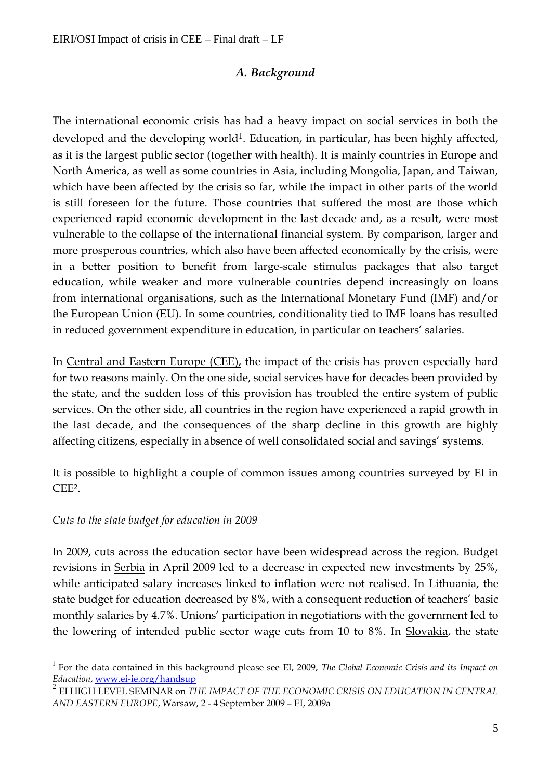# *A. Background*

The international economic crisis has had a heavy impact on social services in both the developed and the developing world<sup>1</sup>. Education, in particular, has been highly affected, as it is the largest public sector (together with health). It is mainly countries in Europe and North America, as well as some countries in Asia, including Mongolia, Japan, and Taiwan, which have been affected by the crisis so far, while the impact in other parts of the world is still foreseen for the future. Those countries that suffered the most are those which experienced rapid economic development in the last decade and, as a result, were most vulnerable to the collapse of the international financial system. By comparison, larger and more prosperous countries, which also have been affected economically by the crisis, were in a better position to benefit from large-scale stimulus packages that also target education, while weaker and more vulnerable countries depend increasingly on loans from international organisations, such as the International Monetary Fund (IMF) and/or the European Union (EU). In some countries, conditionality tied to IMF loans has resulted in reduced government expenditure in education, in particular on teachers' salaries.

In Central and Eastern Europe (CEE), the impact of the crisis has proven especially hard for two reasons mainly. On the one side, social services have for decades been provided by the state, and the sudden loss of this provision has troubled the entire system of public services. On the other side, all countries in the region have experienced a rapid growth in the last decade, and the consequences of the sharp decline in this growth are highly affecting citizens, especially in absence of well consolidated social and savings' systems.

It is possible to highlight a couple of common issues among countries surveyed by EI in CEE2.

# *Cuts to the state budget for education in 2009*

 $\overline{a}$ 

In 2009, cuts across the education sector have been widespread across the region. Budget revisions in Serbia in April 2009 led to a decrease in expected new investments by 25%, while anticipated salary increases linked to inflation were not realised. In Lithuania, the state budget for education decreased by 8%, with a consequent reduction of teachers' basic monthly salaries by 4.7%. Unions' participation in negotiations with the government led to the lowering of intended public sector wage cuts from 10 to 8%. In Slovakia, the state

<sup>&</sup>lt;sup>1</sup> For the data contained in this background please see EI, 2009, *The Global Economic Crisis and its Impact on Education*, [www.ei-ie.org/handsup](http://www.ei-ie.org/handsup)

<sup>2</sup> EI HIGH LEVEL SEMINAR on *THE IMPACT OF THE ECONOMIC CRISIS ON EDUCATION IN CENTRAL AND EASTERN EUROPE*, Warsaw, 2 - 4 September 2009 – EI, 2009a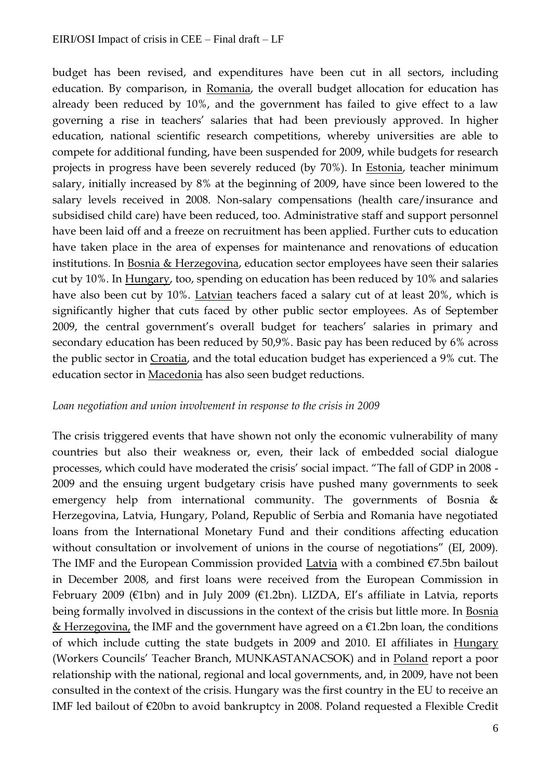budget has been revised, and expenditures have been cut in all sectors, including education. By comparison, in Romania, the overall budget allocation for education has already been reduced by 10%, and the government has failed to give effect to a law governing a rise in teachers' salaries that had been previously approved. In higher education, national scientific research competitions, whereby universities are able to compete for additional funding, have been suspended for 2009, while budgets for research projects in progress have been severely reduced (by 70%). In Estonia, teacher minimum salary, initially increased by 8% at the beginning of 2009, have since been lowered to the salary levels received in 2008. Non-salary compensations (health care/insurance and subsidised child care) have been reduced, too. Administrative staff and support personnel have been laid off and a freeze on recruitment has been applied. Further cuts to education have taken place in the area of expenses for maintenance and renovations of education institutions. In Bosnia & Herzegovina, education sector employees have seen their salaries cut by 10%. In Hungary, too, spending on education has been reduced by 10% and salaries have also been cut by 10%. Latvian teachers faced a salary cut of at least 20%, which is significantly higher that cuts faced by other public sector employees. As of September 2009, the central government's overall budget for teachers' salaries in primary and secondary education has been reduced by 50,9%. Basic pay has been reduced by 6% across the public sector in Croatia, and the total education budget has experienced a 9% cut. The education sector in Macedonia has also seen budget reductions.

#### *Loan negotiation and union involvement in response to the crisis in 2009*

The crisis triggered events that have shown not only the economic vulnerability of many countries but also their weakness or, even, their lack of embedded social dialogue processes, which could have moderated the crisis' social impact. "The fall of GDP in 2008 - 2009 and the ensuing urgent budgetary crisis have pushed many governments to seek emergency help from international community. The governments of Bosnia & Herzegovina, Latvia, Hungary, Poland, Republic of Serbia and Romania have negotiated loans from the International Monetary Fund and their conditions affecting education without consultation or involvement of unions in the course of negotiations" (EI, 2009). The IMF and the European Commission provided Latvia with a combined €7.5bn bailout in December 2008, and first loans were received from the European Commission in February 2009 ( $\epsilon$ 1bn) and in July 2009 ( $\epsilon$ 1.2bn). LIZDA, EI's affiliate in Latvia, reports being formally involved in discussions in the context of the crisis but little more. In Bosnia & Herzegovina, the IMF and the government have agreed on a  $\epsilon$ 1.2bn loan, the conditions of which include cutting the state budgets in 2009 and 2010. EI affiliates in Hungary (Workers Councils' Teacher Branch, MUNKASTANACSOK) and in Poland report a poor relationship with the national, regional and local governments, and, in 2009, have not been consulted in the context of the crisis. Hungary was the first country in the EU to receive an IMF led bailout of €20bn to avoid bankruptcy in 2008. Poland requested a Flexible Credit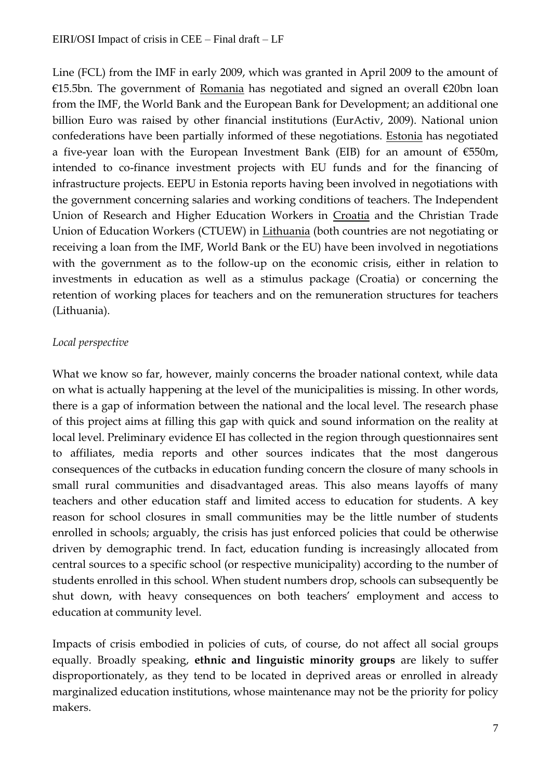Line (FCL) from the IMF in early 2009, which was granted in April 2009 to the amount of €15.5bn. The government of Romania has negotiated and signed an overall €20bn loan from the IMF, the World Bank and the European Bank for Development; an additional one billion Euro was raised by other financial institutions (EurActiv, 2009). National union confederations have been partially informed of these negotiations. Estonia has negotiated a five-year loan with the European Investment Bank (EIB) for an amount of  $\epsilon$ 550m, intended to co-finance investment projects with EU funds and for the financing of infrastructure projects. EEPU in Estonia reports having been involved in negotiations with the government concerning salaries and working conditions of teachers. The Independent Union of Research and Higher Education Workers in Croatia and the Christian Trade Union of Education Workers (CTUEW) in Lithuania (both countries are not negotiating or receiving a loan from the IMF, World Bank or the EU) have been involved in negotiations with the government as to the follow-up on the economic crisis, either in relation to investments in education as well as a stimulus package (Croatia) or concerning the retention of working places for teachers and on the remuneration structures for teachers (Lithuania).

# *Local perspective*

What we know so far, however, mainly concerns the broader national context, while data on what is actually happening at the level of the municipalities is missing. In other words, there is a gap of information between the national and the local level. The research phase of this project aims at filling this gap with quick and sound information on the reality at local level. Preliminary evidence EI has collected in the region through questionnaires sent to affiliates, media reports and other sources indicates that the most dangerous consequences of the cutbacks in education funding concern the closure of many schools in small rural communities and disadvantaged areas. This also means layoffs of many teachers and other education staff and limited access to education for students. A key reason for school closures in small communities may be the little number of students enrolled in schools; arguably, the crisis has just enforced policies that could be otherwise driven by demographic trend. In fact, education funding is increasingly allocated from central sources to a specific school (or respective municipality) according to the number of students enrolled in this school. When student numbers drop, schools can subsequently be shut down, with heavy consequences on both teachers' employment and access to education at community level.

Impacts of crisis embodied in policies of cuts, of course, do not affect all social groups equally. Broadly speaking, **ethnic and linguistic minority groups** are likely to suffer disproportionately, as they tend to be located in deprived areas or enrolled in already marginalized education institutions, whose maintenance may not be the priority for policy makers.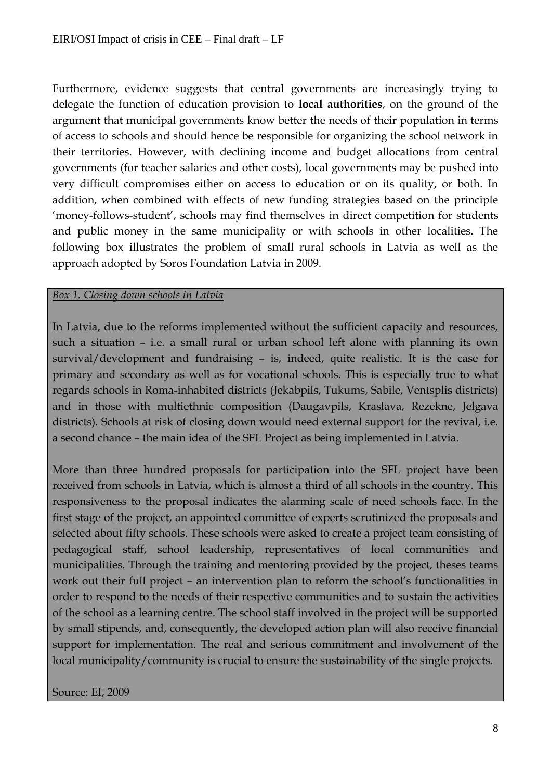Furthermore, evidence suggests that central governments are increasingly trying to delegate the function of education provision to **local authorities**, on the ground of the argument that municipal governments know better the needs of their population in terms of access to schools and should hence be responsible for organizing the school network in their territories. However, with declining income and budget allocations from central governments (for teacher salaries and other costs), local governments may be pushed into very difficult compromises either on access to education or on its quality, or both. In addition, when combined with effects of new funding strategies based on the principle 'money-follows-student', schools may find themselves in direct competition for students and public money in the same municipality or with schools in other localities. The following box illustrates the problem of small rural schools in Latvia as well as the approach adopted by Soros Foundation Latvia in 2009.

#### *Box 1. Closing down schools in Latvia*

In Latvia, due to the reforms implemented without the sufficient capacity and resources, such a situation – i.e. a small rural or urban school left alone with planning its own survival/development and fundraising – is, indeed, quite realistic. It is the case for primary and secondary as well as for vocational schools. This is especially true to what regards schools in Roma-inhabited districts (Jekabpils, Tukums, Sabile, Ventsplis districts) and in those with multiethnic composition (Daugavpils, Kraslava, Rezekne, Jelgava districts). Schools at risk of closing down would need external support for the revival, i.e. a second chance – the main idea of the SFL Project as being implemented in Latvia.

More than three hundred proposals for participation into the SFL project have been received from schools in Latvia, which is almost a third of all schools in the country. This responsiveness to the proposal indicates the alarming scale of need schools face. In the first stage of the project, an appointed committee of experts scrutinized the proposals and selected about fifty schools. These schools were asked to create a project team consisting of pedagogical staff, school leadership, representatives of local communities and municipalities. Through the training and mentoring provided by the project, theses teams work out their full project – an intervention plan to reform the school's functionalities in order to respond to the needs of their respective communities and to sustain the activities of the school as a learning centre. The school staff involved in the project will be supported by small stipends, and, consequently, the developed action plan will also receive financial support for implementation. The real and serious commitment and involvement of the local municipality/community is crucial to ensure the sustainability of the single projects.

Source: EI, 2009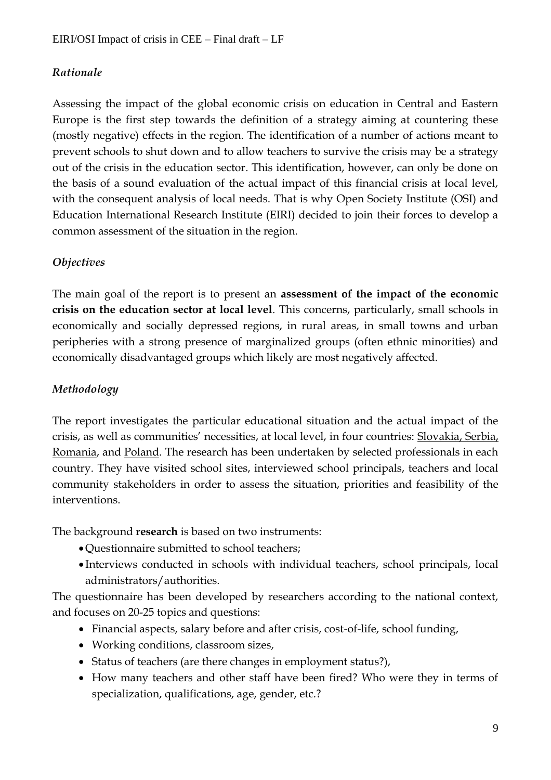# *Rationale*

Assessing the impact of the global economic crisis on education in Central and Eastern Europe is the first step towards the definition of a strategy aiming at countering these (mostly negative) effects in the region. The identification of a number of actions meant to prevent schools to shut down and to allow teachers to survive the crisis may be a strategy out of the crisis in the education sector. This identification, however, can only be done on the basis of a sound evaluation of the actual impact of this financial crisis at local level, with the consequent analysis of local needs. That is why Open Society Institute (OSI) and Education International Research Institute (EIRI) decided to join their forces to develop a common assessment of the situation in the region.

# *Objectives*

The main goal of the report is to present an **assessment of the impact of the economic crisis on the education sector at local level**. This concerns, particularly, small schools in economically and socially depressed regions, in rural areas, in small towns and urban peripheries with a strong presence of marginalized groups (often ethnic minorities) and economically disadvantaged groups which likely are most negatively affected.

# *Methodology*

The report investigates the particular educational situation and the actual impact of the crisis, as well as communities' necessities, at local level, in four countries: Slovakia, Serbia, Romania, and Poland. The research has been undertaken by selected professionals in each country. They have visited school sites, interviewed school principals, teachers and local community stakeholders in order to assess the situation, priorities and feasibility of the interventions.

The background **research** is based on two instruments:

- Questionnaire submitted to school teachers;
- Interviews conducted in schools with individual teachers, school principals, local administrators/authorities.

The questionnaire has been developed by researchers according to the national context, and focuses on 20-25 topics and questions:

- Financial aspects, salary before and after crisis, cost-of-life, school funding,
- Working conditions, classroom sizes,
- Status of teachers (are there changes in employment status?),
- How many teachers and other staff have been fired? Who were they in terms of specialization, qualifications, age, gender, etc.?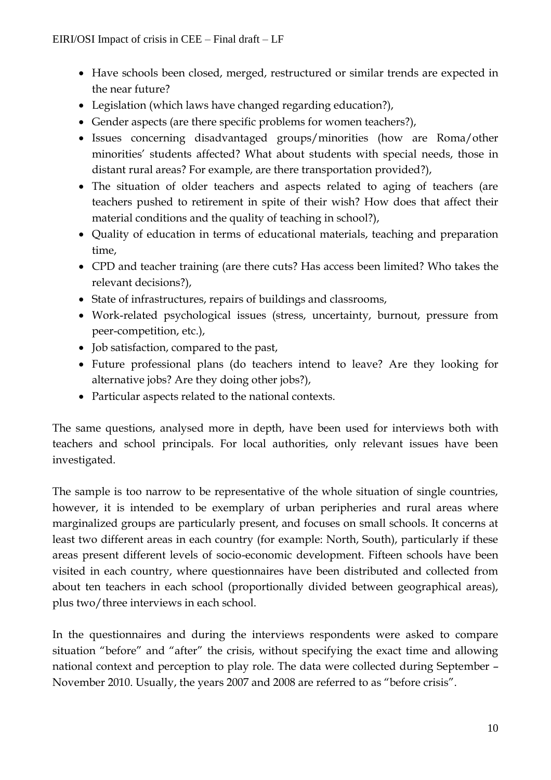- Have schools been closed, merged, restructured or similar trends are expected in the near future?
- Legislation (which laws have changed regarding education?),
- Gender aspects (are there specific problems for women teachers?),
- Issues concerning disadvantaged groups/minorities (how are Roma/other minorities' students affected? What about students with special needs, those in distant rural areas? For example, are there transportation provided?),
- The situation of older teachers and aspects related to aging of teachers (are teachers pushed to retirement in spite of their wish? How does that affect their material conditions and the quality of teaching in school?),
- Quality of education in terms of educational materials, teaching and preparation time,
- CPD and teacher training (are there cuts? Has access been limited? Who takes the relevant decisions?),
- State of infrastructures, repairs of buildings and classrooms,
- Work-related psychological issues (stress, uncertainty, burnout, pressure from peer-competition, etc.),
- Job satisfaction, compared to the past,
- Future professional plans (do teachers intend to leave? Are they looking for alternative jobs? Are they doing other jobs?),
- Particular aspects related to the national contexts.

The same questions, analysed more in depth, have been used for interviews both with teachers and school principals. For local authorities, only relevant issues have been investigated.

The sample is too narrow to be representative of the whole situation of single countries, however, it is intended to be exemplary of urban peripheries and rural areas where marginalized groups are particularly present, and focuses on small schools. It concerns at least two different areas in each country (for example: North, South), particularly if these areas present different levels of socio-economic development. Fifteen schools have been visited in each country, where questionnaires have been distributed and collected from about ten teachers in each school (proportionally divided between geographical areas), plus two/three interviews in each school.

In the questionnaires and during the interviews respondents were asked to compare situation "before" and "after" the crisis, without specifying the exact time and allowing national context and perception to play role. The data were collected during September – November 2010. Usually, the years 2007 and 2008 are referred to as "before crisis".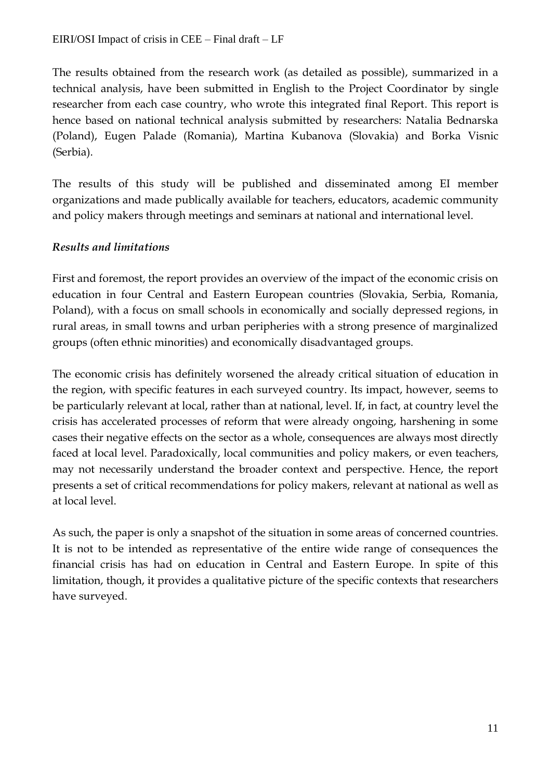The results obtained from the research work (as detailed as possible), summarized in a technical analysis, have been submitted in English to the Project Coordinator by single researcher from each case country, who wrote this integrated final Report. This report is hence based on national technical analysis submitted by researchers: Natalia Bednarska (Poland), Eugen Palade (Romania), Martina Kubanova (Slovakia) and Borka Visnic (Serbia).

The results of this study will be published and disseminated among EI member organizations and made publically available for teachers, educators, academic community and policy makers through meetings and seminars at national and international level.

# *Results and limitations*

First and foremost, the report provides an overview of the impact of the economic crisis on education in four Central and Eastern European countries (Slovakia, Serbia, Romania, Poland), with a focus on small schools in economically and socially depressed regions, in rural areas, in small towns and urban peripheries with a strong presence of marginalized groups (often ethnic minorities) and economically disadvantaged groups.

The economic crisis has definitely worsened the already critical situation of education in the region, with specific features in each surveyed country. Its impact, however, seems to be particularly relevant at local, rather than at national, level. If, in fact, at country level the crisis has accelerated processes of reform that were already ongoing, harshening in some cases their negative effects on the sector as a whole, consequences are always most directly faced at local level. Paradoxically, local communities and policy makers, or even teachers, may not necessarily understand the broader context and perspective. Hence, the report presents a set of critical recommendations for policy makers, relevant at national as well as at local level.

As such, the paper is only a snapshot of the situation in some areas of concerned countries. It is not to be intended as representative of the entire wide range of consequences the financial crisis has had on education in Central and Eastern Europe. In spite of this limitation, though, it provides a qualitative picture of the specific contexts that researchers have surveyed.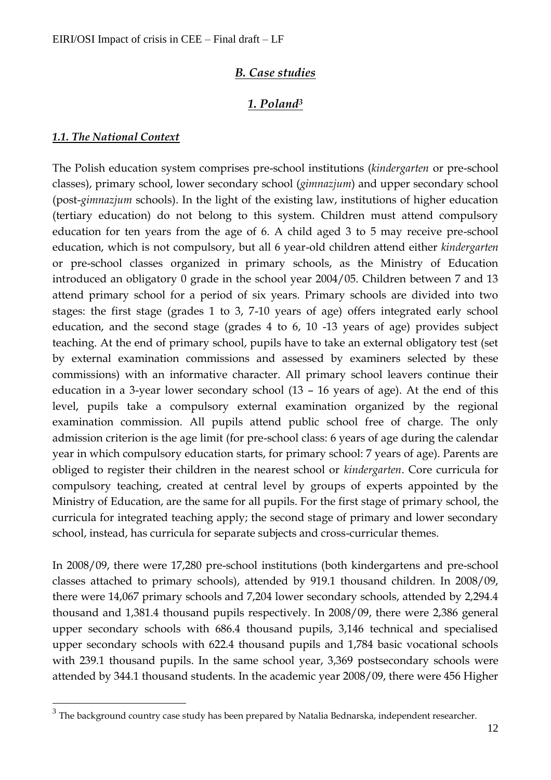# *B. Case studies*

# *1. Poland<sup>3</sup>*

#### *1.1. The National Context*

 $\overline{a}$ 

The Polish education system comprises pre-school institutions (*kindergarten* or pre-school classes), primary school, lower secondary school (*gimnazjum*) and upper secondary school (post-*gimnazjum* schools). In the light of the existing law, institutions of higher education (tertiary education) do not belong to this system. Children must attend compulsory education for ten years from the age of 6. A child aged 3 to 5 may receive pre-school education, which is not compulsory, but all 6 year-old children attend either *kindergarten* or pre-school classes organized in primary schools, as the Ministry of Education introduced an obligatory 0 grade in the school year 2004/05. Children between 7 and 13 attend primary school for a period of six years. Primary schools are divided into two stages: the first stage (grades 1 to 3, 7-10 years of age) offers integrated early school education, and the second stage (grades 4 to 6, 10 -13 years of age) provides subject teaching. At the end of primary school, pupils have to take an external obligatory test (set by external examination commissions and assessed by examiners selected by these commissions) with an informative character. All primary school leavers continue their education in a 3-year lower secondary school (13 – 16 years of age). At the end of this level, pupils take a compulsory external examination organized by the regional examination commission. All pupils attend public school free of charge. The only admission criterion is the age limit (for pre-school class: 6 years of age during the calendar year in which compulsory education starts, for primary school: 7 years of age). Parents are obliged to register their children in the nearest school or *kindergarten*. Core curricula for compulsory teaching, created at central level by groups of experts appointed by the Ministry of Education, are the same for all pupils. For the first stage of primary school, the curricula for integrated teaching apply; the second stage of primary and lower secondary school, instead, has curricula for separate subjects and cross-curricular themes.

In 2008/09, there were 17,280 pre-school institutions (both kindergartens and pre-school classes attached to primary schools), attended by 919.1 thousand children. In 2008/09, there were 14,067 primary schools and 7,204 lower secondary schools, attended by 2,294.4 thousand and 1,381.4 thousand pupils respectively. In 2008/09, there were 2,386 general upper secondary schools with 686.4 thousand pupils, 3,146 technical and specialised upper secondary schools with 622.4 thousand pupils and 1,784 basic vocational schools with 239.1 thousand pupils. In the same school year, 3,369 postsecondary schools were attended by 344.1 thousand students. In the academic year 2008/09, there were 456 Higher

 $^3$  The background country case study has been prepared by Natalia Bednarska, independent researcher.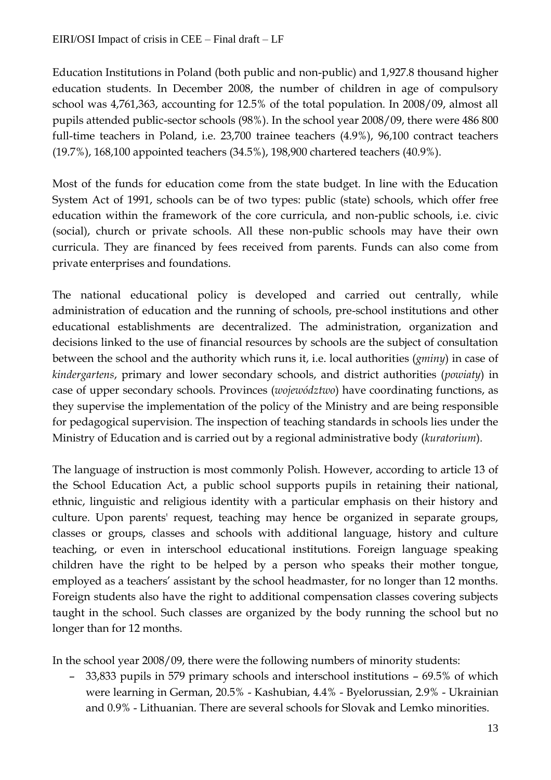Education Institutions in Poland (both public and non-public) and 1,927.8 thousand higher education students. In December 2008, the number of children in age of compulsory school was 4,761,363, accounting for 12.5% of the total population. In 2008/09, almost all pupils attended public-sector schools (98%). In the school year 2008/09, there were 486 800 full-time teachers in Poland, i.e. 23,700 trainee teachers (4.9%), 96,100 contract teachers (19.7%), 168,100 appointed teachers (34.5%), 198,900 chartered teachers (40.9%).

Most of the funds for education come from the state budget. In line with the Education System Act of 1991, schools can be of two types: public (state) schools, which offer free education within the framework of the core curricula, and non-public schools, i.e. civic (social), church or private schools. All these non-public schools may have their own curricula. They are financed by fees received from parents. Funds can also come from private enterprises and foundations.

The national educational policy is developed and carried out centrally, while administration of education and the running of schools, pre-school institutions and other educational establishments are decentralized. The administration, organization and decisions linked to the use of financial resources by schools are the subject of consultation between the school and the authority which runs it, i.e. local authorities (*gminy*) in case of *kindergartens*, primary and lower secondary schools, and district authorities (*powiaty*) in case of upper secondary schools. Provinces (*województwo*) have coordinating functions, as they supervise the implementation of the policy of the Ministry and are being responsible for pedagogical supervision. The inspection of teaching standards in schools lies under the Ministry of Education and is carried out by a regional administrative body (*kuratorium*).

The language of instruction is most commonly Polish. However, according to article 13 of the School Education Act, a public school supports pupils in retaining their national, ethnic, linguistic and religious identity with a particular emphasis on their history and culture. Upon parents' request, teaching may hence be organized in separate groups, classes or groups, classes and schools with additional language, history and culture teaching, or even in interschool educational institutions. Foreign language speaking children have the right to be helped by a person who speaks their mother tongue, employed as a teachers' assistant by the school headmaster, for no longer than 12 months. Foreign students also have the right to additional compensation classes covering subjects taught in the school. Such classes are organized by the body running the school but no longer than for 12 months.

In the school year 2008/09, there were the following numbers of minority students:

– 33,833 pupils in 579 primary schools and interschool institutions – 69.5% of which were learning in German, 20.5% - Kashubian, 4.4% - Byelorussian, 2.9% - Ukrainian and 0.9% - Lithuanian. There are several schools for Slovak and Lemko minorities.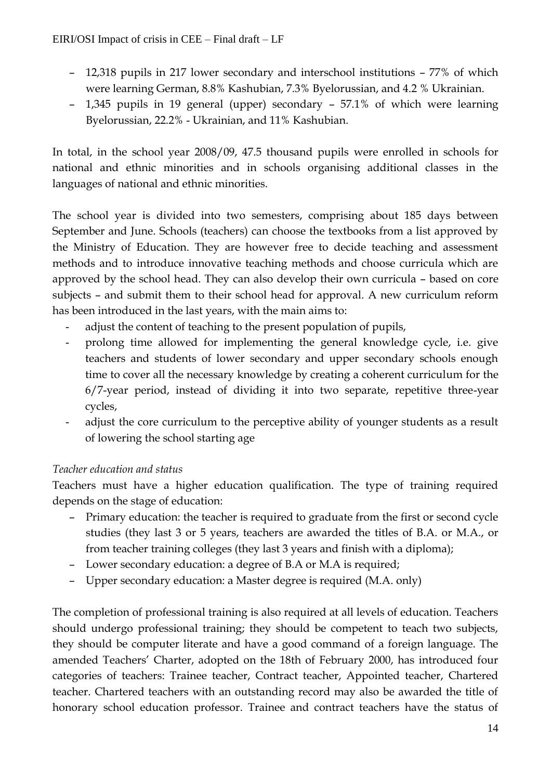- 12,318 pupils in 217 lower secondary and interschool institutions 77% of which were learning German, 8.8% Kashubian, 7.3% Byelorussian, and 4.2 % Ukrainian.
- 1,345 pupils in 19 general (upper) secondary 57.1% of which were learning Byelorussian, 22.2% - Ukrainian, and 11% Kashubian.

In total, in the school year 2008/09, 47.5 thousand pupils were enrolled in schools for national and ethnic minorities and in schools organising additional classes in the languages of national and ethnic minorities.

The school year is divided into two semesters, comprising about 185 days between September and June. Schools (teachers) can choose the textbooks from a list approved by the Ministry of Education. They are however free to decide teaching and assessment methods and to introduce innovative teaching methods and choose curricula which are approved by the school head. They can also develop their own curricula – based on core subjects – and submit them to their school head for approval. A new curriculum reform has been introduced in the last years, with the main aims to:

- adjust the content of teaching to the present population of pupils,
- prolong time allowed for implementing the general knowledge cycle, i.e. give teachers and students of lower secondary and upper secondary schools enough time to cover all the necessary knowledge by creating a coherent curriculum for the 6/7-year period, instead of dividing it into two separate, repetitive three-year cycles,
- adjust the core curriculum to the perceptive ability of younger students as a result of lowering the school starting age

# *Teacher education and status*

Teachers must have a higher education qualification. The type of training required depends on the stage of education:

- Primary education: the teacher is required to graduate from the first or second cycle studies (they last 3 or 5 years, teachers are awarded the titles of B.A. or M.A., or from teacher training colleges (they last 3 years and finish with a diploma);
- Lower secondary education: a degree of B.A or M.A is required;
- Upper secondary education: a Master degree is required (M.A. only)

The completion of professional training is also required at all levels of education. Teachers should undergo professional training; they should be competent to teach two subjects, they should be computer literate and have a good command of a foreign language. The amended Teachers' Charter, adopted on the 18th of February 2000, has introduced four categories of teachers: Trainee teacher, Contract teacher, Appointed teacher, Chartered teacher. Chartered teachers with an outstanding record may also be awarded the title of honorary school education professor. Trainee and contract teachers have the status of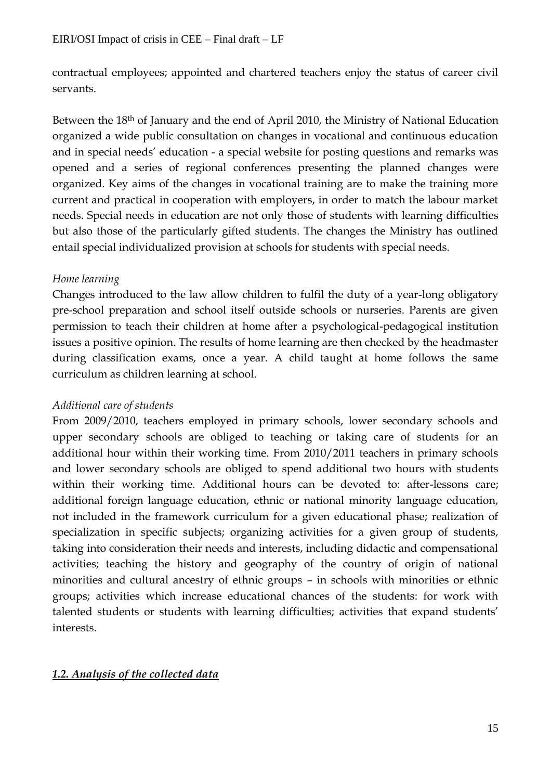contractual employees; appointed and chartered teachers enjoy the status of career civil servants.

Between the 18<sup>th</sup> of January and the end of April 2010, the Ministry of National Education organized a wide public consultation on changes in vocational and continuous education and in special needs' education - a special website for posting questions and remarks was opened and a series of regional conferences presenting the planned changes were organized. Key aims of the changes in vocational training are to make the training more current and practical in cooperation with employers, in order to match the labour market needs. Special needs in education are not only those of students with learning difficulties but also those of the particularly gifted students. The changes the Ministry has outlined entail special individualized provision at schools for students with special needs.

# *Home learning*

Changes introduced to the law allow children to fulfil the duty of a year-long obligatory pre-school preparation and school itself outside schools or nurseries. Parents are given permission to teach their children at home after a psychological-pedagogical institution issues a positive opinion. The results of home learning are then checked by the headmaster during classification exams, once a year. A child taught at home follows the same curriculum as children learning at school.

# *Additional care of students*

From 2009/2010, teachers employed in primary schools, lower secondary schools and upper secondary schools are obliged to teaching or taking care of students for an additional hour within their working time. From 2010/2011 teachers in primary schools and lower secondary schools are obliged to spend additional two hours with students within their working time. Additional hours can be devoted to: after-lessons care; additional foreign language education, ethnic or national minority language education, not included in the framework curriculum for a given educational phase; realization of specialization in specific subjects; organizing activities for a given group of students, taking into consideration their needs and interests, including didactic and compensational activities; teaching the history and geography of the country of origin of national minorities and cultural ancestry of ethnic groups – in schools with minorities or ethnic groups; activities which increase educational chances of the students: for work with talented students or students with learning difficulties; activities that expand students' interests.

# *1.2. Analysis of the collected data*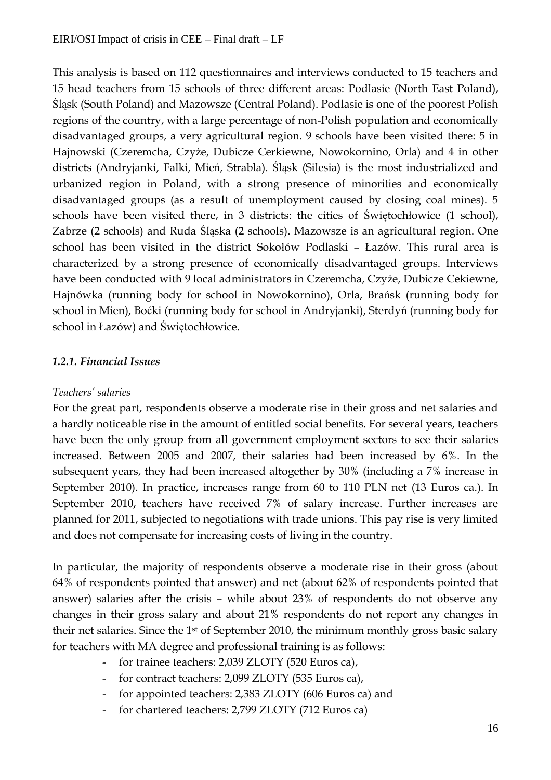This analysis is based on 112 questionnaires and interviews conducted to 15 teachers and 15 head teachers from 15 schools of three different areas: Podlasie (North East Poland), Śląsk (South Poland) and Mazowsze (Central Poland). Podlasie is one of the poorest Polish regions of the country, with a large percentage of non-Polish population and economically disadvantaged groups, a very agricultural region. 9 schools have been visited there: 5 in Hajnowski (Czeremcha, Czyże, Dubicze Cerkiewne, Nowokornino, Orla) and 4 in other districts (Andryjanki, Falki, Mień, Strabla). Śląsk (Silesia) is the most industrialized and urbanized region in Poland, with a strong presence of minorities and economically disadvantaged groups (as a result of unemployment caused by closing coal mines). 5 schools have been visited there, in 3 districts: the cities of Świętochłowice (1 school), Zabrze (2 schools) and Ruda Śląska (2 schools). Mazowsze is an agricultural region. One school has been visited in the district Sokołów Podlaski – Łazów. This rural area is characterized by a strong presence of economically disadvantaged groups. Interviews have been conducted with 9 local administrators in Czeremcha, Czyże, Dubicze Cekiewne, Hajnówka (running body for school in Nowokornino), Orla, Brańsk (running body for school in Mien), Boćki (running body for school in Andryjanki), Sterdyń (running body for school in Łazów) and Świętochłowice.

# *1.2.1. Financial Issues*

# *Teachers' salaries*

For the great part, respondents observe a moderate rise in their gross and net salaries and a hardly noticeable rise in the amount of entitled social benefits. For several years, teachers have been the only group from all government employment sectors to see their salaries increased. Between 2005 and 2007, their salaries had been increased by 6%. In the subsequent years, they had been increased altogether by 30% (including a 7% increase in September 2010). In practice, increases range from 60 to 110 PLN net (13 Euros ca.). In September 2010, teachers have received 7% of salary increase. Further increases are planned for 2011, subjected to negotiations with trade unions. This pay rise is very limited and does not compensate for increasing costs of living in the country.

In particular, the majority of respondents observe a moderate rise in their gross (about 64% of respondents pointed that answer) and net (about 62% of respondents pointed that answer) salaries after the crisis – while about 23% of respondents do not observe any changes in their gross salary and about 21% respondents do not report any changes in their net salaries. Since the 1st of September 2010, the minimum monthly gross basic salary for teachers with MA degree and professional training is as follows:

- for trainee teachers: 2,039 ZLOTY (520 Euros ca),
- for contract teachers: 2,099 ZLOTY (535 Euros ca),
- for appointed teachers: 2,383 ZLOTY (606 Euros ca) and
- for chartered teachers: 2,799 ZLOTY (712 Euros ca)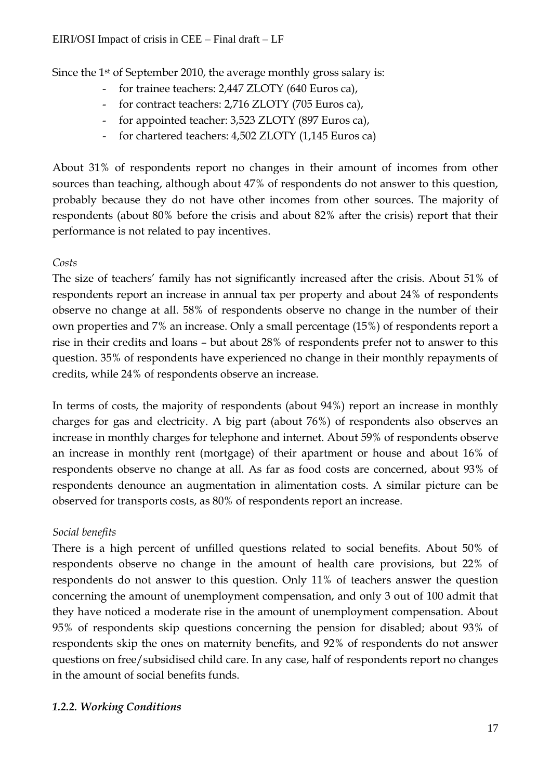Since the 1st of September 2010, the average monthly gross salary is:

- for trainee teachers: 2,447 ZLOTY (640 Euros ca),
- for contract teachers: 2,716 ZLOTY (705 Euros ca),
- for appointed teacher: 3,523 ZLOTY (897 Euros ca),
- for chartered teachers: 4,502 ZLOTY (1,145 Euros ca)

About 31% of respondents report no changes in their amount of incomes from other sources than teaching, although about 47% of respondents do not answer to this question, probably because they do not have other incomes from other sources. The majority of respondents (about 80% before the crisis and about 82% after the crisis) report that their performance is not related to pay incentives.

# *Costs*

The size of teachers' family has not significantly increased after the crisis. About 51% of respondents report an increase in annual tax per property and about 24% of respondents observe no change at all. 58% of respondents observe no change in the number of their own properties and 7% an increase. Only a small percentage (15%) of respondents report a rise in their credits and loans – but about 28% of respondents prefer not to answer to this question. 35% of respondents have experienced no change in their monthly repayments of credits, while 24% of respondents observe an increase.

In terms of costs, the majority of respondents (about 94%) report an increase in monthly charges for gas and electricity. A big part (about 76%) of respondents also observes an increase in monthly charges for telephone and internet. About 59% of respondents observe an increase in monthly rent (mortgage) of their apartment or house and about 16% of respondents observe no change at all. As far as food costs are concerned, about 93% of respondents denounce an augmentation in alimentation costs. A similar picture can be observed for transports costs, as 80% of respondents report an increase.

# *Social benefits*

There is a high percent of unfilled questions related to social benefits. About 50% of respondents observe no change in the amount of health care provisions, but 22% of respondents do not answer to this question. Only 11% of teachers answer the question concerning the amount of unemployment compensation, and only 3 out of 100 admit that they have noticed a moderate rise in the amount of unemployment compensation. About 95% of respondents skip questions concerning the pension for disabled; about 93% of respondents skip the ones on maternity benefits, and 92% of respondents do not answer questions on free/subsidised child care. In any case, half of respondents report no changes in the amount of social benefits funds.

# *1.2.2. Working Conditions*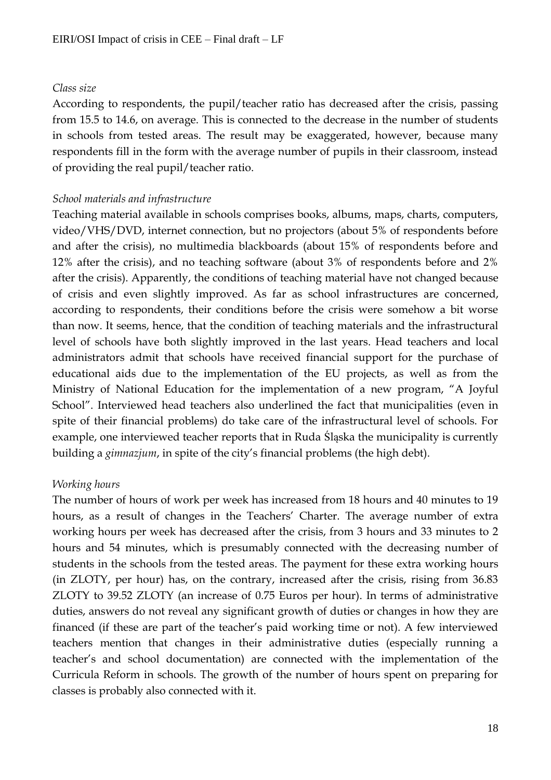#### *Class size*

According to respondents, the pupil/teacher ratio has decreased after the crisis, passing from 15.5 to 14.6, on average. This is connected to the decrease in the number of students in schools from tested areas. The result may be exaggerated, however, because many respondents fill in the form with the average number of pupils in their classroom, instead of providing the real pupil/teacher ratio.

#### *School materials and infrastructure*

Teaching material available in schools comprises books, albums, maps, charts, computers, video/VHS/DVD, internet connection, but no projectors (about 5% of respondents before and after the crisis), no multimedia blackboards (about 15% of respondents before and 12% after the crisis), and no teaching software (about 3% of respondents before and 2% after the crisis). Apparently, the conditions of teaching material have not changed because of crisis and even slightly improved. As far as school infrastructures are concerned, according to respondents, their conditions before the crisis were somehow a bit worse than now. It seems, hence, that the condition of teaching materials and the infrastructural level of schools have both slightly improved in the last years. Head teachers and local administrators admit that schools have received financial support for the purchase of educational aids due to the implementation of the EU projects, as well as from the Ministry of National Education for the implementation of a new program, "A Joyful School". Interviewed head teachers also underlined the fact that municipalities (even in spite of their financial problems) do take care of the infrastructural level of schools. For example, one interviewed teacher reports that in Ruda Śląska the municipality is currently building a *gimnazjum*, in spite of the city's financial problems (the high debt).

#### *Working hours*

The number of hours of work per week has increased from 18 hours and 40 minutes to 19 hours, as a result of changes in the Teachers' Charter. The average number of extra working hours per week has decreased after the crisis, from 3 hours and 33 minutes to 2 hours and 54 minutes, which is presumably connected with the decreasing number of students in the schools from the tested areas. The payment for these extra working hours (in ZLOTY, per hour) has, on the contrary, increased after the crisis, rising from 36.83 ZLOTY to 39.52 ZLOTY (an increase of 0.75 Euros per hour). In terms of administrative duties, answers do not reveal any significant growth of duties or changes in how they are financed (if these are part of the teacher's paid working time or not). A few interviewed teachers mention that changes in their administrative duties (especially running a teacher's and school documentation) are connected with the implementation of the Curricula Reform in schools. The growth of the number of hours spent on preparing for classes is probably also connected with it.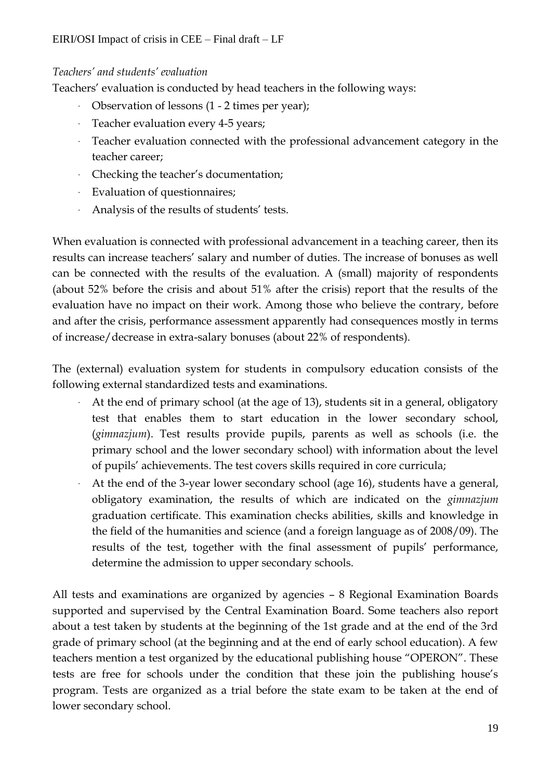# *Teachers' and students' evaluation*

Teachers' evaluation is conducted by head teachers in the following ways:

- Observation of lessons (1 2 times per year);
- Teacher evaluation every 4-5 years;
- Teacher evaluation connected with the professional advancement category in the teacher career;
- Checking the teacher's documentation;
- Evaluation of questionnaires;
- Analysis of the results of students' tests.

When evaluation is connected with professional advancement in a teaching career, then its results can increase teachers' salary and number of duties. The increase of bonuses as well can be connected with the results of the evaluation. A (small) majority of respondents (about 52% before the crisis and about 51% after the crisis) report that the results of the evaluation have no impact on their work. Among those who believe the contrary, before and after the crisis, performance assessment apparently had consequences mostly in terms of increase/decrease in extra-salary bonuses (about 22% of respondents).

The (external) evaluation system for students in compulsory education consists of the following external standardized tests and examinations.

- At the end of primary school (at the age of 13), students sit in a general, obligatory test that enables them to start education in the lower secondary school, (*gimnazjum*). Test results provide pupils, parents as well as schools (i.e. the primary school and the lower secondary school) with information about the level of pupils' achievements. The test covers skills required in core curricula;
- At the end of the 3-year lower secondary school (age 16), students have a general, obligatory examination, the results of which are indicated on the *gimnazjum* graduation certificate. This examination checks abilities, skills and knowledge in the field of the humanities and science (and a foreign language as of 2008/09). The results of the test, together with the final assessment of pupils' performance, determine the admission to upper secondary schools.

All tests and examinations are organized by agencies – 8 Regional Examination Boards supported and supervised by the Central Examination Board. Some teachers also report about a test taken by students at the beginning of the 1st grade and at the end of the 3rd grade of primary school (at the beginning and at the end of early school education). A few teachers mention a test organized by the educational publishing house "OPERON". These tests are free for schools under the condition that these join the publishing house's program. Tests are organized as a trial before the state exam to be taken at the end of lower secondary school.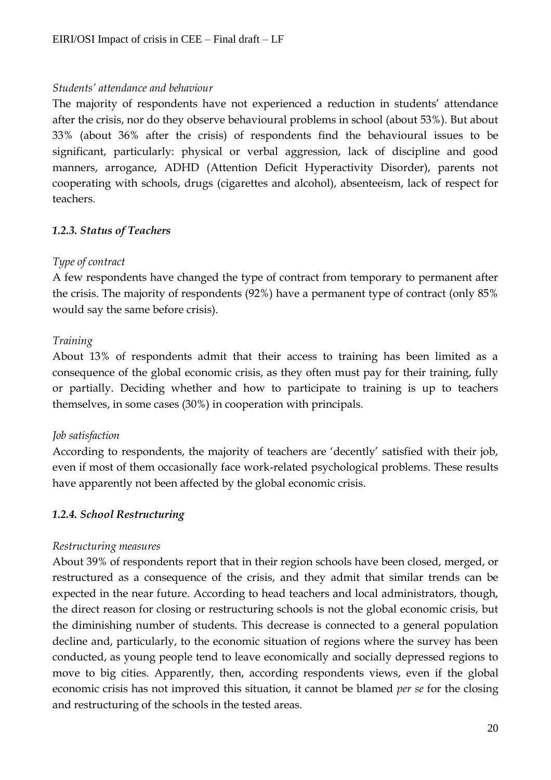#### *Students' attendance and behaviour*

The majority of respondents have not experienced a reduction in students' attendance after the crisis, nor do they observe behavioural problems in school (about 53%). But about 33% (about 36% after the crisis) of respondents find the behavioural issues to be significant, particularly: physical or verbal aggression, lack of discipline and good manners, arrogance, ADHD (Attention Deficit Hyperactivity Disorder), parents not cooperating with schools, drugs (cigarettes and alcohol), absenteeism, lack of respect for teachers.

# *1.2.3. Status of Teachers*

# *Type of contract*

A few respondents have changed the type of contract from temporary to permanent after the crisis. The majority of respondents (92%) have a permanent type of contract (only 85% would say the same before crisis).

# *Training*

About 13% of respondents admit that their access to training has been limited as a consequence of the global economic crisis, as they often must pay for their training, fully or partially. Deciding whether and how to participate to training is up to teachers themselves, in some cases (30%) in cooperation with principals.

# *Job satisfaction*

According to respondents, the majority of teachers are 'decently' satisfied with their job, even if most of them occasionally face work-related psychological problems. These results have apparently not been affected by the global economic crisis.

# *1.2.4. School Restructuring*

# *Restructuring measures*

About 39% of respondents report that in their region schools have been closed, merged, or restructured as a consequence of the crisis, and they admit that similar trends can be expected in the near future. According to head teachers and local administrators, though, the direct reason for closing or restructuring schools is not the global economic crisis, but the diminishing number of students. This decrease is connected to a general population decline and, particularly, to the economic situation of regions where the survey has been conducted, as young people tend to leave economically and socially depressed regions to move to big cities. Apparently, then, according respondents views, even if the global economic crisis has not improved this situation, it cannot be blamed *per se* for the closing and restructuring of the schools in the tested areas.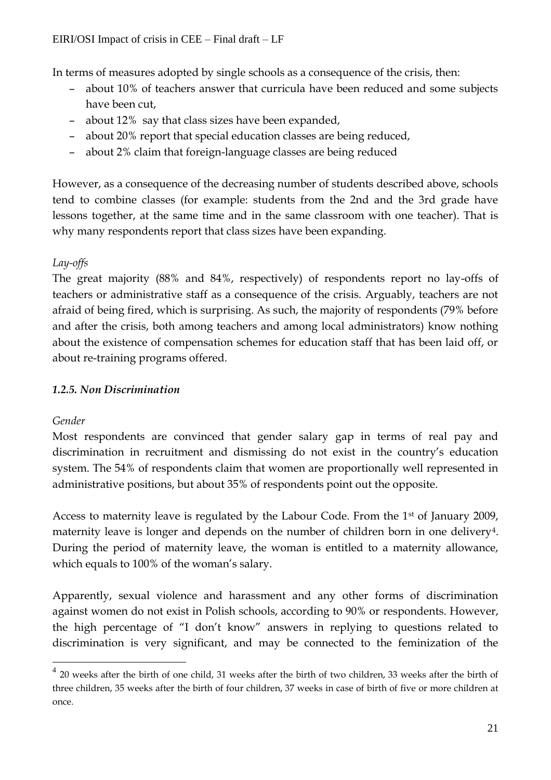In terms of measures adopted by single schools as a consequence of the crisis, then:

- about 10% of teachers answer that curricula have been reduced and some subjects have been cut,
- about 12% say that class sizes have been expanded,
- about 20% report that special education classes are being reduced,
- about 2% claim that foreign-language classes are being reduced

However, as a consequence of the decreasing number of students described above, schools tend to combine classes (for example: students from the 2nd and the 3rd grade have lessons together, at the same time and in the same classroom with one teacher). That is why many respondents report that class sizes have been expanding.

# *Lay-offs*

The great majority (88% and 84%, respectively) of respondents report no lay-offs of teachers or administrative staff as a consequence of the crisis. Arguably, teachers are not afraid of being fired, which is surprising. As such, the majority of respondents (79% before and after the crisis, both among teachers and among local administrators) know nothing about the existence of compensation schemes for education staff that has been laid off, or about re-training programs offered.

# *1.2.5. Non Discrimination*

# *Gender*

 $\overline{a}$ 

Most respondents are convinced that gender salary gap in terms of real pay and discrimination in recruitment and dismissing do not exist in the country's education system. The 54% of respondents claim that women are proportionally well represented in administrative positions, but about 35% of respondents point out the opposite.

Access to maternity leave is regulated by the Labour Code. From the 1<sup>st</sup> of January 2009, maternity leave is longer and depends on the number of children born in one delivery<sup>4</sup>. During the period of maternity leave, the woman is entitled to a maternity allowance, which equals to 100% of the woman's salary.

Apparently, sexual violence and harassment and any other forms of discrimination against women do not exist in Polish schools, according to 90% or respondents. However, the high percentage of "I don't know" answers in replying to questions related to discrimination is very significant, and may be connected to the feminization of the

 $4$  20 weeks after the birth of one child, 31 weeks after the birth of two children, 33 weeks after the birth of three children, 35 weeks after the birth of four children, 37 weeks in case of birth of five or more children at once.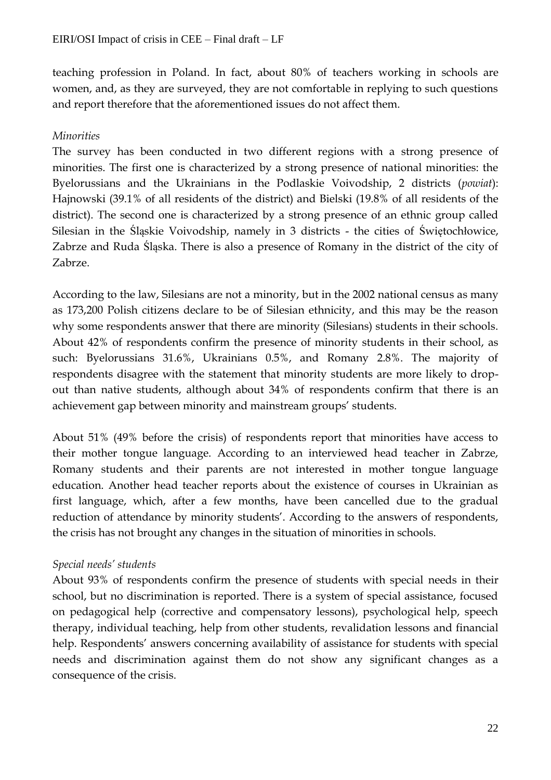teaching profession in Poland. In fact, about 80% of teachers working in schools are women, and, as they are surveyed, they are not comfortable in replying to such questions and report therefore that the aforementioned issues do not affect them.

# *Minorities*

The survey has been conducted in two different regions with a strong presence of minorities. The first one is characterized by a strong presence of national minorities: the Byelorussians and the Ukrainians in the Podlaskie Voivodship, 2 districts (*powiat*): Hajnowski (39.1% of all residents of the district) and Bielski (19.8% of all residents of the district). The second one is characterized by a strong presence of an ethnic group called Silesian in the Śląskie Voivodship, namely in 3 districts - the cities of Świętochłowice, Zabrze and Ruda Śląska. There is also a presence of Romany in the district of the city of Zabrze.

According to the law, Silesians are not a minority, but in the 2002 national census as many as 173,200 Polish citizens declare to be of Silesian ethnicity, and this may be the reason why some respondents answer that there are minority (Silesians) students in their schools. About 42% of respondents confirm the presence of minority students in their school, as such: Byelorussians 31.6%, Ukrainians 0.5%, and Romany 2.8%. The majority of respondents disagree with the statement that minority students are more likely to dropout than native students, although about 34% of respondents confirm that there is an achievement gap between minority and mainstream groups' students.

About 51% (49% before the crisis) of respondents report that minorities have access to their mother tongue language. According to an interviewed head teacher in Zabrze, Romany students and their parents are not interested in mother tongue language education. Another head teacher reports about the existence of courses in Ukrainian as first language, which, after a few months, have been cancelled due to the gradual reduction of attendance by minority students'. According to the answers of respondents, the crisis has not brought any changes in the situation of minorities in schools.

# *Special needs' students*

About 93% of respondents confirm the presence of students with special needs in their school, but no discrimination is reported. There is a system of special assistance, focused on pedagogical help (corrective and compensatory lessons), psychological help, speech therapy, individual teaching, help from other students, revalidation lessons and financial help. Respondents' answers concerning availability of assistance for students with special needs and discrimination against them do not show any significant changes as a consequence of the crisis.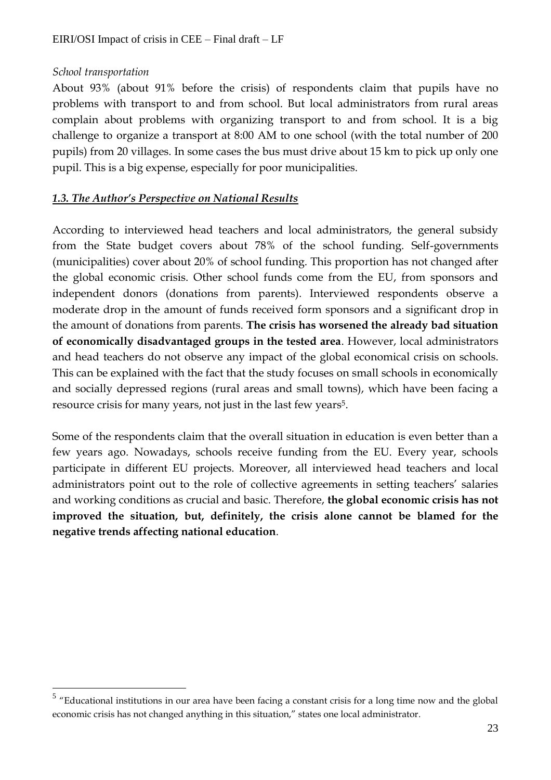# *School transportation*

About 93% (about 91% before the crisis) of respondents claim that pupils have no problems with transport to and from school. But local administrators from rural areas complain about problems with organizing transport to and from school. It is a big challenge to organize a transport at 8:00 AM to one school (with the total number of 200 pupils) from 20 villages. In some cases the bus must drive about 15 km to pick up only one pupil. This is a big expense, especially for poor municipalities.

# *1.3. The Author's Perspective on National Results*

According to interviewed head teachers and local administrators, the general subsidy from the State budget covers about 78% of the school funding. Self-governments (municipalities) cover about 20% of school funding. This proportion has not changed after the global economic crisis. Other school funds come from the EU, from sponsors and independent donors (donations from parents). Interviewed respondents observe a moderate drop in the amount of funds received form sponsors and a significant drop in the amount of donations from parents. **The crisis has worsened the already bad situation of economically disadvantaged groups in the tested area**. However, local administrators and head teachers do not observe any impact of the global economical crisis on schools. This can be explained with the fact that the study focuses on small schools in economically and socially depressed regions (rural areas and small towns), which have been facing a resource crisis for many years, not just in the last few years<sup>5</sup>.

Some of the respondents claim that the overall situation in education is even better than a few years ago. Nowadays, schools receive funding from the EU. Every year, schools participate in different EU projects. Moreover, all interviewed head teachers and local administrators point out to the role of collective agreements in setting teachers' salaries and working conditions as crucial and basic. Therefore, **the global economic crisis has not improved the situation, but, definitely, the crisis alone cannot be blamed for the negative trends affecting national education**.

 5 "Educational institutions in our area have been facing a constant crisis for a long time now and the global economic crisis has not changed anything in this situation," states one local administrator.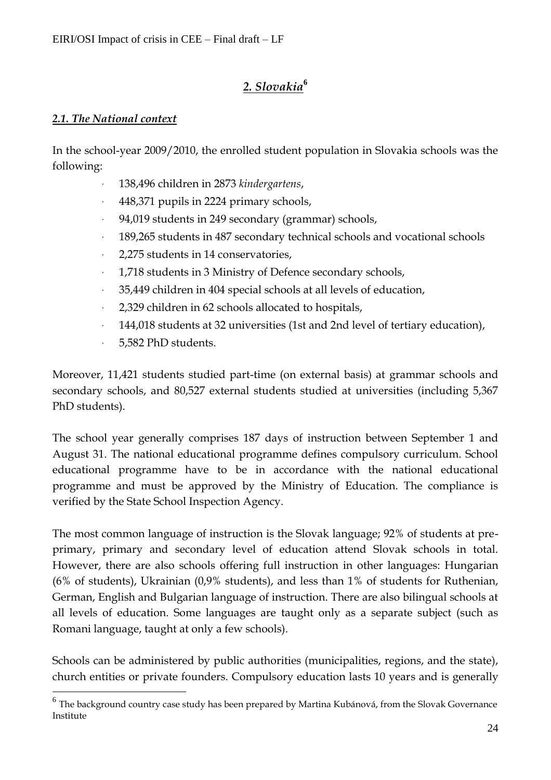# *2. Slovakia***<sup>6</sup>**

# *2.1. The National context*

In the school-year 2009/2010, the enrolled student population in Slovakia schools was the following:

- 138,496 children in 2873 *kindergartens*,
- 448,371 pupils in 2224 primary schools,
- 94,019 students in 249 secondary (grammar) schools,
- 189,265 students in 487 secondary technical schools and vocational schools
- 2,275 students in 14 conservatories,
- 1,718 students in 3 Ministry of Defence secondary schools,
- 35,449 children in 404 special schools at all levels of education,
- 2,329 children in 62 schools allocated to hospitals,
- 144,018 students at 32 universities (1st and 2nd level of tertiary education),
- 5,582 PhD students.

 $\overline{a}$ 

Moreover, 11,421 students studied part-time (on external basis) at grammar schools and secondary schools, and 80,527 external students studied at universities (including 5,367 PhD students).

The school year generally comprises 187 days of instruction between September 1 and August 31. The national educational programme defines compulsory curriculum. School educational programme have to be in accordance with the national educational programme and must be approved by the Ministry of Education. The compliance is verified by the State School Inspection Agency.

The most common language of instruction is the Slovak language; 92% of students at preprimary, primary and secondary level of education attend Slovak schools in total. However, there are also schools offering full instruction in other languages: Hungarian (6% of students), Ukrainian (0,9% students), and less than 1% of students for Ruthenian, German, English and Bulgarian language of instruction. There are also bilingual schools at all levels of education. Some languages are taught only as a separate subject (such as Romani language, taught at only a few schools).

Schools can be administered by public authorities (municipalities, regions, and the state), church entities or private founders. Compulsory education lasts 10 years and is generally

 $^6$  The background country case study has been prepared by Martina Kubánová, from the Slovak Governance Institute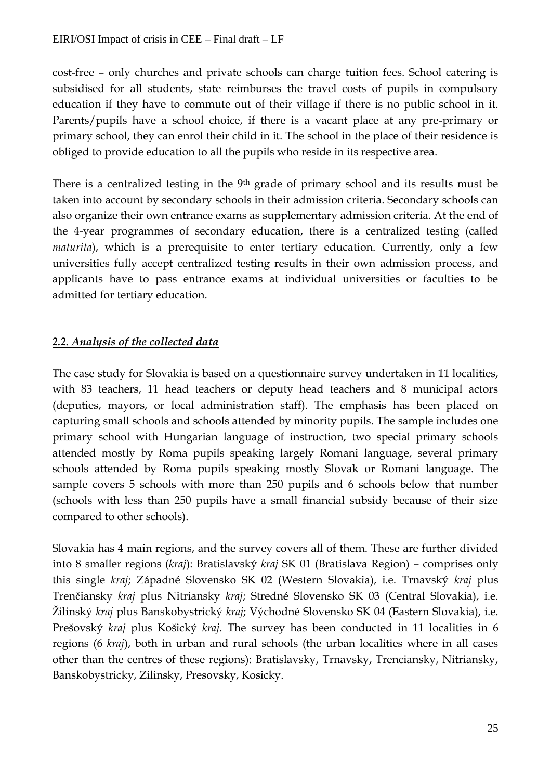cost-free – only churches and private schools can charge tuition fees. School catering is subsidised for all students, state reimburses the travel costs of pupils in compulsory education if they have to commute out of their village if there is no public school in it. Parents/pupils have a school choice, if there is a vacant place at any pre-primary or primary school, they can enrol their child in it. The school in the place of their residence is obliged to provide education to all the pupils who reside in its respective area.

There is a centralized testing in the 9<sup>th</sup> grade of primary school and its results must be taken into account by secondary schools in their admission criteria. Secondary schools can also organize their own entrance exams as supplementary admission criteria. At the end of the 4-year programmes of secondary education, there is a centralized testing (called *maturita*), which is a prerequisite to enter tertiary education. Currently, only a few universities fully accept centralized testing results in their own admission process, and applicants have to pass entrance exams at individual universities or faculties to be admitted for tertiary education.

# *2.2. Analysis of the collected data*

The case study for Slovakia is based on a questionnaire survey undertaken in 11 localities, with 83 teachers, 11 head teachers or deputy head teachers and 8 municipal actors (deputies, mayors, or local administration staff). The emphasis has been placed on capturing small schools and schools attended by minority pupils. The sample includes one primary school with Hungarian language of instruction, two special primary schools attended mostly by Roma pupils speaking largely Romani language, several primary schools attended by Roma pupils speaking mostly Slovak or Romani language. The sample covers 5 schools with more than 250 pupils and 6 schools below that number (schools with less than 250 pupils have a small financial subsidy because of their size compared to other schools).

Slovakia has 4 main regions, and the survey covers all of them. These are further divided into 8 smaller regions (*kraj*): Bratislavský *kraj* SK 01 (Bratislava Region) – comprises only this single *kraj*; Západné Slovensko SK 02 (Western Slovakia), i.e. Trnavský *kraj* plus Trenčiansky *kraj* plus Nitriansky *kraj*; Stredné Slovensko SK 03 (Central Slovakia), i.e. Žilinský *kraj* plus Banskobystrický *kraj*; Východné Slovensko SK 04 (Eastern Slovakia), i.e. Prešovský *kraj* plus Košický *kraj*. The survey has been conducted in 11 localities in 6 regions (6 *kraj*), both in urban and rural schools (the urban localities where in all cases other than the centres of these regions): Bratislavsky, Trnavsky, Trenciansky, Nitriansky, Banskobystricky, Zilinsky, Presovsky, Kosicky.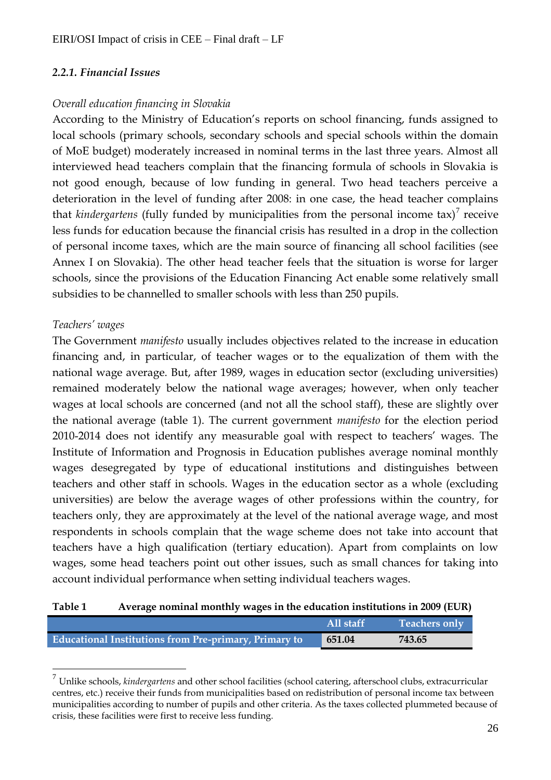# *2.2.1. Financial Issues*

#### *Overall education financing in Slovakia*

According to the Ministry of Education's reports on school financing, funds assigned to local schools (primary schools, secondary schools and special schools within the domain of MoE budget) moderately increased in nominal terms in the last three years. Almost all interviewed head teachers complain that the financing formula of schools in Slovakia is not good enough, because of low funding in general. Two head teachers perceive a deterioration in the level of funding after 2008: in one case, the head teacher complains that *kindergartens* (fully funded by municipalities from the personal income tax)<sup>7</sup> receive less funds for education because the financial crisis has resulted in a drop in the collection of personal income taxes, which are the main source of financing all school facilities (see Annex I on Slovakia). The other head teacher feels that the situation is worse for larger schools, since the provisions of the Education Financing Act enable some relatively small subsidies to be channelled to smaller schools with less than 250 pupils.

#### *Teachers' wages*

 $\overline{a}$ 

The Government *manifesto* usually includes objectives related to the increase in education financing and, in particular, of teacher wages or to the equalization of them with the national wage average. But, after 1989, wages in education sector (excluding universities) remained moderately below the national wage averages; however, when only teacher wages at local schools are concerned (and not all the school staff), these are slightly over the national average (table 1). The current government *manifesto* for the election period 2010-2014 does not identify any measurable goal with respect to teachers' wages. The Institute of Information and Prognosis in Education publishes average nominal monthly wages desegregated by type of educational institutions and distinguishes between teachers and other staff in schools. Wages in the education sector as a whole (excluding universities) are below the average wages of other professions within the country, for teachers only, they are approximately at the level of the national average wage, and most respondents in schools complain that the wage scheme does not take into account that teachers have a high qualification (tertiary education). Apart from complaints on low wages, some head teachers point out other issues, such as small chances for taking into account individual performance when setting individual teachers wages.

**Table 1 Average nominal monthly wages in the education institutions in 2009 (EUR)**

|                                                              | All staff | <b>Teachers only</b> |
|--------------------------------------------------------------|-----------|----------------------|
| <b>Educational Institutions from Pre-primary, Primary to</b> | 651.04    | 743.65               |

<sup>7</sup> Unlike schools, *kindergartens* and other school facilities (school catering, afterschool clubs, extracurricular centres, etc.) receive their funds from municipalities based on redistribution of personal income tax between municipalities according to number of pupils and other criteria. As the taxes collected plummeted because of crisis, these facilities were first to receive less funding.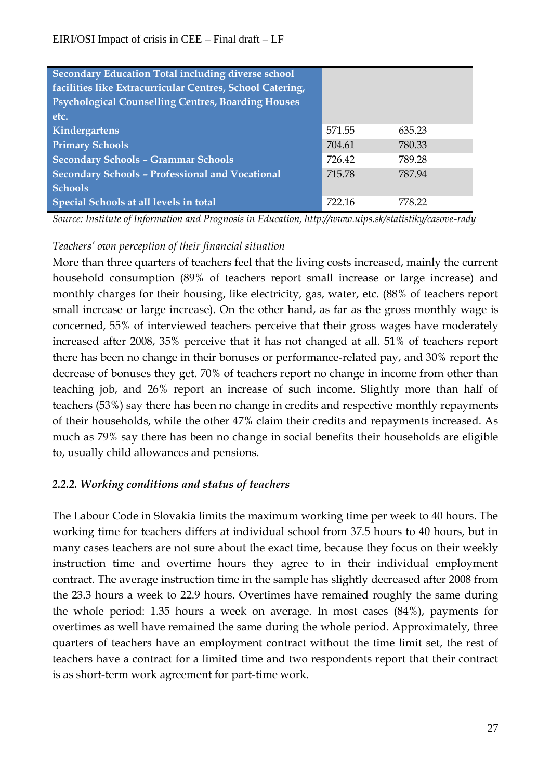| <b>Secondary Education Total including diverse school</b><br>facilities like Extracurricular Centres, School Catering,<br><b>Psychological Counselling Centres, Boarding Houses</b><br>etc. |        |        |
|---------------------------------------------------------------------------------------------------------------------------------------------------------------------------------------------|--------|--------|
| Kindergartens                                                                                                                                                                               | 571.55 | 635.23 |
| <b>Primary Schools</b>                                                                                                                                                                      | 704.61 | 780.33 |
| <b>Secondary Schools - Grammar Schools</b>                                                                                                                                                  | 726.42 | 789.28 |
| <b>Secondary Schools - Professional and Vocational</b>                                                                                                                                      | 715.78 | 787.94 |
| <b>Schools</b>                                                                                                                                                                              |        |        |
| Special Schools at all levels in total                                                                                                                                                      | 722.16 | 778.22 |

*Source: Institute of Information and Prognosis in Education, http://www.uips.sk/statistiky/casove-rady*

# *Teachers' own perception of their financial situation*

More than three quarters of teachers feel that the living costs increased, mainly the current household consumption (89% of teachers report small increase or large increase) and monthly charges for their housing, like electricity, gas, water, etc. (88% of teachers report small increase or large increase). On the other hand, as far as the gross monthly wage is concerned, 55% of interviewed teachers perceive that their gross wages have moderately increased after 2008, 35% perceive that it has not changed at all. 51% of teachers report there has been no change in their bonuses or performance-related pay, and 30% report the decrease of bonuses they get. 70% of teachers report no change in income from other than teaching job, and 26% report an increase of such income. Slightly more than half of teachers (53%) say there has been no change in credits and respective monthly repayments of their households, while the other 47% claim their credits and repayments increased. As much as 79% say there has been no change in social benefits their households are eligible to, usually child allowances and pensions.

# *2.2.2. Working conditions and status of teachers*

The Labour Code in Slovakia limits the maximum working time per week to 40 hours. The working time for teachers differs at individual school from 37.5 hours to 40 hours, but in many cases teachers are not sure about the exact time, because they focus on their weekly instruction time and overtime hours they agree to in their individual employment contract. The average instruction time in the sample has slightly decreased after 2008 from the 23.3 hours a week to 22.9 hours. Overtimes have remained roughly the same during the whole period: 1.35 hours a week on average. In most cases (84%), payments for overtimes as well have remained the same during the whole period. Approximately, three quarters of teachers have an employment contract without the time limit set, the rest of teachers have a contract for a limited time and two respondents report that their contract is as short-term work agreement for part-time work.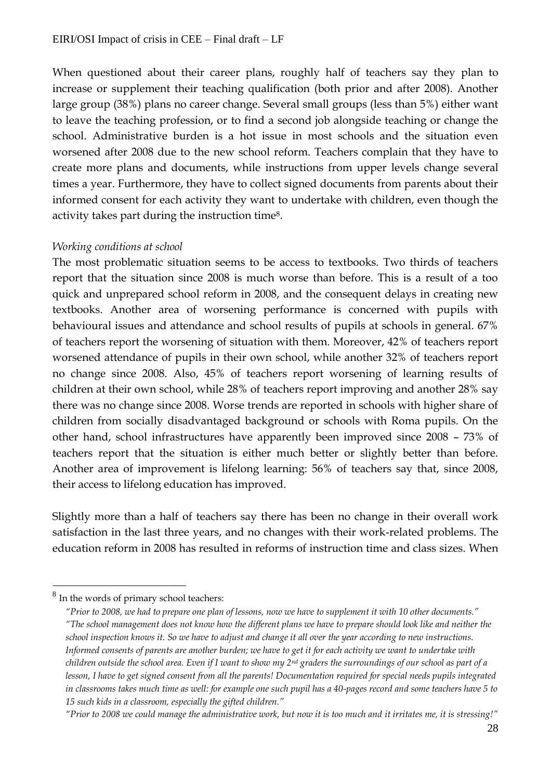When questioned about their career plans, roughly half of teachers say they plan to increase or supplement their teaching qualification (both prior and after 2008). Another large group (38%) plans no career change. Several small groups (less than 5%) either want to leave the teaching profession, or to find a second job alongside teaching or change the school. Administrative burden is a hot issue in most schools and the situation even worsened after 2008 due to the new school reform. Teachers complain that they have to create more plans and documents, while instructions from upper levels change several times a year. Furthermore, they have to collect signed documents from parents about their informed consent for each activity they want to undertake with children, even though the activity takes part during the instruction time8.

#### *Working conditions at school*

The most problematic situation seems to be access to textbooks. Two thirds of teachers report that the situation since 2008 is much worse than before. This is a result of a too quick and unprepared school reform in 2008, and the consequent delays in creating new textbooks. Another area of worsening performance is concerned with pupils with behavioural issues and attendance and school results of pupils at schools in general. 67% of teachers report the worsening of situation with them. Moreover, 42% of teachers report worsened attendance of pupils in their own school, while another 32% of teachers report no change since 2008. Also, 45% of teachers report worsening of learning results of children at their own school, while 28% of teachers report improving and another 28% say there was no change since 2008. Worse trends are reported in schools with higher share of children from socially disadvantaged background or schools with Roma pupils. On the other hand, school infrastructures have apparently been improved since 2008 – 73% of teachers report that the situation is either much better or slightly better than before. Another area of improvement is lifelong learning: 56% of teachers say that, since 2008, their access to lifelong education has improved.

Slightly more than a half of teachers say there has been no change in their overall work satisfaction in the last three years, and no changes with their work-related problems. The education reform in 2008 has resulted in reforms of instruction time and class sizes. When

 $\overline{a}$ 

<sup>&</sup>lt;sup>8</sup> In the words of primary school teachers:

*<sup>&</sup>quot;Prior to 2008, we had to prepare one plan of lessons, now we have to supplement it with 10 other documents." "The school management does not know how the different plans we have to prepare should look like and neither the school inspection knows it. So we have to adjust and change it all over the year according to new instructions. Informed consents of parents are another burden; we have to get it for each activity we want to undertake with children outside the school area. Even if I want to show my 2nd graders the surroundings of our school as part of a lesson, I have to get signed consent from all the parents! Documentation required for special needs pupils integrated in classrooms takes much time as well: for example one such pupil has a 40-pages record and some teachers have 5 to 15 such kids in a classroom, especially the gifted children."*

*<sup>&</sup>quot;Prior to 2008 we could manage the administrative work, but now it is too much and it irritates me, it is stressing!"*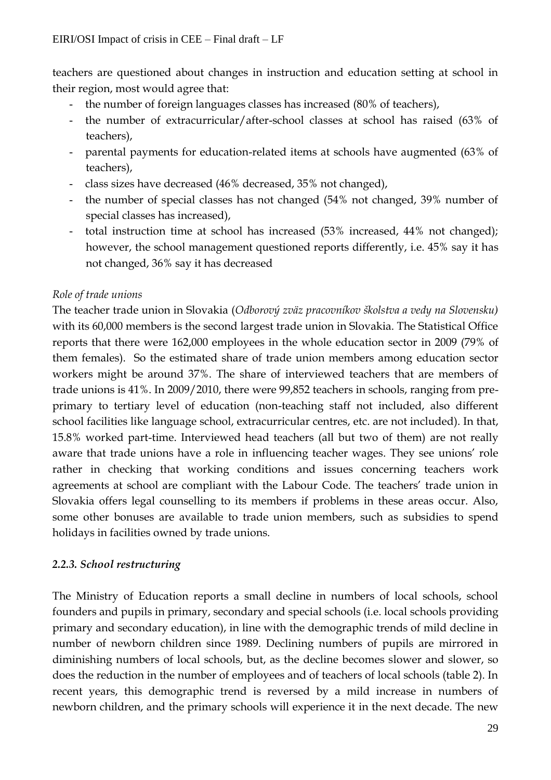teachers are questioned about changes in instruction and education setting at school in their region, most would agree that:

- the number of foreign languages classes has increased (80% of teachers),
- the number of extracurricular/after-school classes at school has raised (63% of teachers),
- parental payments for education-related items at schools have augmented (63% of teachers),
- class sizes have decreased (46% decreased, 35% not changed),
- the number of special classes has not changed (54% not changed, 39% number of special classes has increased),
- total instruction time at school has increased (53% increased, 44% not changed); however, the school management questioned reports differently, i.e. 45% say it has not changed, 36% say it has decreased

#### *Role of trade unions*

The teacher trade union in Slovakia (*Odborový zväz pracovníkov školstva a vedy na Slovensku)*  with its 60,000 members is the second largest trade union in Slovakia. The Statistical Office reports that there were 162,000 employees in the whole education sector in 2009 (79% of them females). So the estimated share of trade union members among education sector workers might be around 37%. The share of interviewed teachers that are members of trade unions is 41%. In 2009/2010, there were 99,852 teachers in schools, ranging from preprimary to tertiary level of education (non-teaching staff not included, also different school facilities like language school, extracurricular centres, etc. are not included). In that, 15.8% worked part-time. Interviewed head teachers (all but two of them) are not really aware that trade unions have a role in influencing teacher wages. They see unions' role rather in checking that working conditions and issues concerning teachers work agreements at school are compliant with the Labour Code. The teachers' trade union in Slovakia offers legal counselling to its members if problems in these areas occur. Also, some other bonuses are available to trade union members, such as subsidies to spend holidays in facilities owned by trade unions.

# *2.2.3. School restructuring*

The Ministry of Education reports a small decline in numbers of local schools, school founders and pupils in primary, secondary and special schools (i.e. local schools providing primary and secondary education), in line with the demographic trends of mild decline in number of newborn children since 1989. Declining numbers of pupils are mirrored in diminishing numbers of local schools, but, as the decline becomes slower and slower, so does the reduction in the number of employees and of teachers of local schools (table 2). In recent years, this demographic trend is reversed by a mild increase in numbers of newborn children, and the primary schools will experience it in the next decade. The new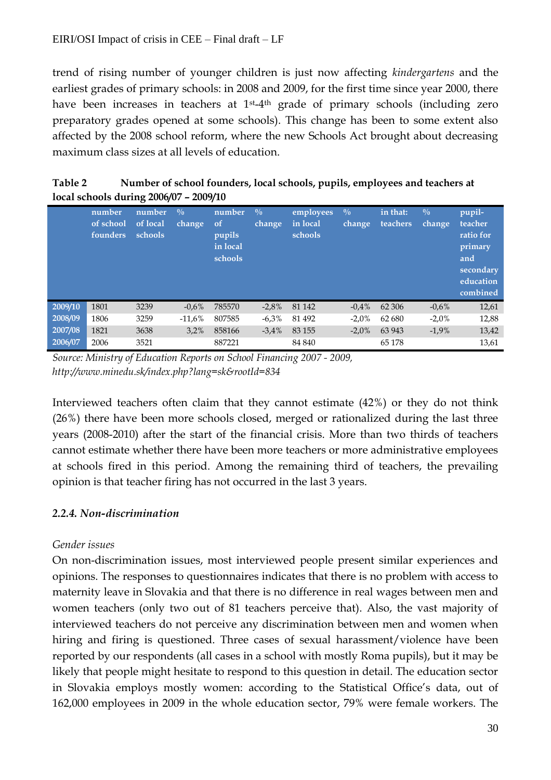trend of rising number of younger children is just now affecting *kindergartens* and the earliest grades of primary schools: in 2008 and 2009, for the first time since year 2000, there have been increases in teachers at 1<sup>st</sup>-4<sup>th</sup> grade of primary schools (including zero preparatory grades opened at some schools). This change has been to some extent also affected by the 2008 school reform, where the new Schools Act brought about decreasing maximum class sizes at all levels of education.

**Table 2 Number of school founders, local schools, pupils, employees and teachers at local schools during 2006/07 – 2009/10** 

|         | number<br>of school<br>founders | number<br>of local<br>schools | $\frac{0}{0}$<br>change | number<br><sub>of</sub><br>pupils<br>in local<br>schools | $\frac{0}{0}$<br>change | employees<br>in local<br>schools | $\overline{\mathbb{O}}$ <sub>0</sub><br>change | in that:<br>teachers | $\frac{0}{0}$<br>change | pupil-<br>teacher<br>ratio for<br>primary<br>and<br>secondary<br>education<br>combined |
|---------|---------------------------------|-------------------------------|-------------------------|----------------------------------------------------------|-------------------------|----------------------------------|------------------------------------------------|----------------------|-------------------------|----------------------------------------------------------------------------------------|
| 2009/10 | 1801                            | 3239                          | $-0.6%$                 | 785570                                                   | $-2,8%$                 | 81 142                           | $-0.4\%$                                       | 62 30 6              | $-0.6%$                 | 12,61                                                                                  |
| 2008/09 | 1806                            | 3259                          | $-11.6\%$               | 807585                                                   | $-6,3%$                 | 81 492                           | $-2.0\%$                                       | 62 680               | $-2.0\%$                | 12,88                                                                                  |
| 2007/08 | 1821                            | 3638                          | 3,2%                    | 858166                                                   | $-3.4%$                 | 83 155                           | $-2.0\%$                                       | 63 943               | $-1.9%$                 | 13,42                                                                                  |
| 2006/07 | 2006                            | 3521                          |                         | 887221                                                   |                         | 84 840                           |                                                | 65 1 78              |                         | 13,61                                                                                  |

*Source: Ministry of Education Reports on School Financing 2007 - 2009, http://www.minedu.sk/index.php?lang=sk&rootId=834*

Interviewed teachers often claim that they cannot estimate (42%) or they do not think (26%) there have been more schools closed, merged or rationalized during the last three years (2008-2010) after the start of the financial crisis. More than two thirds of teachers cannot estimate whether there have been more teachers or more administrative employees at schools fired in this period. Among the remaining third of teachers, the prevailing opinion is that teacher firing has not occurred in the last 3 years.

# *2.2.4. Non-discrimination*

# *Gender issues*

On non-discrimination issues, most interviewed people present similar experiences and opinions. The responses to questionnaires indicates that there is no problem with access to maternity leave in Slovakia and that there is no difference in real wages between men and women teachers (only two out of 81 teachers perceive that). Also, the vast majority of interviewed teachers do not perceive any discrimination between men and women when hiring and firing is questioned. Three cases of sexual harassment/violence have been reported by our respondents (all cases in a school with mostly Roma pupils), but it may be likely that people might hesitate to respond to this question in detail. The education sector in Slovakia employs mostly women: according to the Statistical Office's data, out of 162,000 employees in 2009 in the whole education sector, 79% were female workers. The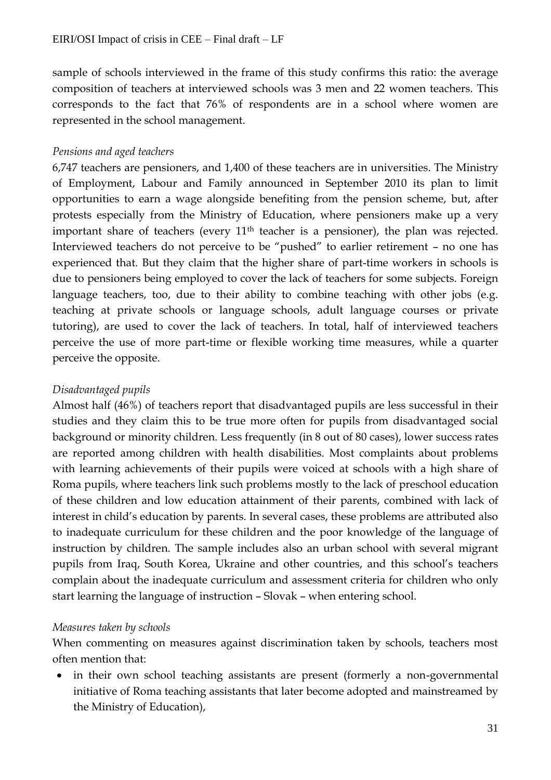sample of schools interviewed in the frame of this study confirms this ratio: the average composition of teachers at interviewed schools was 3 men and 22 women teachers. This corresponds to the fact that 76% of respondents are in a school where women are represented in the school management.

#### *Pensions and aged teachers*

6,747 teachers are pensioners, and 1,400 of these teachers are in universities. The Ministry of Employment, Labour and Family announced in September 2010 its plan to limit opportunities to earn a wage alongside benefiting from the pension scheme, but, after protests especially from the Ministry of Education, where pensioners make up a very important share of teachers (every  $11<sup>th</sup>$  teacher is a pensioner), the plan was rejected. Interviewed teachers do not perceive to be "pushed" to earlier retirement – no one has experienced that. But they claim that the higher share of part-time workers in schools is due to pensioners being employed to cover the lack of teachers for some subjects. Foreign language teachers, too, due to their ability to combine teaching with other jobs (e.g. teaching at private schools or language schools, adult language courses or private tutoring), are used to cover the lack of teachers. In total, half of interviewed teachers perceive the use of more part-time or flexible working time measures, while a quarter perceive the opposite.

#### *Disadvantaged pupils*

Almost half (46%) of teachers report that disadvantaged pupils are less successful in their studies and they claim this to be true more often for pupils from disadvantaged social background or minority children. Less frequently (in 8 out of 80 cases), lower success rates are reported among children with health disabilities. Most complaints about problems with learning achievements of their pupils were voiced at schools with a high share of Roma pupils, where teachers link such problems mostly to the lack of preschool education of these children and low education attainment of their parents, combined with lack of interest in child's education by parents. In several cases, these problems are attributed also to inadequate curriculum for these children and the poor knowledge of the language of instruction by children. The sample includes also an urban school with several migrant pupils from Iraq, South Korea, Ukraine and other countries, and this school's teachers complain about the inadequate curriculum and assessment criteria for children who only start learning the language of instruction – Slovak – when entering school.

#### *Measures taken by schools*

When commenting on measures against discrimination taken by schools, teachers most often mention that:

 in their own school teaching assistants are present (formerly a non-governmental initiative of Roma teaching assistants that later become adopted and mainstreamed by the Ministry of Education),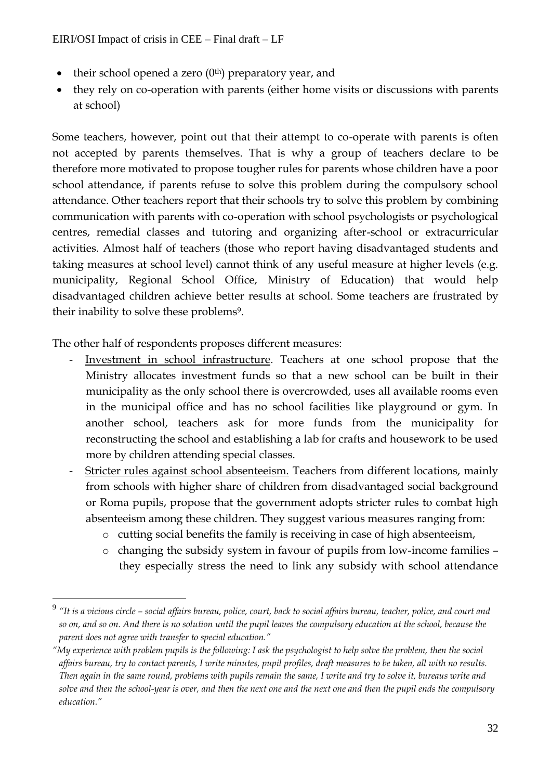- their school opened a zero  $(0<sup>th</sup>)$  preparatory year, and
- they rely on co-operation with parents (either home visits or discussions with parents at school)

Some teachers, however, point out that their attempt to co-operate with parents is often not accepted by parents themselves. That is why a group of teachers declare to be therefore more motivated to propose tougher rules for parents whose children have a poor school attendance, if parents refuse to solve this problem during the compulsory school attendance. Other teachers report that their schools try to solve this problem by combining communication with parents with co-operation with school psychologists or psychological centres, remedial classes and tutoring and organizing after-school or extracurricular activities. Almost half of teachers (those who report having disadvantaged students and taking measures at school level) cannot think of any useful measure at higher levels (e.g. municipality, Regional School Office, Ministry of Education) that would help disadvantaged children achieve better results at school. Some teachers are frustrated by their inability to solve these problems<sup>9</sup>.

The other half of respondents proposes different measures:

 $\overline{a}$ 

- Investment in school infrastructure. Teachers at one school propose that the Ministry allocates investment funds so that a new school can be built in their municipality as the only school there is overcrowded, uses all available rooms even in the municipal office and has no school facilities like playground or gym. In another school, teachers ask for more funds from the municipality for reconstructing the school and establishing a lab for crafts and housework to be used more by children attending special classes.
- Stricter rules against school absenteeism. Teachers from different locations, mainly from schools with higher share of children from disadvantaged social background or Roma pupils, propose that the government adopts stricter rules to combat high absenteeism among these children. They suggest various measures ranging from:
	- o cutting social benefits the family is receiving in case of high absenteeism,
	- o changing the subsidy system in favour of pupils from low-income families they especially stress the need to link any subsidy with school attendance

<sup>9</sup> *"It is a vicious circle – social affairs bureau, police, court, back to social affairs bureau, teacher, police, and court and so on, and so on. And there is no solution until the pupil leaves the compulsory education at the school, because the parent does not agree with transfer to special education."*

*<sup>&</sup>quot;My experience with problem pupils is the following: I ask the psychologist to help solve the problem, then the social affairs bureau, try to contact parents, I write minutes, pupil profiles, draft measures to be taken, all with no results. Then again in the same round, problems with pupils remain the same, I write and try to solve it, bureaus write and solve and then the school-year is over, and then the next one and the next one and then the pupil ends the compulsory education."*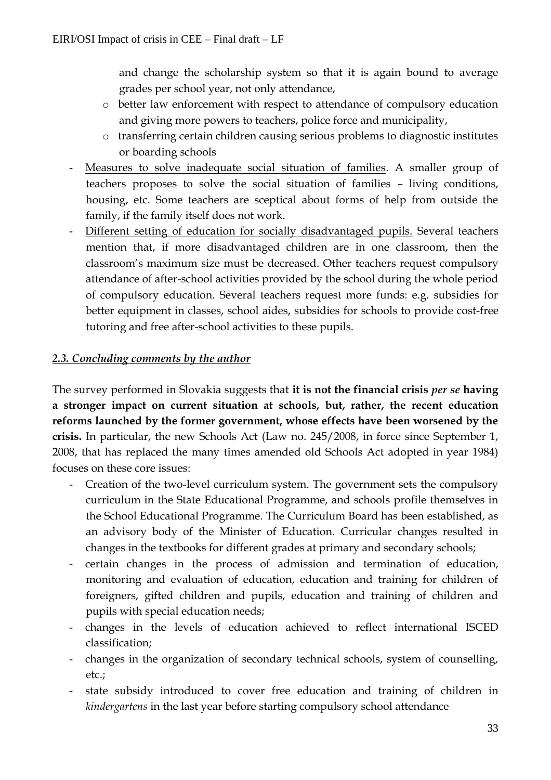and change the scholarship system so that it is again bound to average grades per school year, not only attendance,

- o better law enforcement with respect to attendance of compulsory education and giving more powers to teachers, police force and municipality,
- o transferring certain children causing serious problems to diagnostic institutes or boarding schools
- Measures to solve inadequate social situation of families. A smaller group of teachers proposes to solve the social situation of families – living conditions, housing, etc. Some teachers are sceptical about forms of help from outside the family, if the family itself does not work.
- Different setting of education for socially disadvantaged pupils. Several teachers mention that, if more disadvantaged children are in one classroom, then the classroom's maximum size must be decreased. Other teachers request compulsory attendance of after-school activities provided by the school during the whole period of compulsory education. Several teachers request more funds: e.g. subsidies for better equipment in classes, school aides, subsidies for schools to provide cost-free tutoring and free after-school activities to these pupils.

# *2.3. Concluding comments by the author*

The survey performed in Slovakia suggests that **it is not the financial crisis** *per se* **having a stronger impact on current situation at schools, but, rather, the recent education reforms launched by the former government, whose effects have been worsened by the crisis.** In particular, the new Schools Act (Law no. 245/2008, in force since September 1, 2008, that has replaced the many times amended old Schools Act adopted in year 1984) focuses on these core issues:

- Creation of the two-level curriculum system. The government sets the compulsory curriculum in the State Educational Programme, and schools profile themselves in the School Educational Programme. The Curriculum Board has been established, as an advisory body of the Minister of Education. Curricular changes resulted in changes in the textbooks for different grades at primary and secondary schools;
- certain changes in the process of admission and termination of education, monitoring and evaluation of education, education and training for children of foreigners, gifted children and pupils, education and training of children and pupils with special education needs;
- changes in the levels of education achieved to reflect international ISCED classification;
- changes in the organization of secondary technical schools, system of counselling, etc.;
- state subsidy introduced to cover free education and training of children in *kindergartens* in the last year before starting compulsory school attendance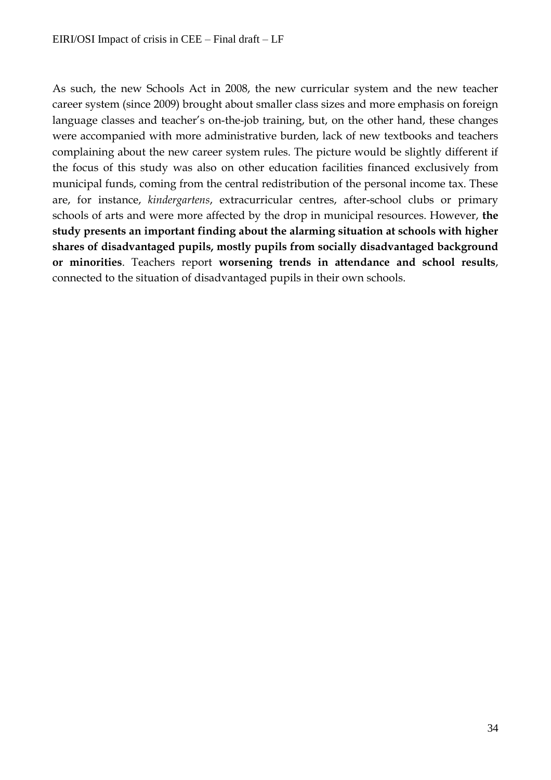As such, the new Schools Act in 2008, the new curricular system and the new teacher career system (since 2009) brought about smaller class sizes and more emphasis on foreign language classes and teacher's on-the-job training, but, on the other hand, these changes were accompanied with more administrative burden, lack of new textbooks and teachers complaining about the new career system rules. The picture would be slightly different if the focus of this study was also on other education facilities financed exclusively from municipal funds, coming from the central redistribution of the personal income tax. These are, for instance, *kindergartens*, extracurricular centres, after-school clubs or primary schools of arts and were more affected by the drop in municipal resources. However, **the study presents an important finding about the alarming situation at schools with higher shares of disadvantaged pupils, mostly pupils from socially disadvantaged background or minorities**. Teachers report **worsening trends in attendance and school results**, connected to the situation of disadvantaged pupils in their own schools.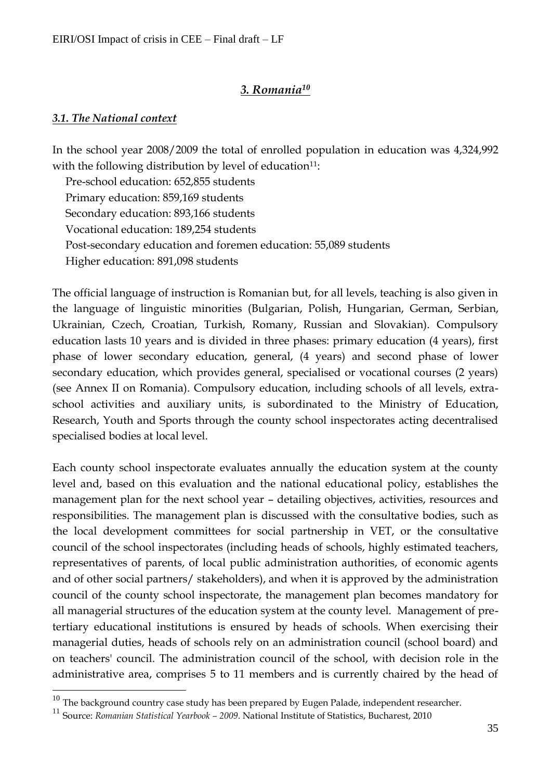# *3. Romania<sup>10</sup>*

#### *3.1. The National context*

 $\overline{a}$ 

In the school year 2008/2009 the total of enrolled population in education was 4,324,992 with the following distribution by level of education $11$ :

Pre-school education: 652,855 students Primary education: 859,169 students Secondary education: 893,166 students Vocational education: 189,254 students Post-secondary education and foremen education: 55,089 students Higher education: 891,098 students

The official language of instruction is Romanian but, for all levels, teaching is also given in the language of linguistic minorities (Bulgarian, Polish, Hungarian, German, Serbian, Ukrainian, Czech, Croatian, Turkish, Romany, Russian and Slovakian). Compulsory education lasts 10 years and is divided in three phases: primary education (4 years), first phase of lower secondary education, general, (4 years) and second phase of lower secondary education, which provides general, specialised or vocational courses (2 years) (see Annex II on Romania). Compulsory education, including schools of all levels, extraschool activities and auxiliary units, is subordinated to the Ministry of Education, Research, Youth and Sports through the county school inspectorates acting decentralised specialised bodies at local level.

Each county school inspectorate evaluates annually the education system at the county level and, based on this evaluation and the national educational policy, establishes the management plan for the next school year – detailing objectives, activities, resources and responsibilities. The management plan is discussed with the consultative bodies, such as the local development committees for social partnership in VET, or the consultative council of the school inspectorates (including heads of schools, highly estimated teachers, representatives of parents, of local public administration authorities, of economic agents and of other social partners/ stakeholders), and when it is approved by the administration council of the county school inspectorate, the management plan becomes mandatory for all managerial structures of the education system at the county level. Management of pretertiary educational institutions is ensured by heads of schools. When exercising their managerial duties, heads of schools rely on an administration council (school board) and on teachers' council. The administration council of the school, with decision role in the administrative area, comprises 5 to 11 members and is currently chaired by the head of

 $^{10}$  The background country case study has been prepared by Eugen Palade, independent researcher.

<sup>11</sup> Source: *Romanian Statistical Yearbook – <sup>2009</sup>*. National Institute of Statistics, Bucharest, 2010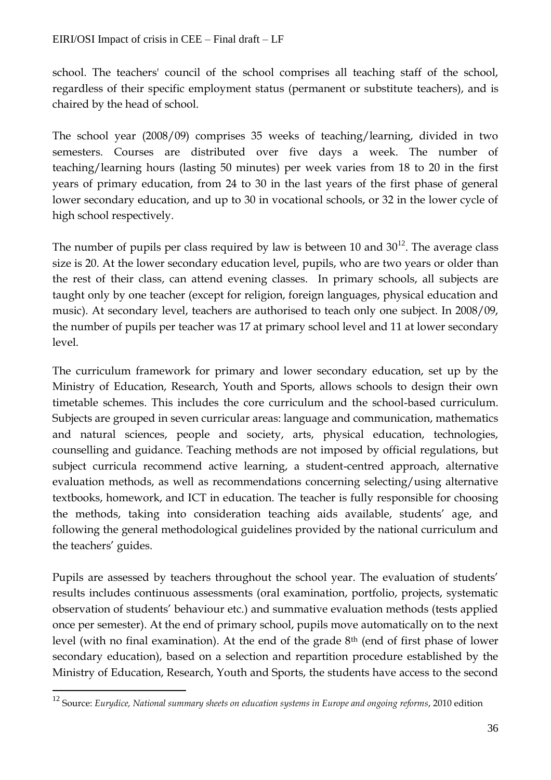school. The teachers' council of the school comprises all teaching staff of the school, regardless of their specific employment status (permanent or substitute teachers), and is chaired by the head of school.

The school year (2008/09) comprises 35 weeks of teaching/learning, divided in two semesters. Courses are distributed over five days a week. The number of teaching/learning hours (lasting 50 minutes) per week varies from 18 to 20 in the first years of primary education, from 24 to 30 in the last years of the first phase of general lower secondary education, and up to 30 in vocational schools, or 32 in the lower cycle of high school respectively.

The number of pupils per class required by law is between 10 and  $30^{12}$ . The average class size is 20. At the lower secondary education level, pupils, who are two years or older than the rest of their class, can attend evening classes. In primary schools, all subjects are taught only by one teacher (except for religion, foreign languages, physical education and music). At secondary level, teachers are authorised to teach only one subject. In 2008/09, the number of pupils per teacher was 17 at primary school level and 11 at lower secondary level.

The curriculum framework for primary and lower secondary education, set up by the Ministry of Education, Research, Youth and Sports, allows schools to design their own timetable schemes. This includes the core curriculum and the school-based curriculum. Subjects are grouped in seven curricular areas: language and communication, mathematics and natural sciences, people and society, arts, physical education, technologies, counselling and guidance. Teaching methods are not imposed by official regulations, but subject curricula recommend active learning, a student-centred approach, alternative evaluation methods, as well as recommendations concerning selecting/using alternative textbooks, homework, and ICT in education. The teacher is fully responsible for choosing the methods, taking into consideration teaching aids available, students' age, and following the general methodological guidelines provided by the national curriculum and the teachers' guides.

Pupils are assessed by teachers throughout the school year. The evaluation of students' results includes continuous assessments (oral examination, portfolio, projects, systematic observation of students' behaviour etc.) and summative evaluation methods (tests applied once per semester). At the end of primary school, pupils move automatically on to the next level (with no final examination). At the end of the grade  $8<sup>th</sup>$  (end of first phase of lower secondary education), based on a selection and repartition procedure established by the Ministry of Education, Research, Youth and Sports, the students have access to the second

 $\overline{a}$ 

<sup>12</sup> Source: *Eurydice, National summary sheets on education systems in Europe and ongoing reforms*, 2010 edition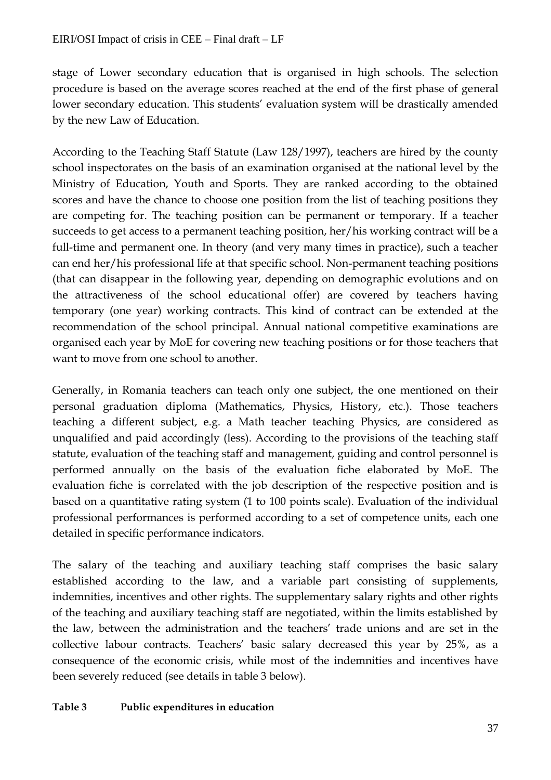stage of Lower secondary education that is organised in high schools. The selection procedure is based on the average scores reached at the end of the first phase of general lower secondary education. This students' evaluation system will be drastically amended by the new Law of Education.

According to the Teaching Staff Statute (Law 128/1997), teachers are hired by the county school inspectorates on the basis of an examination organised at the national level by the Ministry of Education, Youth and Sports. They are ranked according to the obtained scores and have the chance to choose one position from the list of teaching positions they are competing for. The teaching position can be permanent or temporary. If a teacher succeeds to get access to a permanent teaching position, her/his working contract will be a full-time and permanent one. In theory (and very many times in practice), such a teacher can end her/his professional life at that specific school. Non-permanent teaching positions (that can disappear in the following year, depending on demographic evolutions and on the attractiveness of the school educational offer) are covered by teachers having temporary (one year) working contracts. This kind of contract can be extended at the recommendation of the school principal. Annual national competitive examinations are organised each year by MoE for covering new teaching positions or for those teachers that want to move from one school to another.

Generally, in Romania teachers can teach only one subject, the one mentioned on their personal graduation diploma (Mathematics, Physics, History, etc.). Those teachers teaching a different subject, e.g. a Math teacher teaching Physics, are considered as unqualified and paid accordingly (less). According to the provisions of the teaching staff statute, evaluation of the teaching staff and management, guiding and control personnel is performed annually on the basis of the evaluation fiche elaborated by MoE. The evaluation fiche is correlated with the job description of the respective position and is based on a quantitative rating system (1 to 100 points scale). Evaluation of the individual professional performances is performed according to a set of competence units, each one detailed in specific performance indicators.

The salary of the teaching and auxiliary teaching staff comprises the basic salary established according to the law, and a variable part consisting of supplements, indemnities, incentives and other rights. The supplementary salary rights and other rights of the teaching and auxiliary teaching staff are negotiated, within the limits established by the law, between the administration and the teachers' trade unions and are set in the collective labour contracts. Teachers' basic salary decreased this year by 25%, as a consequence of the economic crisis, while most of the indemnities and incentives have been severely reduced (see details in table 3 below).

#### **Table 3 Public expenditures in education**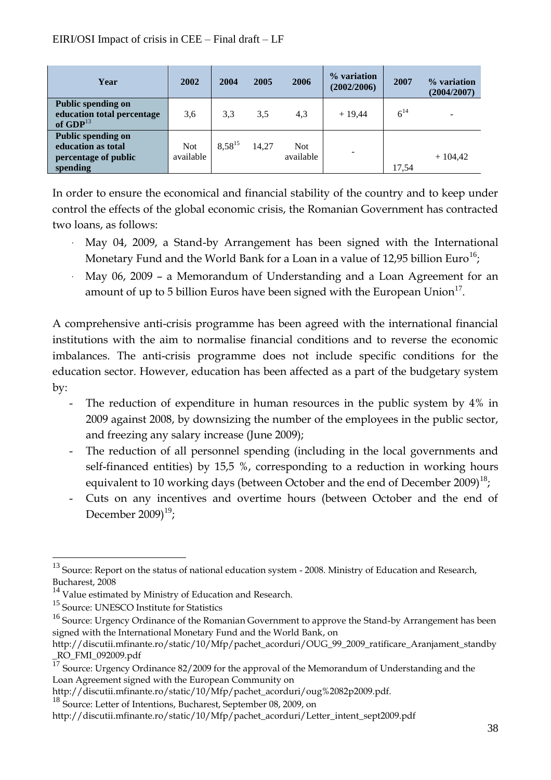| Year                                                                                | 2002                    | 2004        | 2005  | 2006                    | % variation<br>(2002/2006) | 2007     | % variation<br>(2004/2007) |
|-------------------------------------------------------------------------------------|-------------------------|-------------|-------|-------------------------|----------------------------|----------|----------------------------|
| <b>Public spending on</b><br>education total percentage<br>of $GDP13$               | 3,6                     | 3.3         | 3,5   | 4,3                     | $+19,44$                   | $6^{14}$ | -                          |
| <b>Public spending on</b><br>education as total<br>percentage of public<br>spending | <b>Not</b><br>available | $8.58^{15}$ | 14,27 | <b>Not</b><br>available | ۰                          | 17,54    | $+104,42$                  |

In order to ensure the economical and financial stability of the country and to keep under control the effects of the global economic crisis, the Romanian Government has contracted two loans, as follows:

- May 04, 2009, a Stand-by Arrangement has been signed with the International Monetary Fund and the World Bank for a Loan in a value of 12,95 billion Euro $^{16}$ ;
- May 06, 2009 a Memorandum of Understanding and a Loan Agreement for an amount of up to 5 billion Euros have been signed with the European Union $^{17}$ .

A comprehensive anti-crisis programme has been agreed with the international financial institutions with the aim to normalise financial conditions and to reverse the economic imbalances. The anti-crisis programme does not include specific conditions for the education sector. However, education has been affected as a part of the budgetary system by:

- The reduction of expenditure in human resources in the public system by 4% in 2009 against 2008, by downsizing the number of the employees in the public sector, and freezing any salary increase (June 2009);
- The reduction of all personnel spending (including in the local governments and self-financed entities) by 15,5 %, corresponding to a reduction in working hours equivalent to 10 working days (between October and the end of December 2009) $^{18}$ ;
- Cuts on any incentives and overtime hours (between October and the end of December 2009) $^{19}$ ;

 $\overline{a}$ 

 $^{13}$  Source: Report on the status of national education system - 2008. Ministry of Education and Research, Bucharest, 2008

 $^{14}$  Value estimated by Ministry of Education and Research.

<sup>&</sup>lt;sup>15</sup> Source: UNESCO Institute for Statistics

<sup>&</sup>lt;sup>16</sup> Source: Urgency Ordinance of the Romanian Government to approve the Stand-by Arrangement has been signed with the International Monetary Fund and the World Bank, on

http://discutii.mfinante.ro/static/10/Mfp/pachet\_acorduri/OUG\_99\_2009\_ratificare\_Aranjament\_standby \_RO\_FMI\_092009.pdf

<sup>&</sup>lt;sup>17</sup> Source: Urgency Ordinance 82/2009 for the approval of the Memorandum of Understanding and the Loan Agreement signed with the European Community on

http://discutii.mfinante.ro/static/10/Mfp/pachet\_acorduri/oug%2082p2009.pdf.

<sup>&</sup>lt;sup>18</sup> Source: Letter of Intentions, Bucharest, September 08, 2009, on

http://discutii.mfinante.ro/static/10/Mfp/pachet\_acorduri/Letter\_intent\_sept2009.pdf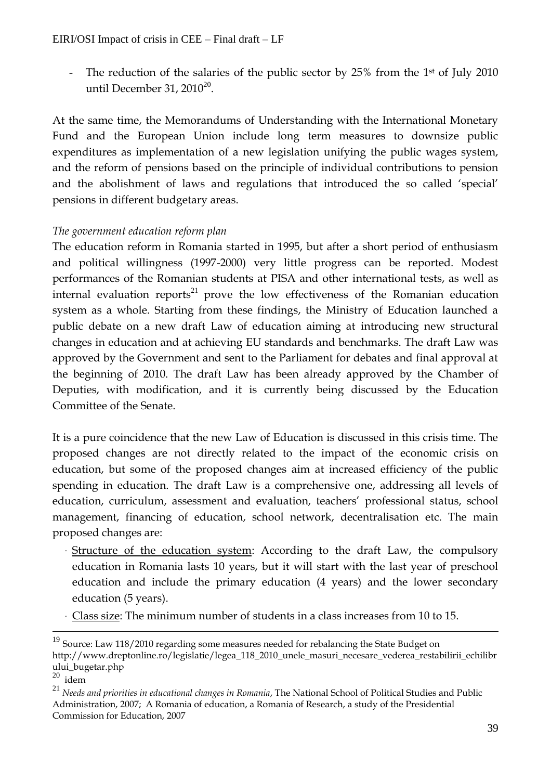The reduction of the salaries of the public sector by  $25\%$  from the 1<sup>st</sup> of July 2010 until December 31, 20 $10^{20}$ .

At the same time, the Memorandums of Understanding with the International Monetary Fund and the European Union include long term measures to downsize public expenditures as implementation of a new legislation unifying the public wages system, and the reform of pensions based on the principle of individual contributions to pension and the abolishment of laws and regulations that introduced the so called 'special' pensions in different budgetary areas.

# *The government education reform plan*

The education reform in Romania started in 1995, but after a short period of enthusiasm and political willingness (1997-2000) very little progress can be reported. Modest performances of the Romanian students at PISA and other international tests, as well as internal evaluation reports<sup>21</sup> prove the low effectiveness of the Romanian education system as a whole. Starting from these findings, the Ministry of Education launched a public debate on a new draft Law of education aiming at introducing new structural changes in education and at achieving EU standards and benchmarks. The draft Law was approved by the Government and sent to the Parliament for debates and final approval at the beginning of 2010. The draft Law has been already approved by the Chamber of Deputies, with modification, and it is currently being discussed by the Education Committee of the Senate.

It is a pure coincidence that the new Law of Education is discussed in this crisis time. The proposed changes are not directly related to the impact of the economic crisis on education, but some of the proposed changes aim at increased efficiency of the public spending in education. The draft Law is a comprehensive one, addressing all levels of education, curriculum, assessment and evaluation, teachers' professional status, school management, financing of education, school network, decentralisation etc. The main proposed changes are:

- Structure of the education system: According to the draft Law, the compulsory education in Romania lasts 10 years, but it will start with the last year of preschool education and include the primary education (4 years) and the lower secondary education (5 years).
- Class size: The minimum number of students in a class increases from 10 to 15.

 $\overline{a}$ 

 $19$  Source: Law 118/2010 regarding some measures needed for rebalancing the State Budget on http://www.dreptonline.ro/legislatie/legea\_118\_2010\_unele\_masuri\_necesare\_vederea\_restabilirii\_echilibr ului\_bugetar.php

 $20$  idem

<sup>21</sup> *Needs and priorities in educational changes in Romania*, The National School of Political Studies and Public Administration, 2007; A Romania of education, a Romania of Research, a study of the Presidential Commission for Education, 2007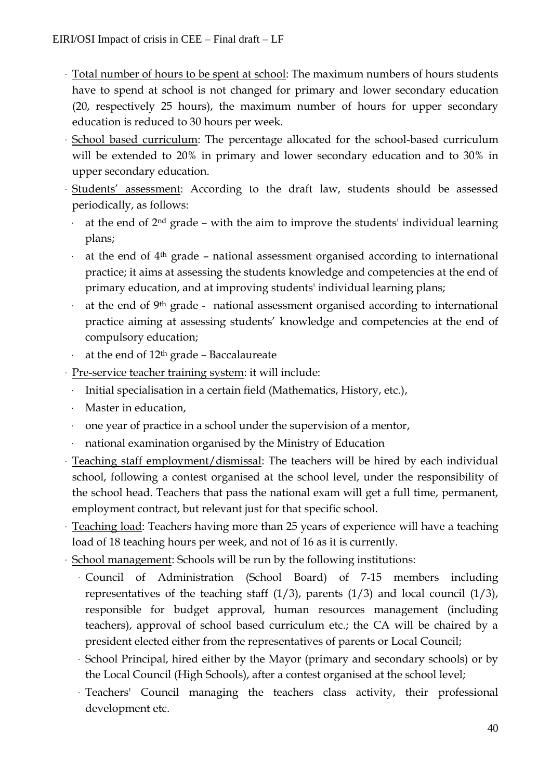- Total number of hours to be spent at school: The maximum numbers of hours students have to spend at school is not changed for primary and lower secondary education (20, respectively 25 hours), the maximum number of hours for upper secondary education is reduced to 30 hours per week.
- School based curriculum: The percentage allocated for the school-based curriculum will be extended to 20% in primary and lower secondary education and to 30% in upper secondary education.
- Students' assessment: According to the draft law, students should be assessed periodically, as follows:
	- at the end of  $2<sup>nd</sup>$  grade with the aim to improve the students' individual learning plans;
	- at the end of  $4<sup>th</sup>$  grade national assessment organised according to international practice; it aims at assessing the students knowledge and competencies at the end of primary education, and at improving students' individual learning plans;
	- at the end of 9<sup>th</sup> grade national assessment organised according to international practice aiming at assessing students' knowledge and competencies at the end of compulsory education;
- at the end of 12<sup>th</sup> grade Baccalaureate
- Pre-service teacher training system: it will include:
	- Initial specialisation in a certain field (Mathematics, History, etc.),
	- Master in education,
	- one year of practice in a school under the supervision of a mentor,
	- national examination organised by the Ministry of Education
- Teaching staff employment/dismissal: The teachers will be hired by each individual school, following a contest organised at the school level, under the responsibility of the school head. Teachers that pass the national exam will get a full time, permanent, employment contract, but relevant just for that specific school.
- Teaching load: Teachers having more than 25 years of experience will have a teaching load of 18 teaching hours per week, and not of 16 as it is currently.
- School management: Schools will be run by the following institutions:
	- Council of Administration (School Board) of 7-15 members including representatives of the teaching staff  $(1/3)$ , parents  $(1/3)$  and local council  $(1/3)$ , responsible for budget approval, human resources management (including teachers), approval of school based curriculum etc.; the CA will be chaired by a president elected either from the representatives of parents or Local Council;
	- School Principal, hired either by the Mayor (primary and secondary schools) or by the Local Council (High Schools), after a contest organised at the school level;
	- Teachers' Council managing the teachers class activity, their professional development etc.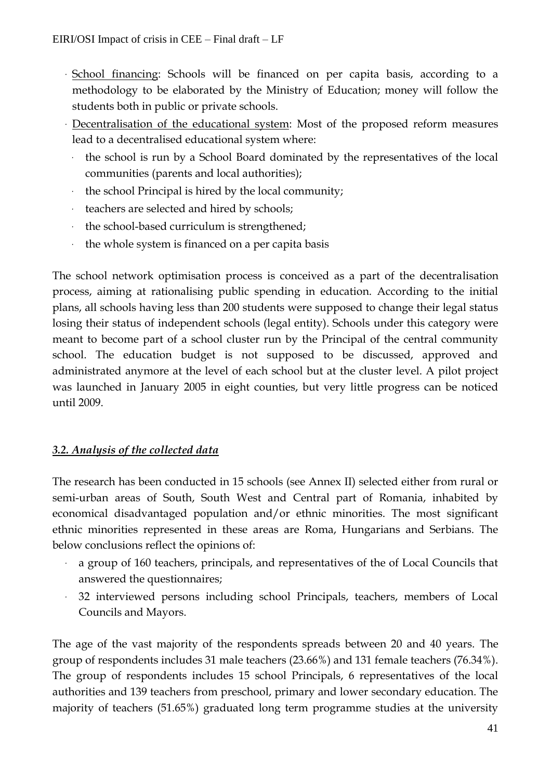- School financing: Schools will be financed on per capita basis, according to a methodology to be elaborated by the Ministry of Education; money will follow the students both in public or private schools.
- Decentralisation of the educational system: Most of the proposed reform measures lead to a decentralised educational system where:
	- the school is run by a School Board dominated by the representatives of the local communities (parents and local authorities);
	- the school Principal is hired by the local community;
	- teachers are selected and hired by schools;
	- the school-based curriculum is strengthened;
	- the whole system is financed on a per capita basis

The school network optimisation process is conceived as a part of the decentralisation process, aiming at rationalising public spending in education. According to the initial plans, all schools having less than 200 students were supposed to change their legal status losing their status of independent schools (legal entity). Schools under this category were meant to become part of a school cluster run by the Principal of the central community school. The education budget is not supposed to be discussed, approved and administrated anymore at the level of each school but at the cluster level. A pilot project was launched in January 2005 in eight counties, but very little progress can be noticed until 2009.

# *3.2. Analysis of the collected data*

The research has been conducted in 15 schools (see Annex II) selected either from rural or semi-urban areas of South, South West and Central part of Romania, inhabited by economical disadvantaged population and/or ethnic minorities. The most significant ethnic minorities represented in these areas are Roma, Hungarians and Serbians. The below conclusions reflect the opinions of:

- a group of 160 teachers, principals, and representatives of the of Local Councils that answered the questionnaires;
- 32 interviewed persons including school Principals, teachers, members of Local Councils and Mayors.

The age of the vast majority of the respondents spreads between 20 and 40 years. The group of respondents includes 31 male teachers (23.66%) and 131 female teachers (76.34%). The group of respondents includes 15 school Principals, 6 representatives of the local authorities and 139 teachers from preschool, primary and lower secondary education. The majority of teachers (51.65%) graduated long term programme studies at the university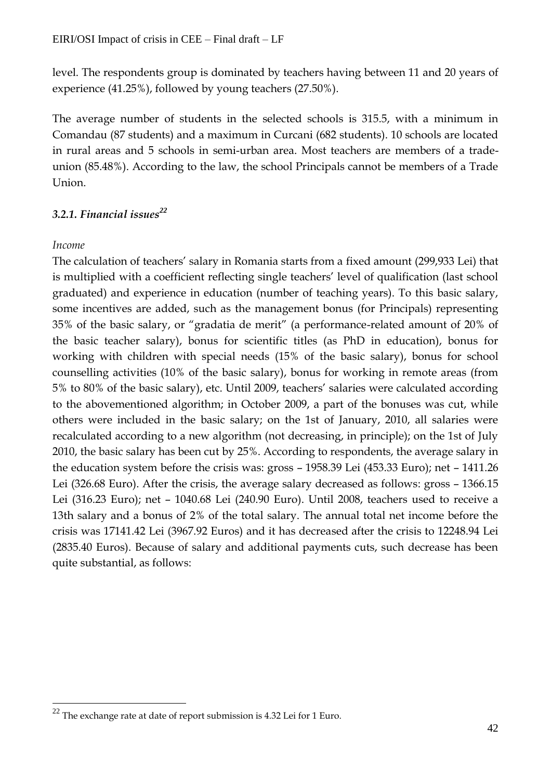level. The respondents group is dominated by teachers having between 11 and 20 years of experience (41.25%), followed by young teachers (27.50%).

The average number of students in the selected schools is 315.5, with a minimum in Comandau (87 students) and a maximum in Curcani (682 students). 10 schools are located in rural areas and 5 schools in semi-urban area. Most teachers are members of a tradeunion (85.48%). According to the law, the school Principals cannot be members of a Trade Union.

# *3.2.1. Financial issues<sup>22</sup>*

# *Income*

 $\overline{a}$ 

The calculation of teachers' salary in Romania starts from a fixed amount (299,933 Lei) that is multiplied with a coefficient reflecting single teachers' level of qualification (last school graduated) and experience in education (number of teaching years). To this basic salary, some incentives are added, such as the management bonus (for Principals) representing 35% of the basic salary, or "gradatia de merit" (a performance-related amount of 20% of the basic teacher salary), bonus for scientific titles (as PhD in education), bonus for working with children with special needs (15% of the basic salary), bonus for school counselling activities (10% of the basic salary), bonus for working in remote areas (from 5% to 80% of the basic salary), etc. Until 2009, teachers' salaries were calculated according to the abovementioned algorithm; in October 2009, a part of the bonuses was cut, while others were included in the basic salary; on the 1st of January, 2010, all salaries were recalculated according to a new algorithm (not decreasing, in principle); on the 1st of July 2010, the basic salary has been cut by 25%. According to respondents, the average salary in the education system before the crisis was: gross – 1958.39 Lei (453.33 Euro); net – 1411.26 Lei (326.68 Euro). After the crisis, the average salary decreased as follows: gross – 1366.15 Lei (316.23 Euro); net – 1040.68 Lei (240.90 Euro). Until 2008, teachers used to receive a 13th salary and a bonus of 2% of the total salary. The annual total net income before the crisis was 17141.42 Lei (3967.92 Euros) and it has decreased after the crisis to 12248.94 Lei (2835.40 Euros). Because of salary and additional payments cuts, such decrease has been quite substantial, as follows:

<sup>&</sup>lt;sup>22</sup> The exchange rate at date of report submission is 4.32 Lei for 1 Euro.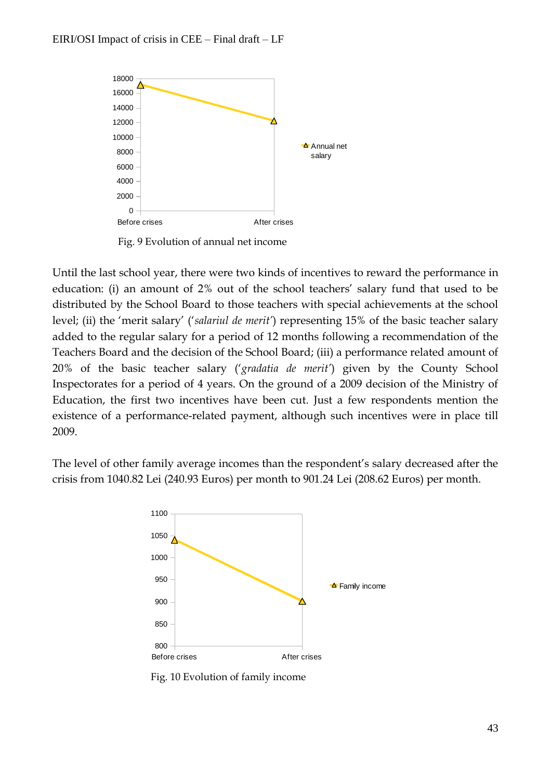

Fig. 9 Evolution of annual net income

Until the last school year, there were two kinds of incentives to reward the performance in education: (i) an amount of 2% out of the school teachers' salary fund that used to be distributed by the School Board to those teachers with special achievements at the school level; (ii) the 'merit salary' ('*salariul de merit'*) representing 15% of the basic teacher salary added to the regular salary for a period of 12 months following a recommendation of the Teachers Board and the decision of the School Board; (iii) a performance related amount of 20% of the basic teacher salary ('*gradatia de merit'*) given by the County School Inspectorates for a period of 4 years. On the ground of a 2009 decision of the Ministry of Education, the first two incentives have been cut. Just a few respondents mention the existence of a performance-related payment, although such incentives were in place till 2009.

The level of other family average incomes than the respondent's salary decreased after the crisis from 1040.82 Lei (240.93 Euros) per month to 901.24 Lei (208.62 Euros) per month.



Fig. 10 Evolution of family income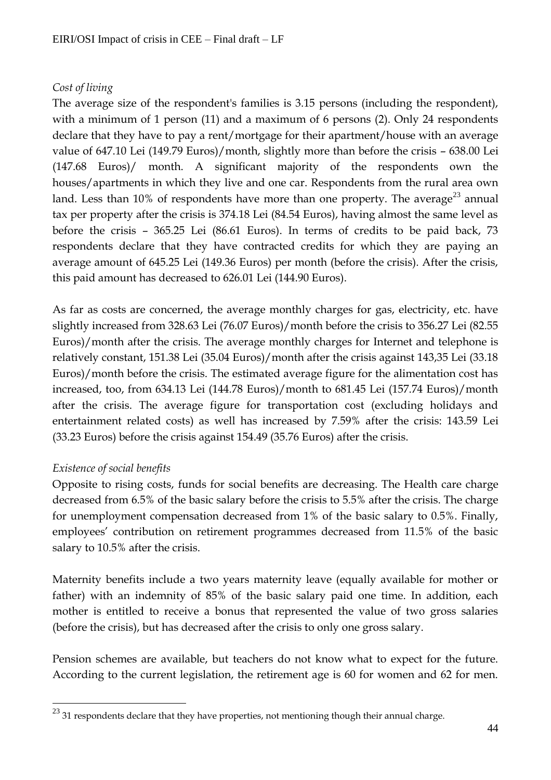# *Cost of living*

The average size of the respondent's families is 3.15 persons (including the respondent), with a minimum of 1 person (11) and a maximum of 6 persons (2). Only 24 respondents declare that they have to pay a rent/mortgage for their apartment/house with an average value of 647.10 Lei (149.79 Euros)/month, slightly more than before the crisis – 638.00 Lei (147.68 Euros)/ month. A significant majority of the respondents own the houses/apartments in which they live and one car. Respondents from the rural area own land. Less than  $10\%$  of respondents have more than one property. The average<sup>23</sup> annual tax per property after the crisis is 374.18 Lei (84.54 Euros), having almost the same level as before the crisis – 365.25 Lei (86.61 Euros). In terms of credits to be paid back, 73 respondents declare that they have contracted credits for which they are paying an average amount of 645.25 Lei (149.36 Euros) per month (before the crisis). After the crisis, this paid amount has decreased to 626.01 Lei (144.90 Euros).

As far as costs are concerned, the average monthly charges for gas, electricity, etc. have slightly increased from 328.63 Lei (76.07 Euros)/month before the crisis to 356.27 Lei (82.55 Euros)/month after the crisis. The average monthly charges for Internet and telephone is relatively constant, 151.38 Lei (35.04 Euros)/month after the crisis against 143,35 Lei (33.18 Euros)/month before the crisis. The estimated average figure for the alimentation cost has increased, too, from 634.13 Lei (144.78 Euros)/month to 681.45 Lei (157.74 Euros)/month after the crisis. The average figure for transportation cost (excluding holidays and entertainment related costs) as well has increased by 7.59% after the crisis: 143.59 Lei (33.23 Euros) before the crisis against 154.49 (35.76 Euros) after the crisis.

# *Existence of social benefits*

 $\overline{a}$ 

Opposite to rising costs, funds for social benefits are decreasing. The Health care charge decreased from 6.5% of the basic salary before the crisis to 5.5% after the crisis. The charge for unemployment compensation decreased from 1% of the basic salary to 0.5%. Finally, employees' contribution on retirement programmes decreased from 11.5% of the basic salary to 10.5% after the crisis.

Maternity benefits include a two years maternity leave (equally available for mother or father) with an indemnity of 85% of the basic salary paid one time. In addition, each mother is entitled to receive a bonus that represented the value of two gross salaries (before the crisis), but has decreased after the crisis to only one gross salary.

Pension schemes are available, but teachers do not know what to expect for the future. According to the current legislation, the retirement age is 60 for women and 62 for men.

 $^{23}$  31 respondents declare that they have properties, not mentioning though their annual charge.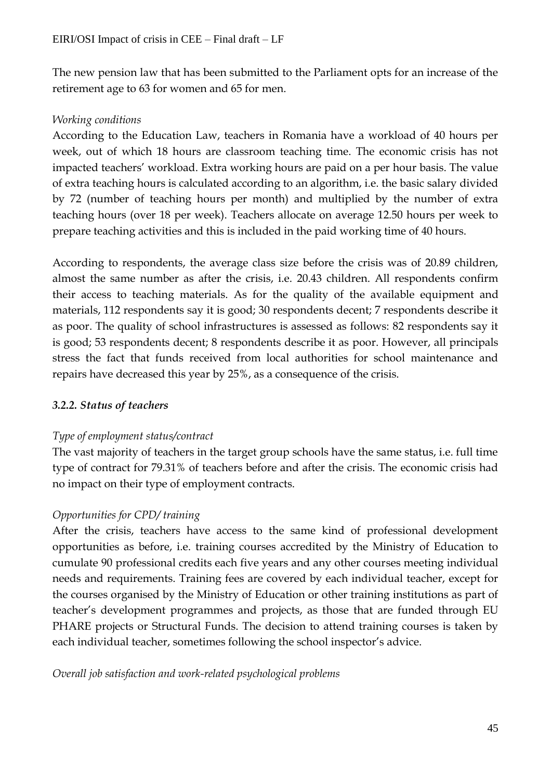The new pension law that has been submitted to the Parliament opts for an increase of the retirement age to 63 for women and 65 for men.

# *Working conditions*

According to the Education Law, teachers in Romania have a workload of 40 hours per week, out of which 18 hours are classroom teaching time. The economic crisis has not impacted teachers' workload. Extra working hours are paid on a per hour basis. The value of extra teaching hours is calculated according to an algorithm, i.e. the basic salary divided by 72 (number of teaching hours per month) and multiplied by the number of extra teaching hours (over 18 per week). Teachers allocate on average 12.50 hours per week to prepare teaching activities and this is included in the paid working time of 40 hours.

According to respondents, the average class size before the crisis was of 20.89 children, almost the same number as after the crisis, i.e. 20.43 children. All respondents confirm their access to teaching materials. As for the quality of the available equipment and materials, 112 respondents say it is good; 30 respondents decent; 7 respondents describe it as poor. The quality of school infrastructures is assessed as follows: 82 respondents say it is good; 53 respondents decent; 8 respondents describe it as poor. However, all principals stress the fact that funds received from local authorities for school maintenance and repairs have decreased this year by 25%, as a consequence of the crisis.

# *3.2.2. Status of teachers*

# *Type of employment status/contract*

The vast majority of teachers in the target group schools have the same status, i.e. full time type of contract for 79.31% of teachers before and after the crisis. The economic crisis had no impact on their type of employment contracts.

# *Opportunities for CPD/ training*

After the crisis, teachers have access to the same kind of professional development opportunities as before, i.e. training courses accredited by the Ministry of Education to cumulate 90 professional credits each five years and any other courses meeting individual needs and requirements. Training fees are covered by each individual teacher, except for the courses organised by the Ministry of Education or other training institutions as part of teacher's development programmes and projects, as those that are funded through EU PHARE projects or Structural Funds. The decision to attend training courses is taken by each individual teacher, sometimes following the school inspector's advice.

*Overall job satisfaction and work-related psychological problems*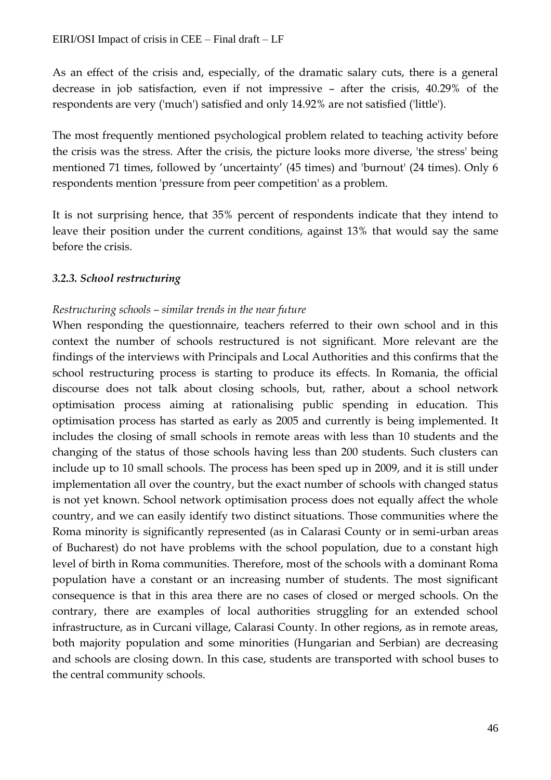As an effect of the crisis and, especially, of the dramatic salary cuts, there is a general decrease in job satisfaction, even if not impressive – after the crisis, 40.29% of the respondents are very ('much') satisfied and only 14.92% are not satisfied ('little').

The most frequently mentioned psychological problem related to teaching activity before the crisis was the stress. After the crisis, the picture looks more diverse, 'the stress' being mentioned 71 times, followed by 'uncertainty' (45 times) and 'burnout' (24 times). Only 6 respondents mention 'pressure from peer competition' as a problem.

It is not surprising hence, that 35% percent of respondents indicate that they intend to leave their position under the current conditions, against 13% that would say the same before the crisis.

#### *3.2.3. School restructuring*

#### *Restructuring schools – similar trends in the near future*

When responding the questionnaire, teachers referred to their own school and in this context the number of schools restructured is not significant. More relevant are the findings of the interviews with Principals and Local Authorities and this confirms that the school restructuring process is starting to produce its effects. In Romania, the official discourse does not talk about closing schools, but, rather, about a school network optimisation process aiming at rationalising public spending in education. This optimisation process has started as early as 2005 and currently is being implemented. It includes the closing of small schools in remote areas with less than 10 students and the changing of the status of those schools having less than 200 students. Such clusters can include up to 10 small schools. The process has been sped up in 2009, and it is still under implementation all over the country, but the exact number of schools with changed status is not yet known. School network optimisation process does not equally affect the whole country, and we can easily identify two distinct situations. Those communities where the Roma minority is significantly represented (as in Calarasi County or in semi-urban areas of Bucharest) do not have problems with the school population, due to a constant high level of birth in Roma communities. Therefore, most of the schools with a dominant Roma population have a constant or an increasing number of students. The most significant consequence is that in this area there are no cases of closed or merged schools. On the contrary, there are examples of local authorities struggling for an extended school infrastructure, as in Curcani village, Calarasi County. In other regions, as in remote areas, both majority population and some minorities (Hungarian and Serbian) are decreasing and schools are closing down. In this case, students are transported with school buses to the central community schools.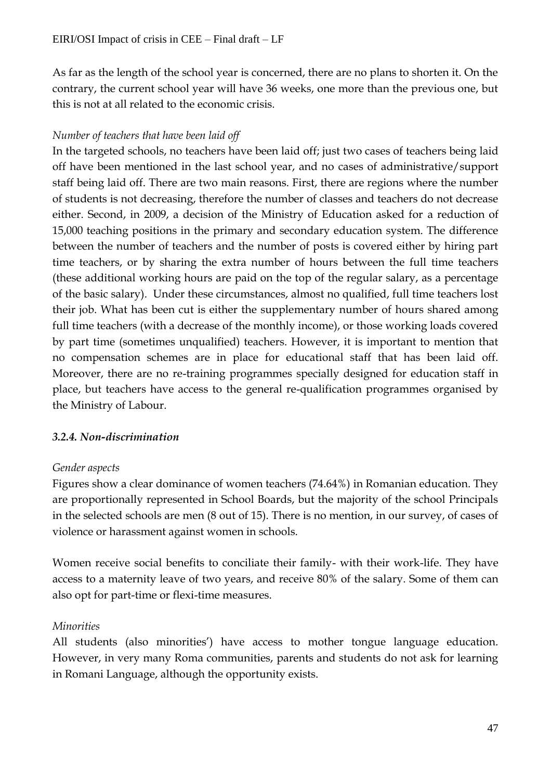As far as the length of the school year is concerned, there are no plans to shorten it. On the contrary, the current school year will have 36 weeks, one more than the previous one, but this is not at all related to the economic crisis.

# *Number of teachers that have been laid off*

In the targeted schools, no teachers have been laid off; just two cases of teachers being laid off have been mentioned in the last school year, and no cases of administrative/support staff being laid off. There are two main reasons. First, there are regions where the number of students is not decreasing, therefore the number of classes and teachers do not decrease either. Second, in 2009, a decision of the Ministry of Education asked for a reduction of 15,000 teaching positions in the primary and secondary education system. The difference between the number of teachers and the number of posts is covered either by hiring part time teachers, or by sharing the extra number of hours between the full time teachers (these additional working hours are paid on the top of the regular salary, as a percentage of the basic salary). Under these circumstances, almost no qualified, full time teachers lost their job. What has been cut is either the supplementary number of hours shared among full time teachers (with a decrease of the monthly income), or those working loads covered by part time (sometimes unqualified) teachers. However, it is important to mention that no compensation schemes are in place for educational staff that has been laid off. Moreover, there are no re-training programmes specially designed for education staff in place, but teachers have access to the general re-qualification programmes organised by the Ministry of Labour.

# *3.2.4. Non-discrimination*

# *Gender aspects*

Figures show a clear dominance of women teachers (74.64%) in Romanian education. They are proportionally represented in School Boards, but the majority of the school Principals in the selected schools are men (8 out of 15). There is no mention, in our survey, of cases of violence or harassment against women in schools.

Women receive social benefits to conciliate their family- with their work-life. They have access to a maternity leave of two years, and receive 80% of the salary. Some of them can also opt for part-time or flexi-time measures.

# *Minorities*

All students (also minorities') have access to mother tongue language education. However, in very many Roma communities, parents and students do not ask for learning in Romani Language, although the opportunity exists.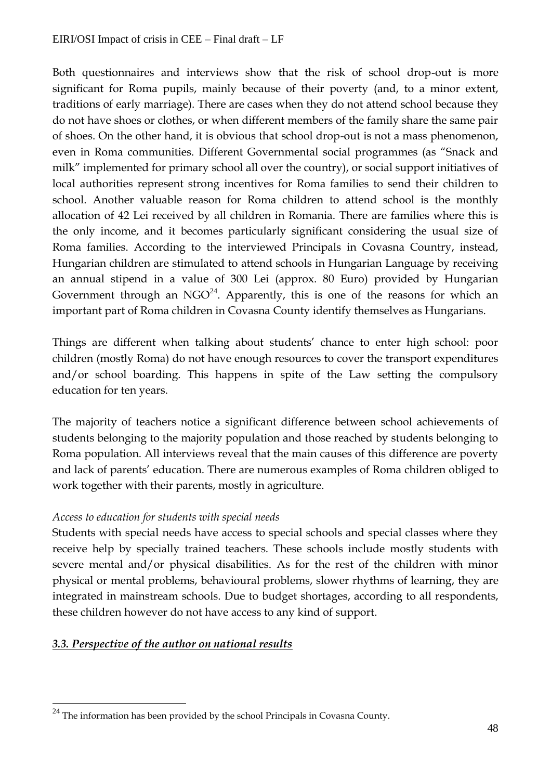Both questionnaires and interviews show that the risk of school drop-out is more significant for Roma pupils, mainly because of their poverty (and, to a minor extent, traditions of early marriage). There are cases when they do not attend school because they do not have shoes or clothes, or when different members of the family share the same pair of shoes. On the other hand, it is obvious that school drop-out is not a mass phenomenon, even in Roma communities. Different Governmental social programmes (as "Snack and milk" implemented for primary school all over the country), or social support initiatives of local authorities represent strong incentives for Roma families to send their children to school. Another valuable reason for Roma children to attend school is the monthly allocation of 42 Lei received by all children in Romania. There are families where this is the only income, and it becomes particularly significant considering the usual size of Roma families. According to the interviewed Principals in Covasna Country, instead, Hungarian children are stimulated to attend schools in Hungarian Language by receiving an annual stipend in a value of 300 Lei (approx. 80 Euro) provided by Hungarian Government through an  $NGO<sup>24</sup>$ . Apparently, this is one of the reasons for which an important part of Roma children in Covasna County identify themselves as Hungarians.

Things are different when talking about students' chance to enter high school: poor children (mostly Roma) do not have enough resources to cover the transport expenditures and/or school boarding. This happens in spite of the Law setting the compulsory education for ten years.

The majority of teachers notice a significant difference between school achievements of students belonging to the majority population and those reached by students belonging to Roma population. All interviews reveal that the main causes of this difference are poverty and lack of parents' education. There are numerous examples of Roma children obliged to work together with their parents, mostly in agriculture.

# *Access to education for students with special needs*

Students with special needs have access to special schools and special classes where they receive help by specially trained teachers. These schools include mostly students with severe mental and/or physical disabilities. As for the rest of the children with minor physical or mental problems, behavioural problems, slower rhythms of learning, they are integrated in mainstream schools. Due to budget shortages, according to all respondents, these children however do not have access to any kind of support.

# *3.3. Perspective of the author on national results*

 $\overline{a}$ 

 $^{24}$  The information has been provided by the school Principals in Covasna County.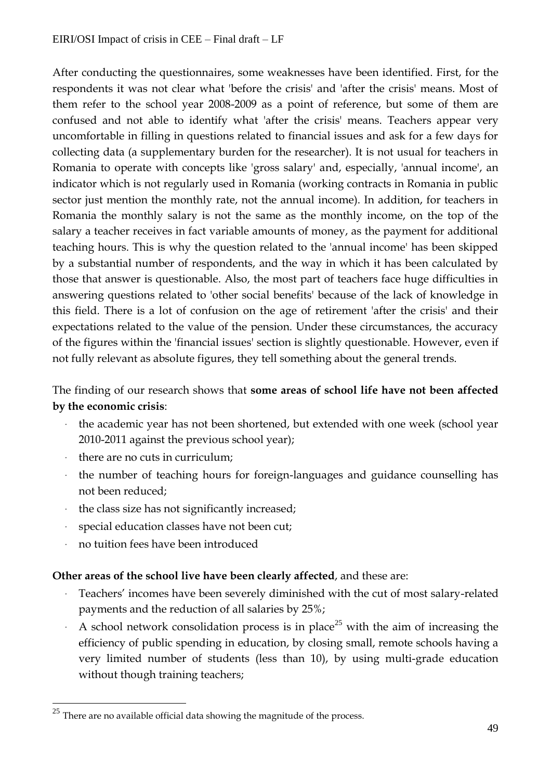After conducting the questionnaires, some weaknesses have been identified. First, for the respondents it was not clear what 'before the crisis' and 'after the crisis' means. Most of them refer to the school year 2008-2009 as a point of reference, but some of them are confused and not able to identify what 'after the crisis' means. Teachers appear very uncomfortable in filling in questions related to financial issues and ask for a few days for collecting data (a supplementary burden for the researcher). It is not usual for teachers in Romania to operate with concepts like 'gross salary' and, especially, 'annual income', an indicator which is not regularly used in Romania (working contracts in Romania in public sector just mention the monthly rate, not the annual income). In addition, for teachers in Romania the monthly salary is not the same as the monthly income, on the top of the salary a teacher receives in fact variable amounts of money, as the payment for additional teaching hours. This is why the question related to the 'annual income' has been skipped by a substantial number of respondents, and the way in which it has been calculated by those that answer is questionable. Also, the most part of teachers face huge difficulties in answering questions related to 'other social benefits' because of the lack of knowledge in this field. There is a lot of confusion on the age of retirement 'after the crisis' and their expectations related to the value of the pension. Under these circumstances, the accuracy of the figures within the 'financial issues' section is slightly questionable. However, even if not fully relevant as absolute figures, they tell something about the general trends.

# The finding of our research shows that **some areas of school life have not been affected by the economic crisis**:

- the academic year has not been shortened, but extended with one week (school year 2010-2011 against the previous school year);
- there are no cuts in curriculum;
- the number of teaching hours for foreign-languages and guidance counselling has not been reduced;
- the class size has not significantly increased;
- special education classes have not been cut;
- no tuition fees have been introduced

 $\overline{a}$ 

# **Other areas of the school live have been clearly affected**, and these are:

- Teachers' incomes have been severely diminished with the cut of most salary-related payments and the reduction of all salaries by 25%;
- A school network consolidation process is in place<sup>25</sup> with the aim of increasing the efficiency of public spending in education, by closing small, remote schools having a very limited number of students (less than 10), by using multi-grade education without though training teachers;

<sup>&</sup>lt;sup>25</sup> There are no available official data showing the magnitude of the process.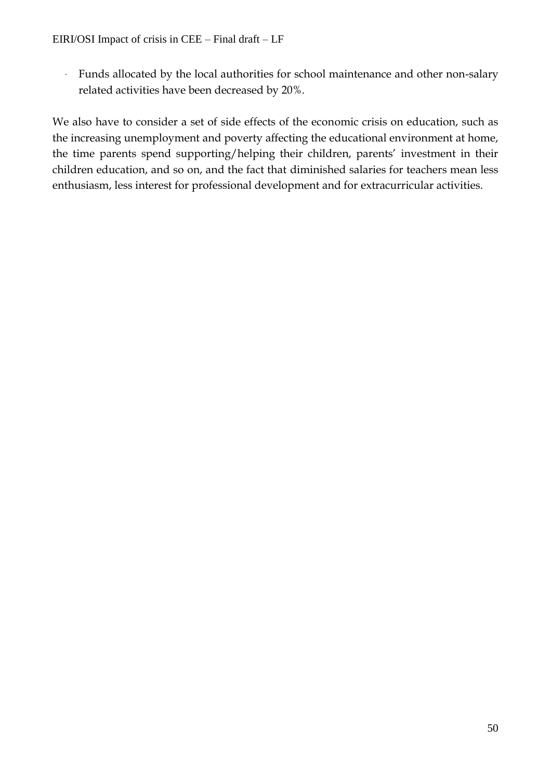- Funds allocated by the local authorities for school maintenance and other non-salary related activities have been decreased by 20%.

We also have to consider a set of side effects of the economic crisis on education, such as the increasing unemployment and poverty affecting the educational environment at home, the time parents spend supporting/helping their children, parents' investment in their children education, and so on, and the fact that diminished salaries for teachers mean less enthusiasm, less interest for professional development and for extracurricular activities.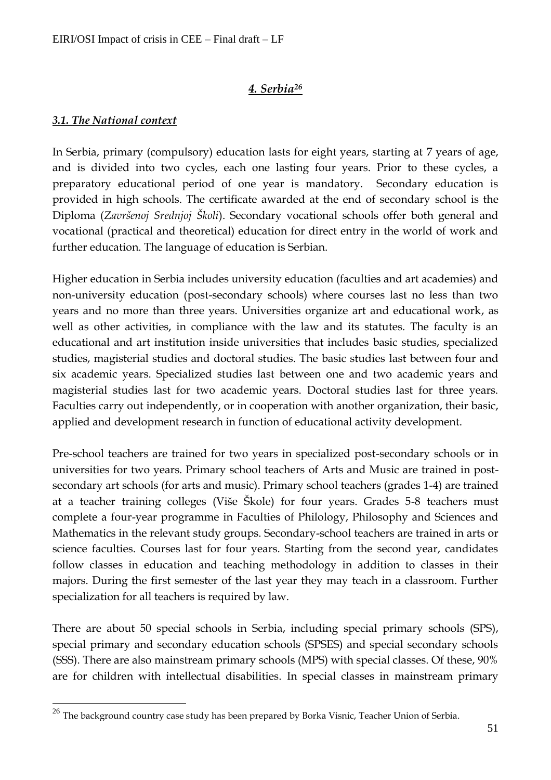# *4. Serbia<sup>26</sup>*

# *3.1. The National context*

 $\overline{a}$ 

In Serbia, primary (compulsory) education lasts for eight years, starting at 7 years of age, and is divided into two cycles, each one lasting four years. Prior to these cycles, a preparatory educational period of one year is mandatory. Secondary education is provided in high schools. The certificate awarded at the end of secondary school is the Diploma (*Završenoj Srednjoj Školi*). Secondary vocational schools offer both general and vocational (practical and theoretical) education for direct entry in the world of work and further education. The language of education is Serbian.

Higher education in Serbia includes university education (faculties and art academies) and non-university education (post-secondary schools) where courses last no less than two years and no more than three years. Universities organize art and educational work, as well as other activities, in compliance with the law and its statutes. The faculty is an educational and art institution inside universities that includes basic studies, specialized studies, magisterial studies and doctoral studies. The basic studies last between four and six academic years. Specialized studies last between one and two academic years and magisterial studies last for two academic years. Doctoral studies last for three years. Faculties carry out independently, or in cooperation with another organization, their basic, applied and development research in function of educational activity development.

Pre-school teachers are trained for two years in specialized post-secondary schools or in universities for two years. Primary school teachers of Arts and Music are trained in postsecondary art schools (for arts and music). Primary school teachers (grades 1-4) are trained at a teacher training colleges (Više Škole) for four years. Grades 5-8 teachers must complete a four-year programme in Faculties of Philology, Philosophy and Sciences and Mathematics in the relevant study groups. Secondary-school teachers are trained in arts or science faculties. Courses last for four years. Starting from the second year, candidates follow classes in education and teaching methodology in addition to classes in their majors. During the first semester of the last year they may teach in a classroom. Further specialization for all teachers is required by law.

There are about 50 special schools in Serbia, including special primary schools (SPS), special primary and secondary education schools (SPSES) and special secondary schools (SSS). There are also mainstream primary schools (MPS) with special classes. Of these, 90% are for children with intellectual disabilities. In special classes in mainstream primary

 $^{26}$  The background country case study has been prepared by Borka Visnic, Teacher Union of Serbia.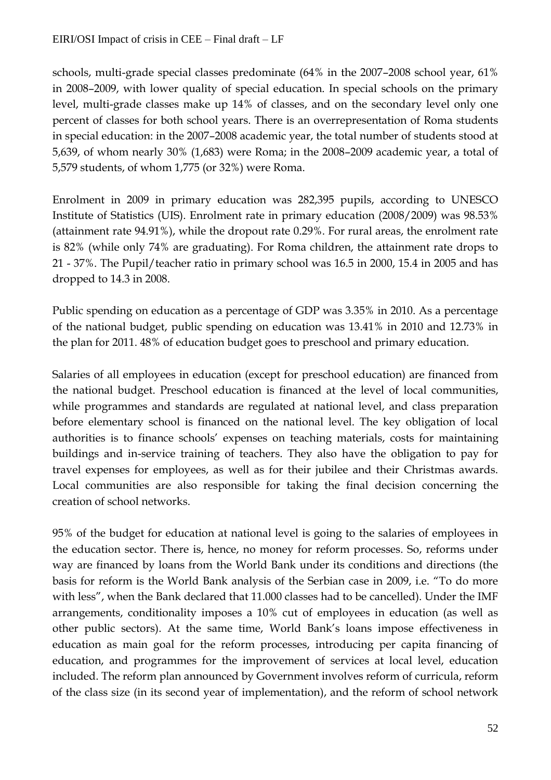schools, multi-grade special classes predominate (64% in the 2007–2008 school year, 61% in 2008–2009, with lower quality of special education. In special schools on the primary level, multi-grade classes make up 14% of classes, and on the secondary level only one percent of classes for both school years. There is an overrepresentation of Roma students in special education: in the 2007–2008 academic year, the total number of students stood at 5,639, of whom nearly 30% (1,683) were Roma; in the 2008–2009 academic year, a total of 5,579 students, of whom 1,775 (or 32%) were Roma.

Enrolment in 2009 in primary education was 282,395 pupils, according to UNESCO Institute of Statistics (UIS). Enrolment rate in primary education (2008/2009) was 98.53% (attainment rate 94.91%), while the dropout rate 0.29%. For rural areas, the enrolment rate is 82% (while only 74% are graduating). For Roma children, the attainment rate drops to 21 - 37%. The Pupil/teacher ratio in primary school was 16.5 in 2000, 15.4 in 2005 and has dropped to 14.3 in 2008.

Public spending on education as a percentage of GDP was 3.35% in 2010. As a percentage of the national budget, public spending on education was 13.41% in 2010 and 12.73% in the plan for 2011. 48% of education budget goes to preschool and primary education.

Salaries of all employees in education (except for preschool education) are financed from the national budget. Preschool education is financed at the level of local communities, while programmes and standards are regulated at national level, and class preparation before elementary school is financed on the national level. The key obligation of local authorities is to finance schools' expenses on teaching materials, costs for maintaining buildings and in-service training of teachers. They also have the obligation to pay for travel expenses for employees, as well as for their jubilee and their Christmas awards. Local communities are also responsible for taking the final decision concerning the creation of school networks.

95% of the budget for education at national level is going to the salaries of employees in the education sector. There is, hence, no money for reform processes. So, reforms under way are financed by loans from the World Bank under its conditions and directions (the basis for reform is the World Bank analysis of the Serbian case in 2009, i.e. "To do more with less", when the Bank declared that 11.000 classes had to be cancelled). Under the IMF arrangements, conditionality imposes a 10% cut of employees in education (as well as other public sectors). At the same time, World Bank's loans impose effectiveness in education as main goal for the reform processes, introducing per capita financing of education, and programmes for the improvement of services at local level, education included. The reform plan announced by Government involves reform of curricula, reform of the class size (in its second year of implementation), and the reform of school network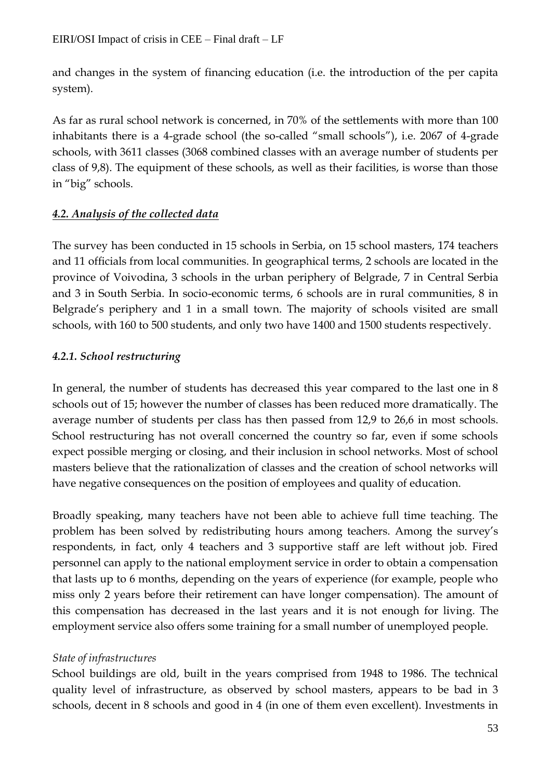and changes in the system of financing education (i.e. the introduction of the per capita system).

As far as rural school network is concerned, in 70% of the settlements with more than 100 inhabitants there is a 4-grade school (the so-called "small schools"), i.e. 2067 of 4-grade schools, with 3611 classes (3068 combined classes with an average number of students per class of 9,8). The equipment of these schools, as well as their facilities, is worse than those in "big" schools.

# *4.2. Analysis of the collected data*

The survey has been conducted in 15 schools in Serbia, on 15 school masters, 174 teachers and 11 officials from local communities. In geographical terms, 2 schools are located in the province of Voivodina, 3 schools in the urban periphery of Belgrade, 7 in Central Serbia and 3 in South Serbia. In socio-economic terms, 6 schools are in rural communities, 8 in Belgrade's periphery and 1 in a small town. The majority of schools visited are small schools, with 160 to 500 students, and only two have 1400 and 1500 students respectively.

# *4.2.1. School restructuring*

In general, the number of students has decreased this year compared to the last one in 8 schools out of 15; however the number of classes has been reduced more dramatically. The average number of students per class has then passed from 12,9 to 26,6 in most schools. School restructuring has not overall concerned the country so far, even if some schools expect possible merging or closing, and their inclusion in school networks. Most of school masters believe that the rationalization of classes and the creation of school networks will have negative consequences on the position of employees and quality of education.

Broadly speaking, many teachers have not been able to achieve full time teaching. The problem has been solved by redistributing hours among teachers. Among the survey's respondents, in fact, only 4 teachers and 3 supportive staff are left without job. Fired personnel can apply to the national employment service in order to obtain a compensation that lasts up to 6 months, depending on the years of experience (for example, people who miss only 2 years before their retirement can have longer compensation). The amount of this compensation has decreased in the last years and it is not enough for living. The employment service also offers some training for a small number of unemployed people.

# *State of infrastructures*

School buildings are old, built in the years comprised from 1948 to 1986. The technical quality level of infrastructure, as observed by school masters, appears to be bad in 3 schools, decent in 8 schools and good in 4 (in one of them even excellent). Investments in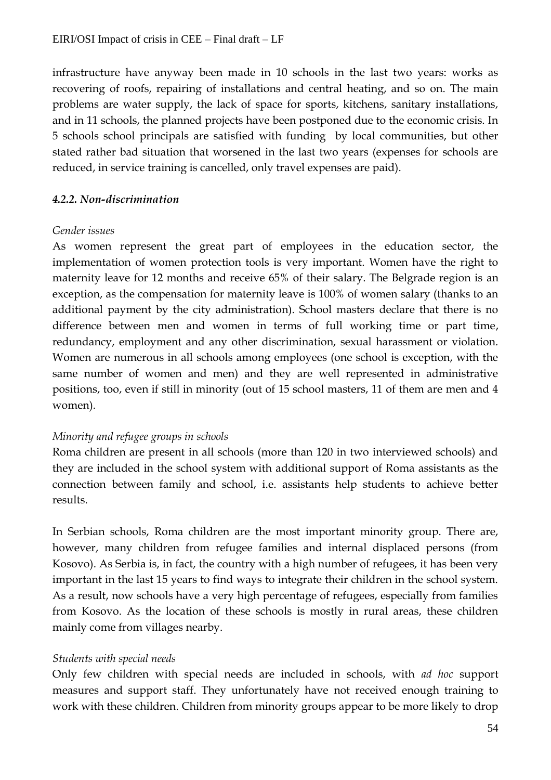infrastructure have anyway been made in 10 schools in the last two years: works as recovering of roofs, repairing of installations and central heating, and so on. The main problems are water supply, the lack of space for sports, kitchens, sanitary installations, and in 11 schools, the planned projects have been postponed due to the economic crisis. In 5 schools school principals are satisfied with funding by local communities, but other stated rather bad situation that worsened in the last two years (expenses for schools are reduced, in service training is cancelled, only travel expenses are paid).

#### *4.2.2. Non-discrimination*

#### *Gender issues*

As women represent the great part of employees in the education sector, the implementation of women protection tools is very important. Women have the right to maternity leave for 12 months and receive 65% of their salary. The Belgrade region is an exception, as the compensation for maternity leave is 100% of women salary (thanks to an additional payment by the city administration). School masters declare that there is no difference between men and women in terms of full working time or part time, redundancy, employment and any other discrimination, sexual harassment or violation. Women are numerous in all schools among employees (one school is exception, with the same number of women and men) and they are well represented in administrative positions, too, even if still in minority (out of 15 school masters, 11 of them are men and 4 women).

#### *Minority and refugee groups in schools*

Roma children are present in all schools (more than 120 in two interviewed schools) and they are included in the school system with additional support of Roma assistants as the connection between family and school, i.e. assistants help students to achieve better results.

In Serbian schools, Roma children are the most important minority group. There are, however, many children from refugee families and internal displaced persons (from Kosovo). As Serbia is, in fact, the country with a high number of refugees, it has been very important in the last 15 years to find ways to integrate their children in the school system. As a result, now schools have a very high percentage of refugees, especially from families from Kosovo. As the location of these schools is mostly in rural areas, these children mainly come from villages nearby.

#### *Students with special needs*

Only few children with special needs are included in schools, with *ad hoc* support measures and support staff. They unfortunately have not received enough training to work with these children. Children from minority groups appear to be more likely to drop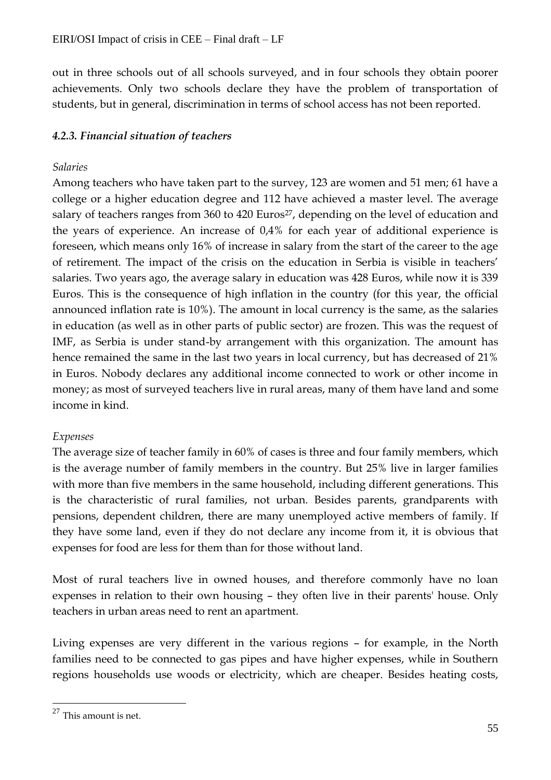out in three schools out of all schools surveyed, and in four schools they obtain poorer achievements. Only two schools declare they have the problem of transportation of students, but in general, discrimination in terms of school access has not been reported.

# *4.2.3. Financial situation of teachers*

#### *Salaries*

Among teachers who have taken part to the survey, 123 are women and 51 men; 61 have a college or a higher education degree and 112 have achieved a master level. The average salary of teachers ranges from 360 to 420 Euros<sup>27</sup>, depending on the level of education and the years of experience. An increase of 0,4% for each year of additional experience is foreseen, which means only 16% of increase in salary from the start of the career to the age of retirement. The impact of the crisis on the education in Serbia is visible in teachers' salaries. Two years ago, the average salary in education was 428 Euros, while now it is 339 Euros. This is the consequence of high inflation in the country (for this year, the official announced inflation rate is 10%). The amount in local currency is the same, as the salaries in education (as well as in other parts of public sector) are frozen. This was the request of IMF, as Serbia is under stand-by arrangement with this organization. The amount has hence remained the same in the last two years in local currency, but has decreased of 21% in Euros. Nobody declares any additional income connected to work or other income in money; as most of surveyed teachers live in rural areas, many of them have land and some income in kind.

# *Expenses*

The average size of teacher family in 60% of cases is three and four family members, which is the average number of family members in the country. But 25% live in larger families with more than five members in the same household, including different generations. This is the characteristic of rural families, not urban. Besides parents, grandparents with pensions, dependent children, there are many unemployed active members of family. If they have some land, even if they do not declare any income from it, it is obvious that expenses for food are less for them than for those without land.

Most of rural teachers live in owned houses, and therefore commonly have no loan expenses in relation to their own housing – they often live in their parents' house. Only teachers in urban areas need to rent an apartment.

Living expenses are very different in the various regions – for example, in the North families need to be connected to gas pipes and have higher expenses, while in Southern regions households use woods or electricity, which are cheaper. Besides heating costs,

 $\overline{a}$ 

 $27$  This amount is net.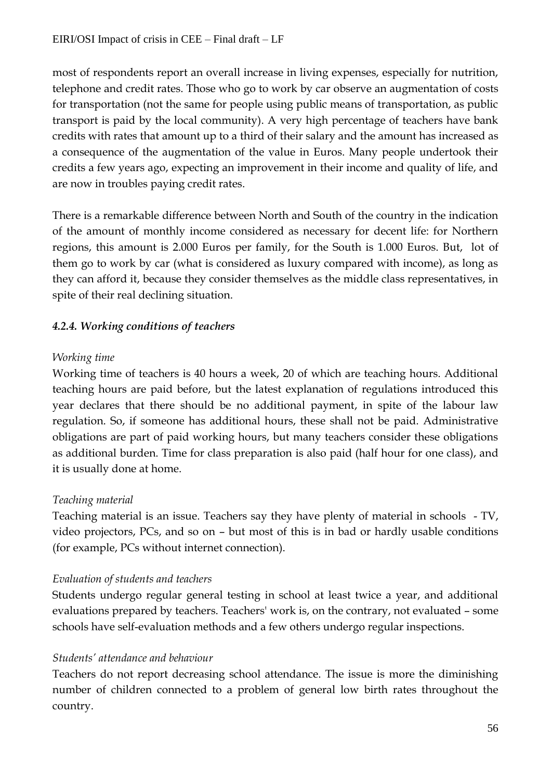most of respondents report an overall increase in living expenses, especially for nutrition, telephone and credit rates. Those who go to work by car observe an augmentation of costs for transportation (not the same for people using public means of transportation, as public transport is paid by the local community). A very high percentage of teachers have bank credits with rates that amount up to a third of their salary and the amount has increased as a consequence of the augmentation of the value in Euros. Many people undertook their credits a few years ago, expecting an improvement in their income and quality of life, and are now in troubles paying credit rates.

There is a remarkable difference between North and South of the country in the indication of the amount of monthly income considered as necessary for decent life: for Northern regions, this amount is 2.000 Euros per family, for the South is 1.000 Euros. But, lot of them go to work by car (what is considered as luxury compared with income), as long as they can afford it, because they consider themselves as the middle class representatives, in spite of their real declining situation.

# *4.2.4. Working conditions of teachers*

# *Working time*

Working time of teachers is 40 hours a week, 20 of which are teaching hours. Additional teaching hours are paid before, but the latest explanation of regulations introduced this year declares that there should be no additional payment, in spite of the labour law regulation. So, if someone has additional hours, these shall not be paid. Administrative obligations are part of paid working hours, but many teachers consider these obligations as additional burden. Time for class preparation is also paid (half hour for one class), and it is usually done at home.

# *Teaching material*

Teaching material is an issue. Teachers say they have plenty of material in schools - TV, video projectors, PCs, and so on – but most of this is in bad or hardly usable conditions (for example, PCs without internet connection).

# *Evaluation of students and teachers*

Students undergo regular general testing in school at least twice a year, and additional evaluations prepared by teachers. Teachers' work is, on the contrary, not evaluated – some schools have self-evaluation methods and a few others undergo regular inspections.

# *Students' attendance and behaviour*

Teachers do not report decreasing school attendance. The issue is more the diminishing number of children connected to a problem of general low birth rates throughout the country.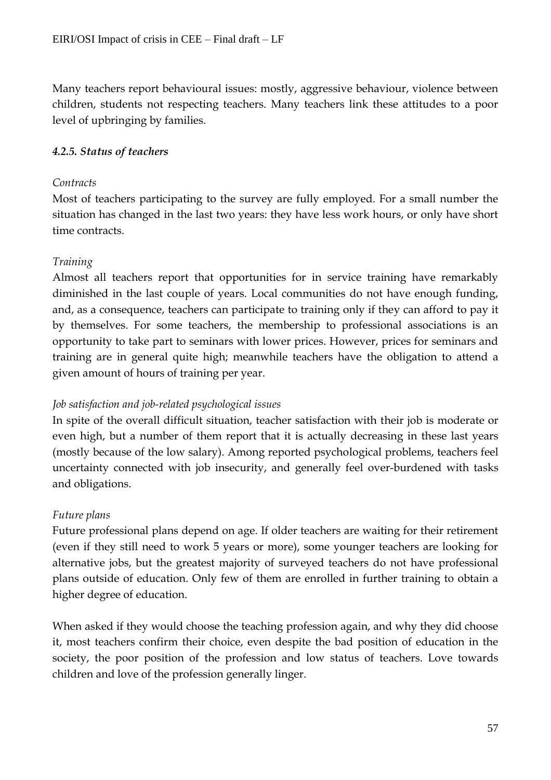Many teachers report behavioural issues: mostly, aggressive behaviour, violence between children, students not respecting teachers. Many teachers link these attitudes to a poor level of upbringing by families.

# *4.2.5. Status of teachers*

#### *Contracts*

Most of teachers participating to the survey are fully employed. For a small number the situation has changed in the last two years: they have less work hours, or only have short time contracts.

# *Training*

Almost all teachers report that opportunities for in service training have remarkably diminished in the last couple of years. Local communities do not have enough funding, and, as a consequence, teachers can participate to training only if they can afford to pay it by themselves. For some teachers, the membership to professional associations is an opportunity to take part to seminars with lower prices. However, prices for seminars and training are in general quite high; meanwhile teachers have the obligation to attend a given amount of hours of training per year.

# *Job satisfaction and job-related psychological issues*

In spite of the overall difficult situation, teacher satisfaction with their job is moderate or even high, but a number of them report that it is actually decreasing in these last years (mostly because of the low salary). Among reported psychological problems, teachers feel uncertainty connected with job insecurity, and generally feel over-burdened with tasks and obligations.

# *Future plans*

Future professional plans depend on age. If older teachers are waiting for their retirement (even if they still need to work 5 years or more), some younger teachers are looking for alternative jobs, but the greatest majority of surveyed teachers do not have professional plans outside of education. Only few of them are enrolled in further training to obtain a higher degree of education.

When asked if they would choose the teaching profession again, and why they did choose it, most teachers confirm their choice, even despite the bad position of education in the society, the poor position of the profession and low status of teachers. Love towards children and love of the profession generally linger.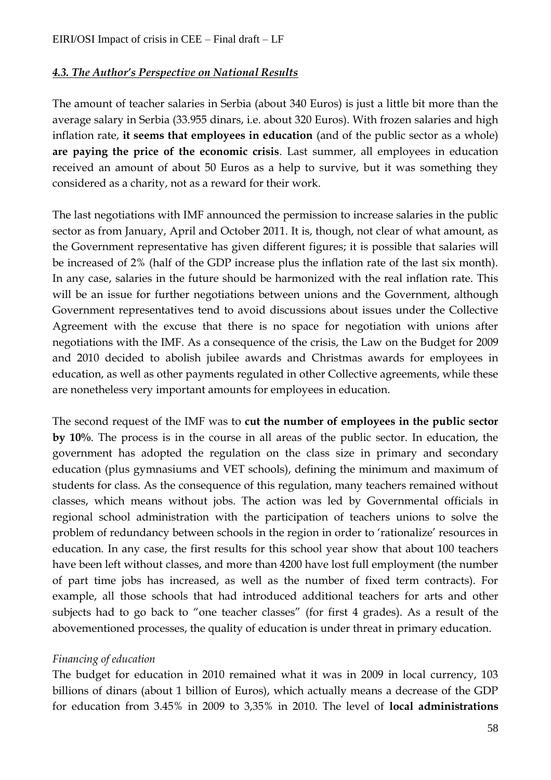#### *4.3. The Author's Perspective on National Results*

The amount of teacher salaries in Serbia (about 340 Euros) is just a little bit more than the average salary in Serbia (33.955 dinars, i.e. about 320 Euros). With frozen salaries and high inflation rate, **it seems that employees in education** (and of the public sector as a whole) **are paying the price of the economic crisis**. Last summer, all employees in education received an amount of about 50 Euros as a help to survive, but it was something they considered as a charity, not as a reward for their work.

The last negotiations with IMF announced the permission to increase salaries in the public sector as from January, April and October 2011. It is, though, not clear of what amount, as the Government representative has given different figures; it is possible that salaries will be increased of 2% (half of the GDP increase plus the inflation rate of the last six month). In any case, salaries in the future should be harmonized with the real inflation rate. This will be an issue for further negotiations between unions and the Government, although Government representatives tend to avoid discussions about issues under the Collective Agreement with the excuse that there is no space for negotiation with unions after negotiations with the IMF. As a consequence of the crisis, the Law on the Budget for 2009 and 2010 decided to abolish jubilee awards and Christmas awards for employees in education, as well as other payments regulated in other Collective agreements, while these are nonetheless very important amounts for employees in education.

The second request of the IMF was to **cut the number of employees in the public sector by 10%**. The process is in the course in all areas of the public sector. In education, the government has adopted the regulation on the class size in primary and secondary education (plus gymnasiums and VET schools), defining the minimum and maximum of students for class. As the consequence of this regulation, many teachers remained without classes, which means without jobs. The action was led by Governmental officials in regional school administration with the participation of teachers unions to solve the problem of redundancy between schools in the region in order to 'rationalize' resources in education. In any case, the first results for this school year show that about 100 teachers have been left without classes, and more than 4200 have lost full employment (the number of part time jobs has increased, as well as the number of fixed term contracts). For example, all those schools that had introduced additional teachers for arts and other subjects had to go back to "one teacher classes" (for first 4 grades). As a result of the abovementioned processes, the quality of education is under threat in primary education.

#### *Financing of education*

The budget for education in 2010 remained what it was in 2009 in local currency, 103 billions of dinars (about 1 billion of Euros), which actually means a decrease of the GDP for education from 3.45% in 2009 to 3,35% in 2010. The level of **local administrations**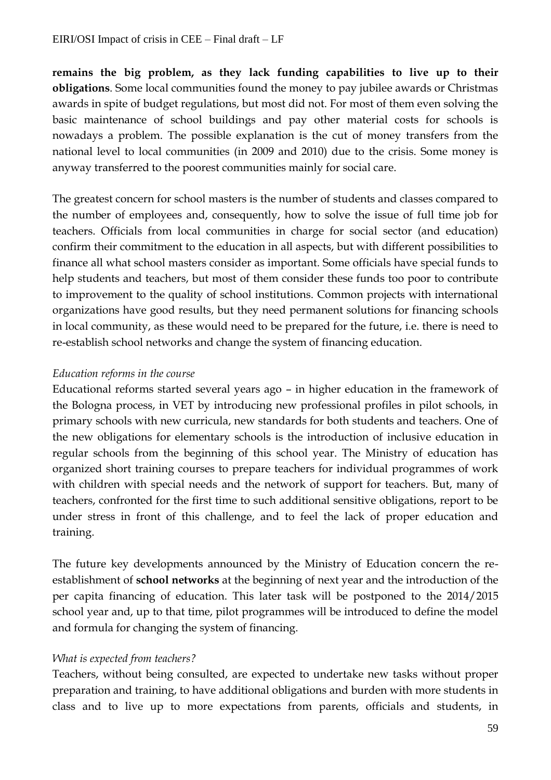**remains the big problem, as they lack funding capabilities to live up to their obligations**. Some local communities found the money to pay jubilee awards or Christmas awards in spite of budget regulations, but most did not. For most of them even solving the basic maintenance of school buildings and pay other material costs for schools is nowadays a problem. The possible explanation is the cut of money transfers from the national level to local communities (in 2009 and 2010) due to the crisis. Some money is anyway transferred to the poorest communities mainly for social care.

The greatest concern for school masters is the number of students and classes compared to the number of employees and, consequently, how to solve the issue of full time job for teachers. Officials from local communities in charge for social sector (and education) confirm their commitment to the education in all aspects, but with different possibilities to finance all what school masters consider as important. Some officials have special funds to help students and teachers, but most of them consider these funds too poor to contribute to improvement to the quality of school institutions. Common projects with international organizations have good results, but they need permanent solutions for financing schools in local community, as these would need to be prepared for the future, i.e. there is need to re-establish school networks and change the system of financing education.

# *Education reforms in the course*

Educational reforms started several years ago – in higher education in the framework of the Bologna process, in VET by introducing new professional profiles in pilot schools, in primary schools with new curricula, new standards for both students and teachers. One of the new obligations for elementary schools is the introduction of inclusive education in regular schools from the beginning of this school year. The Ministry of education has organized short training courses to prepare teachers for individual programmes of work with children with special needs and the network of support for teachers. But, many of teachers, confronted for the first time to such additional sensitive obligations, report to be under stress in front of this challenge, and to feel the lack of proper education and training.

The future key developments announced by the Ministry of Education concern the reestablishment of **school networks** at the beginning of next year and the introduction of the per capita financing of education. This later task will be postponed to the 2014/2015 school year and, up to that time, pilot programmes will be introduced to define the model and formula for changing the system of financing.

# *What is expected from teachers?*

Teachers, without being consulted, are expected to undertake new tasks without proper preparation and training, to have additional obligations and burden with more students in class and to live up to more expectations from parents, officials and students, in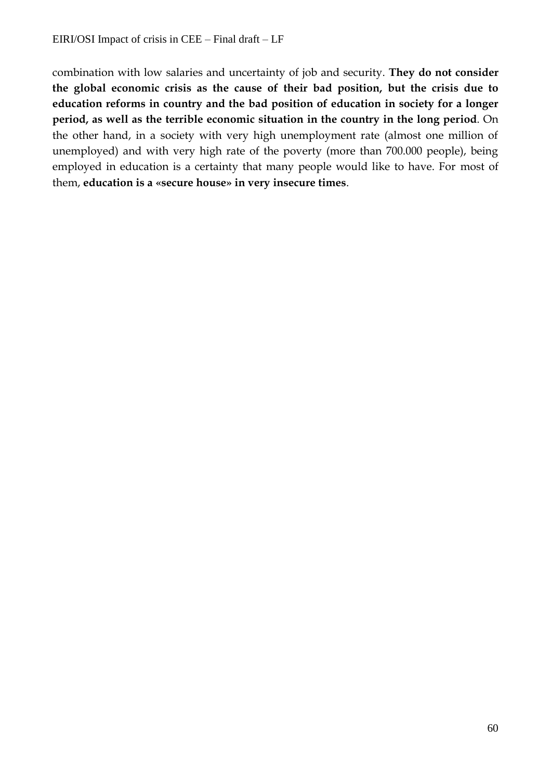combination with low salaries and uncertainty of job and security. **They do not consider the global economic crisis as the cause of their bad position, but the crisis due to education reforms in country and the bad position of education in society for a longer period, as well as the terrible economic situation in the country in the long period**. On the other hand, in a society with very high unemployment rate (almost one million of unemployed) and with very high rate of the poverty (more than 700.000 people), being employed in education is a certainty that many people would like to have. For most of them, **education is a «secure house» in very insecure times**.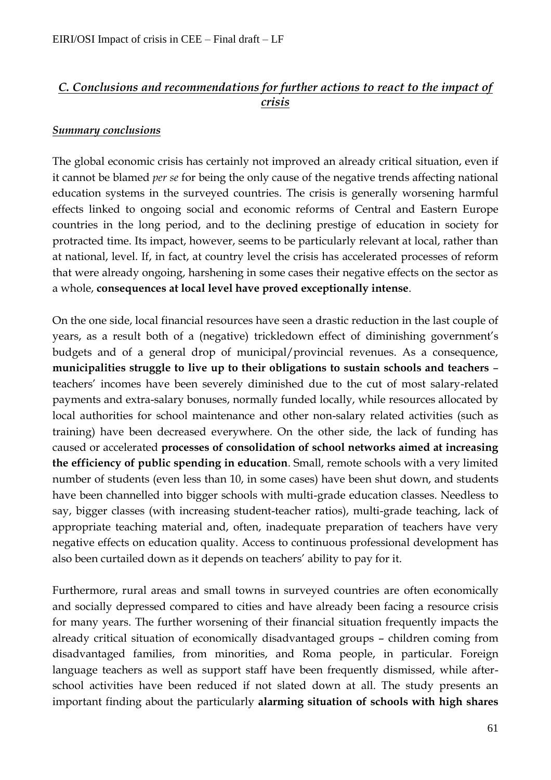# *C. Conclusions and recommendations for further actions to react to the impact of crisis*

# *Summary conclusions*

The global economic crisis has certainly not improved an already critical situation, even if it cannot be blamed *per se* for being the only cause of the negative trends affecting national education systems in the surveyed countries. The crisis is generally worsening harmful effects linked to ongoing social and economic reforms of Central and Eastern Europe countries in the long period, and to the declining prestige of education in society for protracted time. Its impact, however, seems to be particularly relevant at local, rather than at national, level. If, in fact, at country level the crisis has accelerated processes of reform that were already ongoing, harshening in some cases their negative effects on the sector as a whole, **consequences at local level have proved exceptionally intense**.

On the one side, local financial resources have seen a drastic reduction in the last couple of years, as a result both of a (negative) trickledown effect of diminishing government's budgets and of a general drop of municipal/provincial revenues. As a consequence, **municipalities struggle to live up to their obligations to sustain schools and teachers** – teachers' incomes have been severely diminished due to the cut of most salary-related payments and extra-salary bonuses, normally funded locally, while resources allocated by local authorities for school maintenance and other non-salary related activities (such as training) have been decreased everywhere. On the other side, the lack of funding has caused or accelerated **processes of consolidation of school networks aimed at increasing the efficiency of public spending in education**. Small, remote schools with a very limited number of students (even less than 10, in some cases) have been shut down, and students have been channelled into bigger schools with multi-grade education classes. Needless to say, bigger classes (with increasing student-teacher ratios), multi-grade teaching, lack of appropriate teaching material and, often, inadequate preparation of teachers have very negative effects on education quality. Access to continuous professional development has also been curtailed down as it depends on teachers' ability to pay for it.

Furthermore, rural areas and small towns in surveyed countries are often economically and socially depressed compared to cities and have already been facing a resource crisis for many years. The further worsening of their financial situation frequently impacts the already critical situation of economically disadvantaged groups – children coming from disadvantaged families, from minorities, and Roma people, in particular. Foreign language teachers as well as support staff have been frequently dismissed, while afterschool activities have been reduced if not slated down at all. The study presents an important finding about the particularly **alarming situation of schools with high shares**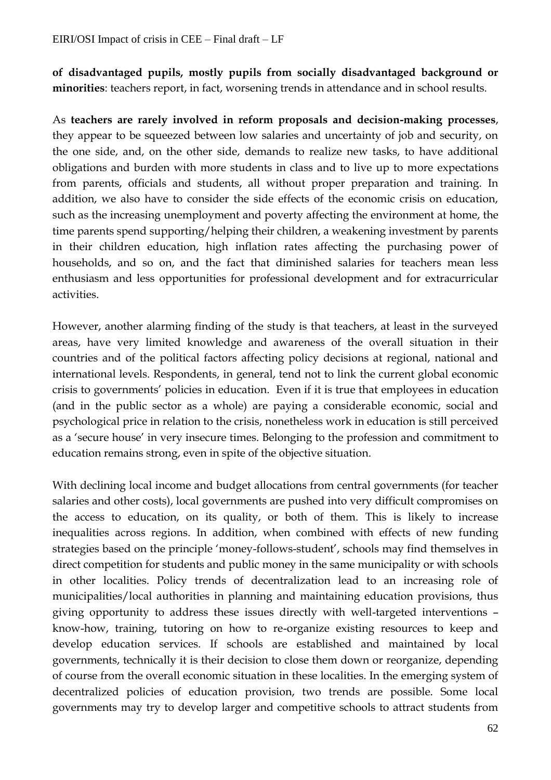**of disadvantaged pupils, mostly pupils from socially disadvantaged background or minorities**: teachers report, in fact, worsening trends in attendance and in school results.

As **teachers are rarely involved in reform proposals and decision-making processes**, they appear to be squeezed between low salaries and uncertainty of job and security, on the one side, and, on the other side, demands to realize new tasks, to have additional obligations and burden with more students in class and to live up to more expectations from parents, officials and students, all without proper preparation and training. In addition, we also have to consider the side effects of the economic crisis on education, such as the increasing unemployment and poverty affecting the environment at home, the time parents spend supporting/helping their children, a weakening investment by parents in their children education, high inflation rates affecting the purchasing power of households, and so on, and the fact that diminished salaries for teachers mean less enthusiasm and less opportunities for professional development and for extracurricular activities.

However, another alarming finding of the study is that teachers, at least in the surveyed areas, have very limited knowledge and awareness of the overall situation in their countries and of the political factors affecting policy decisions at regional, national and international levels. Respondents, in general, tend not to link the current global economic crisis to governments' policies in education. Even if it is true that employees in education (and in the public sector as a whole) are paying a considerable economic, social and psychological price in relation to the crisis, nonetheless work in education is still perceived as a 'secure house' in very insecure times. Belonging to the profession and commitment to education remains strong, even in spite of the objective situation.

With declining local income and budget allocations from central governments (for teacher salaries and other costs), local governments are pushed into very difficult compromises on the access to education, on its quality, or both of them. This is likely to increase inequalities across regions. In addition, when combined with effects of new funding strategies based on the principle 'money-follows-student', schools may find themselves in direct competition for students and public money in the same municipality or with schools in other localities. Policy trends of decentralization lead to an increasing role of municipalities/local authorities in planning and maintaining education provisions, thus giving opportunity to address these issues directly with well-targeted interventions – know-how, training, tutoring on how to re-organize existing resources to keep and develop education services. If schools are established and maintained by local governments, technically it is their decision to close them down or reorganize, depending of course from the overall economic situation in these localities. In the emerging system of decentralized policies of education provision, two trends are possible. Some local governments may try to develop larger and competitive schools to attract students from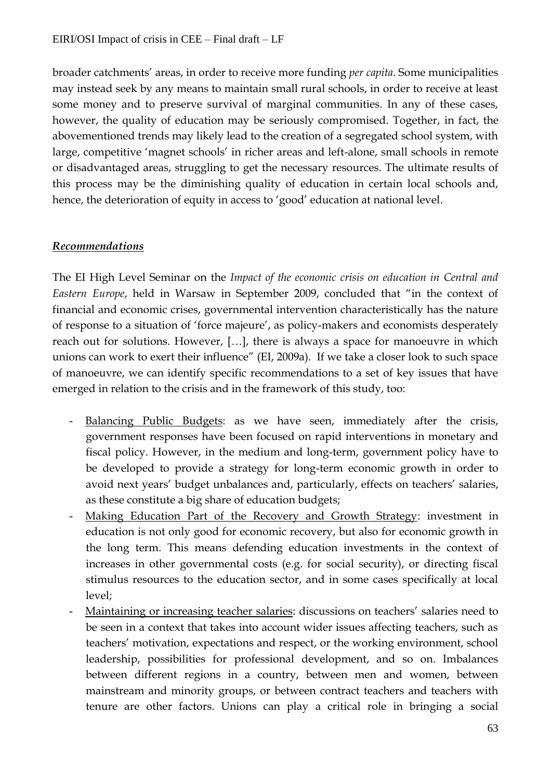broader catchments' areas, in order to receive more funding *per capita*. Some municipalities may instead seek by any means to maintain small rural schools, in order to receive at least some money and to preserve survival of marginal communities. In any of these cases, however, the quality of education may be seriously compromised. Together, in fact, the abovementioned trends may likely lead to the creation of a segregated school system, with large, competitive 'magnet schools' in richer areas and left-alone, small schools in remote or disadvantaged areas, struggling to get the necessary resources. The ultimate results of this process may be the diminishing quality of education in certain local schools and, hence, the deterioration of equity in access to 'good' education at national level.

# *Recommendations*

The EI High Level Seminar on the *Impact of the economic crisis on education in Central and Eastern Europe*, held in Warsaw in September 2009, concluded that "in the context of financial and economic crises, governmental intervention characteristically has the nature of response to a situation of 'force majeure', as policy-makers and economists desperately reach out for solutions. However, […], there is always a space for manoeuvre in which unions can work to exert their influence" (EI, 2009a). If we take a closer look to such space of manoeuvre, we can identify specific recommendations to a set of key issues that have emerged in relation to the crisis and in the framework of this study, too:

- Balancing Public Budgets: as we have seen, immediately after the crisis, government responses have been focused on rapid interventions in monetary and fiscal policy. However, in the medium and long-term, government policy have to be developed to provide a strategy for long-term economic growth in order to avoid next years' budget unbalances and, particularly, effects on teachers' salaries, as these constitute a big share of education budgets;
- Making Education Part of the Recovery and Growth Strategy: investment in education is not only good for economic recovery, but also for economic growth in the long term. This means defending education investments in the context of increases in other governmental costs (e.g. for social security), or directing fiscal stimulus resources to the education sector, and in some cases specifically at local level;
- Maintaining or increasing teacher salaries: discussions on teachers' salaries need to be seen in a context that takes into account wider issues affecting teachers, such as teachers' motivation, expectations and respect, or the working environment, school leadership, possibilities for professional development, and so on. Imbalances between different regions in a country, between men and women, between mainstream and minority groups, or between contract teachers and teachers with tenure are other factors. Unions can play a critical role in bringing a social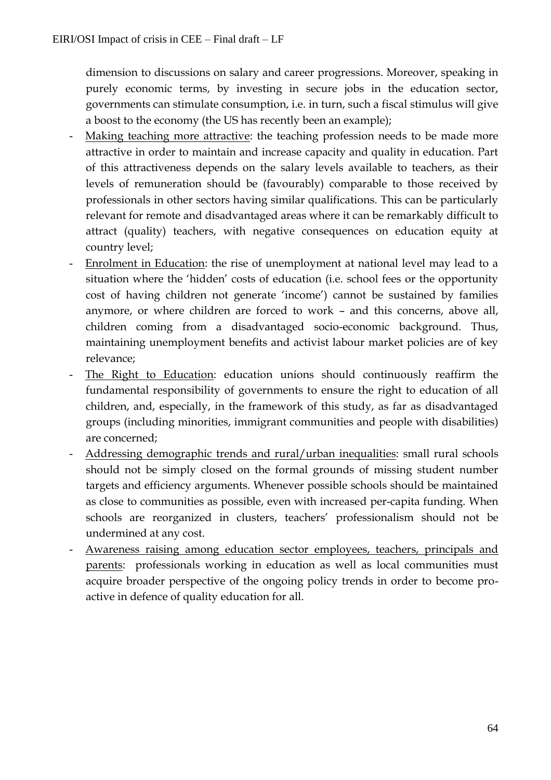dimension to discussions on salary and career progressions. Moreover, speaking in purely economic terms, by investing in secure jobs in the education sector, governments can stimulate consumption, i.e. in turn, such a fiscal stimulus will give a boost to the economy (the US has recently been an example);

- Making teaching more attractive: the teaching profession needs to be made more attractive in order to maintain and increase capacity and quality in education. Part of this attractiveness depends on the salary levels available to teachers, as their levels of remuneration should be (favourably) comparable to those received by professionals in other sectors having similar qualifications. This can be particularly relevant for remote and disadvantaged areas where it can be remarkably difficult to attract (quality) teachers, with negative consequences on education equity at country level;
- Enrolment in Education: the rise of unemployment at national level may lead to a situation where the 'hidden' costs of education (i.e. school fees or the opportunity cost of having children not generate 'income') cannot be sustained by families anymore, or where children are forced to work – and this concerns, above all, children coming from a disadvantaged socio-economic background. Thus, maintaining unemployment benefits and activist labour market policies are of key relevance;
- The Right to Education: education unions should continuously reaffirm the fundamental responsibility of governments to ensure the right to education of all children, and, especially, in the framework of this study, as far as disadvantaged groups (including minorities, immigrant communities and people with disabilities) are concerned;
- Addressing demographic trends and rural/urban inequalities: small rural schools should not be simply closed on the formal grounds of missing student number targets and efficiency arguments. Whenever possible schools should be maintained as close to communities as possible, even with increased per-capita funding. When schools are reorganized in clusters, teachers' professionalism should not be undermined at any cost.
- Awareness raising among education sector employees, teachers, principals and parents: professionals working in education as well as local communities must acquire broader perspective of the ongoing policy trends in order to become proactive in defence of quality education for all.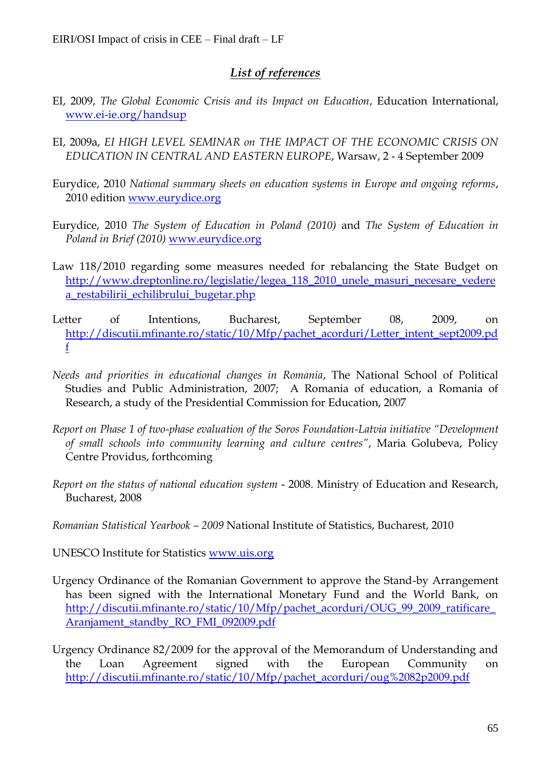# *List of references*

- EI, 2009, *The Global Economic Crisis and its Impact on Education*, Education International, [www.ei-ie.org/handsup](http://www.ei-ie.org/handsup)
- EI, 2009a, *EI HIGH LEVEL SEMINAR on THE IMPACT OF THE ECONOMIC CRISIS ON EDUCATION IN CENTRAL AND EASTERN EUROPE*, Warsaw, 2 - 4 September 2009
- Eurydice, 2010 *National summary sheets on education systems in Europe and ongoing reforms*, 2010 edition [www.eurydice.org](http://www.eurydice.org/)
- Eurydice, 2010 *The System of Education in Poland (2010)* and *The System of Education in Poland in Brief (2010)* [www.eurydice.org](http://www.eurydice.org/)
- Law 118/2010 regarding some measures needed for rebalancing the State Budget on [http://www.dreptonline.ro/legislatie/legea\\_118\\_2010\\_unele\\_masuri\\_necesare\\_vedere](http://www.dreptonline.ro/legislatie/legea_118_2010_unele_masuri_necesare_vederea_restabilirii_echilibrului_bugetar.php) [a\\_restabilirii\\_echilibrului\\_bugetar.php](http://www.dreptonline.ro/legislatie/legea_118_2010_unele_masuri_necesare_vederea_restabilirii_echilibrului_bugetar.php)
- Letter of Intentions, Bucharest, September 08, 2009, on [http://discutii.mfinante.ro/static/10/Mfp/pachet\\_acorduri/Letter\\_intent\\_sept2009.pd](http://discutii.mfinante.ro/static/10/Mfp/pachet_acorduri/Letter_intent_sept2009.pdf) [f](http://discutii.mfinante.ro/static/10/Mfp/pachet_acorduri/Letter_intent_sept2009.pdf)
- *Needs and priorities in educational changes in Romania*, The National School of Political Studies and Public Administration, 2007; A Romania of education, a Romania of Research, a study of the Presidential Commission for Education, 2007
- *Report on Phase 1 of two-phase evaluation of the Soros Foundation-Latvia initiative "Development of small schools into community learning and culture centres"*, Maria Golubeva, Policy Centre Providus, forthcoming
- *Report on the status of national education system* 2008. Ministry of Education and Research, Bucharest, 2008
- *Romanian Statistical Yearbook – 2009* National Institute of Statistics, Bucharest, 2010
- UNESCO Institute for Statistics [www.uis.org](http://www.uis.org/)
- Urgency Ordinance of the Romanian Government to approve the Stand-by Arrangement has been signed with the International Monetary Fund and the World Bank, on [http://discutii.mfinante.ro/static/10/Mfp/pachet\\_acorduri/OUG\\_99\\_2009\\_ratificare\\_](http://discutii.mfinante.ro/static/10/Mfp/pachet_acorduri/OUG_99_2009_ratificare_Aranjament_standby_RO_FMI_092009.pdf) [Aranjament\\_standby\\_RO\\_FMI\\_092009.pdf](http://discutii.mfinante.ro/static/10/Mfp/pachet_acorduri/OUG_99_2009_ratificare_Aranjament_standby_RO_FMI_092009.pdf)
- Urgency Ordinance 82/2009 for the approval of the Memorandum of Understanding and the Loan Agreement signed with the European Community on [http://discutii.mfinante.ro/static/10/Mfp/pachet\\_acorduri/oug%2082p2009.pdf](http://discutii.mfinante.ro/static/10/Mfp/pachet_acorduri/oug%2082p2009.pdf)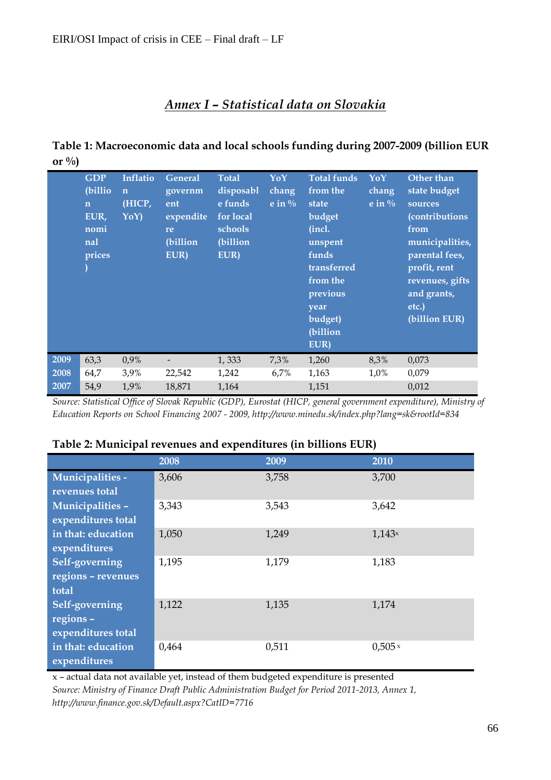# *Annex I – Statistical data on Slovakia*

# **Table 1: Macroeconomic data and local schools funding during 2007-2009 (billion EUR or %)**

|      | <b>GDP</b><br>(billio)<br>$\mathbf n$<br>EUR,<br>nomi<br>nal<br>prices | <b>Inflatio</b><br>$\mathbf n$<br>(HICP,<br>YoY) | <b>General</b><br>governm<br>ent<br>expendite<br>re<br>(billion<br>EUR) | <b>Total</b><br>disposabl<br>e funds<br>for local<br>schools<br>(billion<br>EUR) | YoY<br>chang<br>e in $\%$ | <b>Total funds</b><br>from the<br>state<br>budget<br>(incl.<br>unspent<br>funds<br>transferred<br>from the<br>previous<br>year<br>budget)<br>(billion<br>EUR) | YoY<br>chang<br>e in $\%$ | Other than<br>state budget<br>sources<br>(contributions<br>from<br>municipalities,<br>parental fees,<br>profit, rent<br>revenues, gifts<br>and grants,<br>etc.)<br>(billion EUR) |
|------|------------------------------------------------------------------------|--------------------------------------------------|-------------------------------------------------------------------------|----------------------------------------------------------------------------------|---------------------------|---------------------------------------------------------------------------------------------------------------------------------------------------------------|---------------------------|----------------------------------------------------------------------------------------------------------------------------------------------------------------------------------|
| 2009 | 63,3                                                                   | 0,9%                                             |                                                                         | 1,333                                                                            | 7,3%                      | 1,260                                                                                                                                                         | 8,3%                      | 0,073                                                                                                                                                                            |
| 2008 | 64,7                                                                   | 3,9%                                             | 22,542                                                                  | 1,242                                                                            | 6,7%                      | 1,163                                                                                                                                                         | 1,0%                      | 0,079                                                                                                                                                                            |
| 2007 | 54,9                                                                   | 1,9%                                             | 18,871                                                                  | 1,164                                                                            |                           | 1,151                                                                                                                                                         |                           | 0,012                                                                                                                                                                            |

*Source: Statistical Office of Slovak Republic (GDP), Eurostat (HICP, general government expenditure), Ministry of Education Reports on School Financing 2007 - 2009, http://www.minedu.sk/index.php?lang=sk&rootId=834*

|                    | 2008  | 2009  | 2010           |
|--------------------|-------|-------|----------------|
| Municipalities -   | 3,606 | 3,758 | 3,700          |
| revenues total     |       |       |                |
| Municipalities -   | 3,343 | 3,543 | 3,642          |
| expenditures total |       |       |                |
| in that: education | 1,050 | 1,249 | 1,143          |
| expenditures       |       |       |                |
| Self-governing     | 1,195 | 1,179 | 1,183          |
| regions - revenues |       |       |                |
| total              |       |       |                |
| Self-governing     | 1,122 | 1,135 | 1,174          |
| regions -          |       |       |                |
| expenditures total |       |       |                |
| in that: education | 0,464 | 0,511 | $0,505 \times$ |
| expenditures       |       |       |                |

#### **Table 2: Municipal revenues and expenditures (in billions EUR)**

x – actual data not available yet, instead of them budgeted expenditure is presented *Source: Ministry of Finance Draft Public Administration Budget for Period 2011-2013, Annex 1, http://www.finance.gov.sk/Default.aspx?CatID=7716*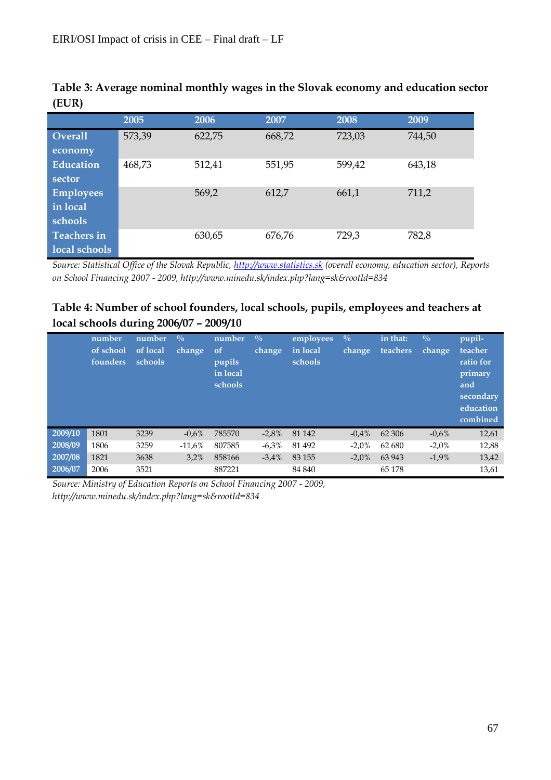|                    | 2005   | 2006   | 2007   | 2008   | 2009   |
|--------------------|--------|--------|--------|--------|--------|
| <b>Overall</b>     | 573,39 | 622,75 | 668,72 | 723,03 | 744,50 |
| economy            |        |        |        |        |        |
| <b>Education</b>   | 468,73 | 512,41 | 551,95 | 599,42 | 643,18 |
| sector             |        |        |        |        |        |
| <b>Employees</b>   |        | 569,2  | 612,7  | 661,1  | 711,2  |
| in local           |        |        |        |        |        |
| schools            |        |        |        |        |        |
| <b>Teachers in</b> |        | 630,65 | 676,76 | 729,3  | 782,8  |
| local schools      |        |        |        |        |        |

**Table 3: Average nominal monthly wages in the Slovak economy and education sector (EUR)**

*Source: Statistical Office of the Slovak Republic, [http://www.statistics.sk](http://www.statistics.sk/) (overall economy, education sector), Reports on School Financing 2007 - 2009, http://www.minedu.sk/index.php?lang=sk&rootId=834*

# **Table 4: Number of school founders, local schools, pupils, employees and teachers at local schools during 2006/07 – 2009/10**

|         | number<br>of school<br>founders | number<br>of local<br>schools | $\frac{0}{0}$<br>change | number<br><sub>of</sub><br>pupils<br>in local<br>schools | $\frac{0}{0}$<br>change | employees<br>in local<br>schools | $\frac{0}{0}$<br>change | in that:<br>teachers | $\sqrt{0}$<br>change | pupil-<br>teacher<br>ratio for<br>primary<br>and<br>secondary<br>education<br>combined |
|---------|---------------------------------|-------------------------------|-------------------------|----------------------------------------------------------|-------------------------|----------------------------------|-------------------------|----------------------|----------------------|----------------------------------------------------------------------------------------|
| 2009/10 | 1801                            | 3239                          | $-0.6%$                 | 785570                                                   | $-2,8%$                 | 81 142                           | $-0.4%$                 | 62 30 6              | $-0.6\%$             | 12,61                                                                                  |
| 2008/09 | 1806                            | 3259                          | $-11,6%$                | 807585                                                   | $-6,3%$                 | 81 492                           | $-2.0%$                 | 62 680               | $-2.0%$              | 12,88                                                                                  |
| 2007/08 | 1821                            | 3638                          | 3,2%                    | 858166                                                   | $-3.4%$                 | 83 155                           | $-2,0\%$                | 63 943               | $-1,9%$              | 13,42                                                                                  |
| 2006/07 | 2006                            | 3521                          |                         | 887221                                                   |                         | 84 840                           |                         | 65 1 78              |                      | 13,61                                                                                  |

*Source: Ministry of Education Reports on School Financing 2007 - 2009, http://www.minedu.sk/index.php?lang=sk&rootId=834*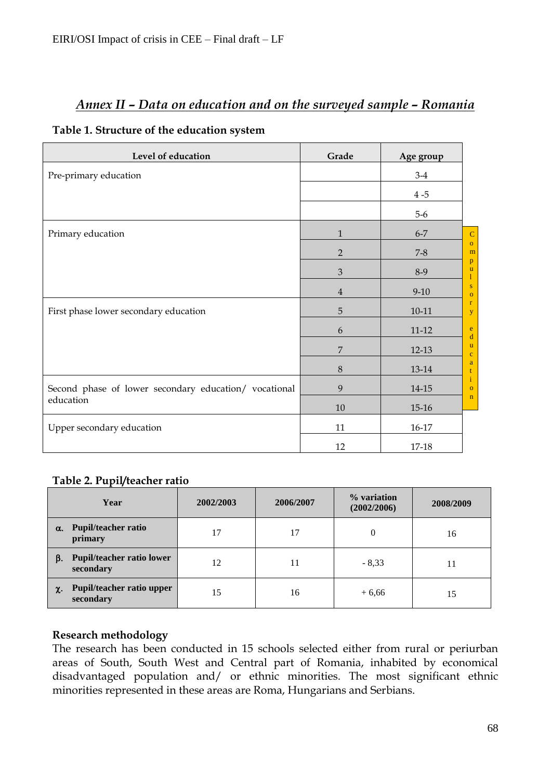# *Annex II – Data on education and on the surveyed sample – Romania*

#### **Table 1. Structure of the education system**

| Level of education                                    | Grade          | Age group |                              |
|-------------------------------------------------------|----------------|-----------|------------------------------|
| Pre-primary education                                 |                | $3-4$     |                              |
|                                                       |                | $4-5$     |                              |
|                                                       |                | $5-6$     |                              |
| Primary education                                     | $\mathbf{1}$   | $6 - 7$   | $\mathbf C$                  |
|                                                       | $\overline{2}$ | $7 - 8$   | $\mathbf{o}$<br>m            |
|                                                       | $\mathfrak{Z}$ | $8-9$     | $\mathbf{p}$<br>$\mathbf{u}$ |
|                                                       | $\overline{4}$ | $9 - 10$  | ${\bf S}$<br>$\mathbf{O}$    |
| First phase lower secondary education                 | 5              | $10 - 11$ | $\mathbf r$<br>y             |
|                                                       | 6              | $11 - 12$ | e<br>d                       |
|                                                       | 7              | $12-13$   | u<br>$\mathbf{C}$            |
|                                                       | $\,8\,$        | 13-14     | a<br>t                       |
| Second phase of lower secondary education/ vocational | 9              | 14-15     | $\mathbf{i}$<br>$\mathbf{O}$ |
| education                                             | 10             | $15 - 16$ | $\mathbf n$                  |
| Upper secondary education                             | 11             | 16-17     |                              |
|                                                       | 12             | 17-18     |                              |

# **Table 2. Pupil/teacher ratio**

|    | Year                                   | 2002/2003 | 2006/2007 | % variation<br>(2002/2006) | 2008/2009 |
|----|----------------------------------------|-----------|-----------|----------------------------|-----------|
| α. | <b>Pupil/teacher ratio</b><br>primary  | 17        | 17        | $\theta$                   | 16        |
| В. | Pupil/teacher ratio lower<br>secondary | 12        | 11        | $-8.33$                    | 11        |
| χ. | Pupil/teacher ratio upper<br>secondary | 15        | 16        | $+6,66$                    | 15        |

# **Research methodology**

The research has been conducted in 15 schools selected either from rural or periurban areas of South, South West and Central part of Romania, inhabited by economical disadvantaged population and/ or ethnic minorities. The most significant ethnic minorities represented in these areas are Roma, Hungarians and Serbians.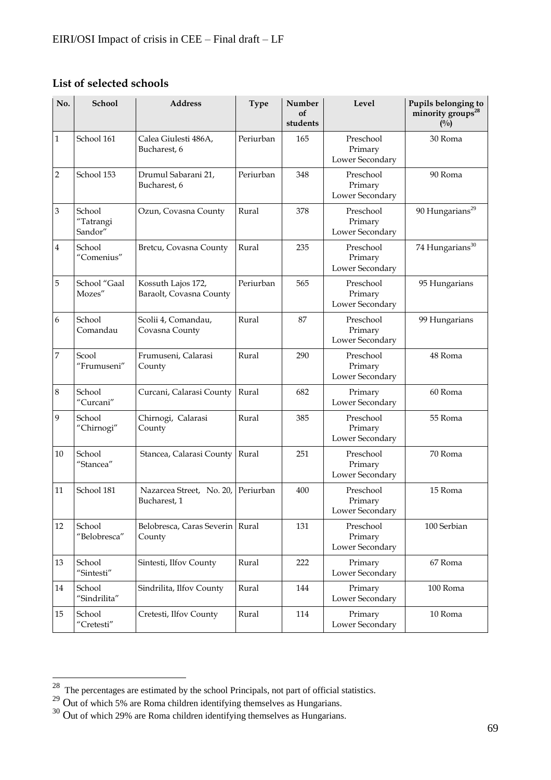# **List of selected schools**

| No. | <b>School</b>                                          | <b>Address</b>                                | <b>Type</b> | Number<br>of<br>students | Level                                   | Pupils belonging to<br>minority groups <sup>28</sup><br>(0/0) |
|-----|--------------------------------------------------------|-----------------------------------------------|-------------|--------------------------|-----------------------------------------|---------------------------------------------------------------|
| 1   | School 161                                             | Calea Giulesti 486A,<br>Bucharest, 6          | Periurban   | 165                      | Preschool<br>Primary<br>Lower Secondary | 30 Roma                                                       |
| 2   | School 153                                             | Drumul Sabarani 21,<br>Bucharest, 6           | Periurban   | 348                      | Preschool<br>Primary<br>Lower Secondary | 90 Roma                                                       |
| 3   | School<br>"Tatrangi<br>Sandor"                         | Ozun, Covasna County                          | Rural       | 378                      | Preschool<br>Primary<br>Lower Secondary | 90 Hungarians <sup>29</sup>                                   |
| 4   | School<br>"Comenius"                                   | Bretcu, Covasna County                        | Rural       | 235                      | Preschool<br>Primary<br>Lower Secondary | 74 Hungarians <sup>30</sup>                                   |
| 5   | School "Gaal<br>Mozes"                                 | Kossuth Lajos 172,<br>Baraolt, Covasna County | Periurban   | 565                      | Preschool<br>Primary<br>Lower Secondary | 95 Hungarians                                                 |
| 6   | School<br>Comandau                                     | Scolii 4, Comandau,<br>Covasna County         | Rural       | 87                       | Preschool<br>Primary<br>Lower Secondary | 99 Hungarians                                                 |
| 7   | Scool<br>"Frumuseni"                                   | Frumuseni, Calarasi<br>County                 | Rural       | 290                      | Preschool<br>Primary<br>Lower Secondary | 48 Roma                                                       |
| 8   | School<br>"Curcani"                                    | Curcani, Calarasi County                      | Rural       | 682                      | Primary<br>Lower Secondary              | 60 Roma                                                       |
| 9   | School<br>"Chirnogi"                                   | Chirnogi, Calarasi<br>County                  | Rural       | 385                      | Preschool<br>Primary<br>Lower Secondary | 55 Roma                                                       |
| 10  | School<br>"Stancea"                                    | Stancea, Calarasi County                      | Rural       | 251                      | Preschool<br>Primary<br>Lower Secondary | 70 Roma                                                       |
| 11  | School 181                                             | Nazarcea Street, No. 20,<br>Bucharest, 1      | Periurban   | 400                      | Preschool<br>Primary<br>Lower Secondary | 15 Roma                                                       |
| 12  | School<br>"Belobresca"                                 | Belobresca, Caras Severin   Rural<br>County   |             | 131                      | Preschool<br>Primary<br>Lower Secondary | 100 Serbian                                                   |
| 13  | School<br>"Sintesti"                                   | Sintesti, Ilfov County                        | Rural       | 222                      | Primary<br>Lower Secondary              | 67 Roma                                                       |
| 14  | School<br>"Sindrilita"                                 | Sindrilita, Ilfov County                      | Rural       | 144                      | Primary<br>Lower Secondary              | 100 Roma                                                      |
| 15  | School<br>$^{\prime\prime}$ Cretesti $^{\prime\prime}$ | Cretesti, Ilfov County                        | Rural       | 114                      | Primary<br>Lower Secondary              | 10 Roma                                                       |

 $\overline{a}$ 

 $28$  The percentages are estimated by the school Principals, not part of official statistics.

<sup>&</sup>lt;sup>29</sup> Out of which 5% are Roma children identifying themselves as Hungarians.

 $30$  Out of which 29% are Roma children identifying themselves as Hungarians.